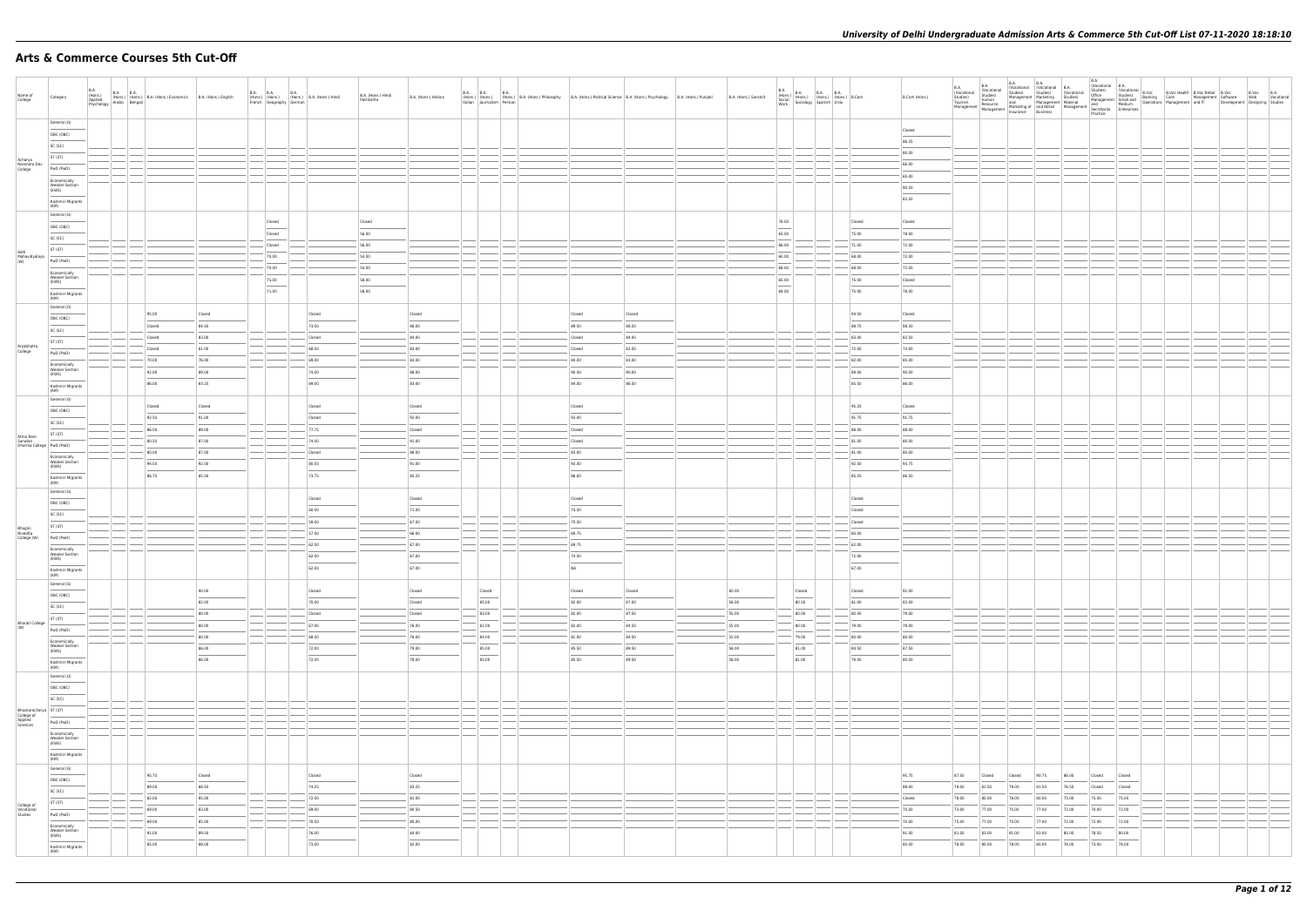# **Arts & Commerce Courses 5th Cut-Off**

| Name of<br>College                                          | Category                                                                                 | B.A.<br>(Hons.) B.A. (Hons.) E.A.<br>Applied (Hons.) Esychology Arabic Bengali | B.A. B.A. B.A. (Hons.) B.A. (Hons.) Economics B.A. (Hons.) English |                                  | French Geography German   | B.A. B.A. B.A. B.A. (Hons.) B.A. (Hons.) Hindi | B.A. (Hons.) Hindi<br>Patrikarita | B.A. (Hons.) History              | Italian Journalism Persian      | B.A. B.A. B.A. B.A. B.A. B.A. (Hons.) Philosophy B.A. (Hons.) Political Science B.A. (Hons.) Psychology B.A. (Hons.) Punjabi |                          | B.A. (Hons.) Sanskrit   |                                            |                                  | B.Com (Hons.)                    |                                  |                          |                                  |                                  |                         |                           |                           |  |  |
|-------------------------------------------------------------|------------------------------------------------------------------------------------------|--------------------------------------------------------------------------------|--------------------------------------------------------------------|----------------------------------|---------------------------|------------------------------------------------|-----------------------------------|-----------------------------------|---------------------------------|------------------------------------------------------------------------------------------------------------------------------|--------------------------|-------------------------|--------------------------------------------|----------------------------------|----------------------------------|----------------------------------|--------------------------|----------------------------------|----------------------------------|-------------------------|---------------------------|---------------------------|--|--|
|                                                             | General (G)<br>OBC (OBC)<br>SC (SC)                                                      |                                                                                |                                                                    |                                  |                           |                                                |                                   |                                   |                                 |                                                                                                                              |                          |                         |                                            |                                  | Closed<br>86.25<br>80.00         |                                  |                          |                                  |                                  |                         |                           |                           |  |  |
| Acharya<br>Narendra Dev<br>College                          | ST (ST)<br>PwD (PwD)<br>Economically<br><b>Weaker Section</b><br>(EWS)                   |                                                                                |                                                                    |                                  |                           |                                                |                                   |                                   |                                 |                                                                                                                              |                          |                         |                                            |                                  | 66.00<br>65.00<br>90.50          |                                  |                          |                                  |                                  |                         |                           |                           |  |  |
|                                                             | Kashmiri Migrants<br>(KM)<br>General (G)<br>OBC (OBC)                                    |                                                                                |                                                                    |                                  | Closed                    |                                                | Closed                            |                                   |                                 |                                                                                                                              |                          |                         | 76.00                                      | Closed                           | 83.50<br>Closed                  |                                  |                          |                                  |                                  |                         |                           |                           |  |  |
| Aditi<br>Mahavidyalaya<br>(W)                               | SC (SC)<br>ST (ST)<br>PwD (PwD)                                                          |                                                                                |                                                                    |                                  | Closed<br>Closed<br>70.00 |                                                | 56.00<br>56.00<br>54.00           |                                   |                                 |                                                                                                                              |                          |                         | $\frac{1}{2}$<br>65.00<br>66.00<br>60.00   | 75.00<br>71.00<br>68.00          | 78.00<br>72.00<br>72.00          |                                  |                          |                                  |                                  |                         |                           |                           |  |  |
|                                                             | Economically<br><b>Weaker Section</b><br>(EWS)<br>Kashmiri Migrants<br>(KM)              |                                                                                |                                                                    |                                  | 70.00<br>75.00<br>71.00   |                                                | 54.00<br>58.00<br>58.00           |                                   |                                 |                                                                                                                              |                          |                         | 68.00<br>65.00<br>$\sim$<br>69.00          | 68.00<br>75.00<br>75.00          | 72.00<br>Closed<br>78.00         |                                  |                          |                                  |                                  |                         |                           |                           |  |  |
|                                                             | General (G)<br>OBC (OBC)<br>SC (SC)                                                      |                                                                                | 95.00<br>Closed<br>Closed                                          | Closed<br>84.50<br>83.00         |                           | Closed<br>73.50<br>Closed                      |                                   | Closed<br>86.00<br>84.00          |                                 | Closed<br>89.50<br>Closed                                                                                                    | Closed<br>86.50<br>84.00 |                         |                                            | 94.50<br>88.75<br>83.00          | Closed<br>88.50<br>82.50         |                                  |                          |                                  |                                  |                         |                           |                           |  |  |
| Aryabhatta<br>College                                       | ST (ST)<br>PwD (PwD)<br>Economically<br><b>Weaker Section</b><br>(EWS)                   |                                                                                | Closed<br>70.00<br>92.00                                           | 81.00<br>76.00<br>89.00          |                           | 68.00<br>69.00<br>74.00                        |                                   | 83.00<br>$- 83.00$<br>86.00       |                                 | Closed<br>84.00<br>90.50                                                                                                     | 83.50<br>83.00<br>90.00  |                         |                                            | 72.00<br>82.00<br>89.00          | 74.00<br>85.00<br>90.00          |                                  |                          |                                  |                                  |                         |                           |                           |  |  |
|                                                             | Kashmiri Migrants<br>(KM)<br>General (G)<br>OBC (OBC)                                    |                                                                                | 86.00<br>Closed                                                    | 83.25<br>Closed                  |                           | 69.00<br>Closed                                |                                   | 83.00<br>Closed                   |                                 | 84.00<br>Closed                                                                                                              | 86.50                    |                         |                                            | 85.50<br>95.25                   | 86.00<br>Closed                  |                                  |                          |                                  |                                  |                         |                           |                           |  |  |
| Atma Ram<br>Sanatan<br>Dharma College PWD (PWD)             | SC (SC)<br>ST (ST)                                                                       |                                                                                | 92.50<br>86.00<br>80.50<br>80.00                                   | 91.00<br>89.00<br>87.00<br>87.00 |                           | Closed<br>$-77.75$<br>74.00<br>Closed          |                                   | 92.00<br>Closed<br>91.00<br>86.00 |                                 | 93.00<br>Closed<br>Closed<br>83.00                                                                                           |                          |                         |                                            | 91.75<br>88.00<br>81.00<br>81.00 | 91.75<br>88.00<br>80.00<br>80.00 |                                  |                          |                                  |                                  |                         |                           |                           |  |  |
|                                                             | Economically<br>Weaker Section<br>(EWS)<br>Kashmiri Migrants<br>(KM)<br>General (G)      |                                                                                | 94.50<br>86.75                                                     | 92.00<br>85.50                   |                           | 80.50<br>73.75                                 |                                   | 91.00<br>85.25                    |                                 | 93.00<br>86.00                                                                                                               |                          |                         |                                            | 92.50<br>85.25                   | 93.75<br>86.50                   |                                  |                          |                                  |                                  |                         |                           |                           |  |  |
|                                                             | OBC (OBC)<br>SC (SC)<br>ST (ST)                                                          |                                                                                |                                                                    |                                  |                           | Closed<br>60.00<br>59.00                       |                                   | Closed<br>71.00<br>$-67.00$       |                                 | Closed<br>74.50<br>70.50                                                                                                     |                          |                         |                                            | Closed<br>Closed<br>Closed       |                                  |                                  |                          |                                  |                                  |                         |                           |                           |  |  |
| Bhagini<br>Nivedita<br>College (W)                          | PwD (PwD)<br>Economically<br><b>Weaker Section</b><br>(EWS)                              |                                                                                |                                                                    |                                  |                           | 57.00<br>62.00<br>62.00<br>62.00               |                                   | 66.00<br>67.00<br>67.00<br>67.00  |                                 | 69.75<br>69.75<br>74.50<br>NA                                                                                                |                          |                         |                                            | 60.00<br>62.00<br>72.00<br>67.00 |                                  |                                  |                          |                                  |                                  |                         |                           |                           |  |  |
|                                                             | Kashmiri Migrants<br>(KM)<br>General (G)<br>OBC (OBC)<br>SC (SC)                         |                                                                                |                                                                    | 90.00<br>82.00                   |                           | Closed<br>70.00                                |                                   | Closed<br>Closed                  | Closed<br>$\sim$<br>85.00       | Closed<br>82.00                                                                                                              | Closed<br>87.00          | 60.00<br>56.00          | Closed<br>$\sim$<br>80.50                  | Closed<br>81.00                  | 92.00<br>83.00                   |                                  |                          |                                  |                                  |                         |                           |                           |  |  |
| <b>Bharati College</b><br>(W)                               | ST (ST)<br>PwD (PwD)<br>Economically                                                     |                                                                                |                                                                    | 80.00<br>80.00<br>80.00          |                           | Closed<br>67.00<br>68.00                       |                                   | Closed<br>76.00<br>76.00          | $- 83.00$<br>82.00<br>$-$ 84.00 | 82.00<br>82.00<br>81.00                                                                                                      | 87.50<br>84.50<br>84.50  | 55.00<br>55.00<br>55.00 | 80.00<br>80.00<br>79.00                    | 80.00<br>79.00<br>80.00          | 79.00<br>79.00<br>80.00          |                                  |                          |                                  |                                  |                         |                           |                           |  |  |
|                                                             | <b>Weaker Section</b><br>(EWS)<br>Kashmiri Migrants<br>(KM)<br>General (G)               |                                                                                |                                                                    | 86.00<br>86.00                   |                           | 72.00<br>72.00                                 |                                   | 79.00<br>78.00                    | 85.00<br>85.00                  | 85.50<br>85.50                                                                                                               | 89.50<br>89.50           | 58.00<br>58.00          | 81.00<br>$\overline{\phantom{a}}$<br>81.00 | 84.50<br>79.00                   | 87.50<br>80.00                   |                                  |                          |                                  |                                  |                         |                           |                           |  |  |
| Bhaskaracharya ST (ST)<br>College of<br>Applied<br>Sciences | OBC (OBC)<br>SC (SC)                                                                     |                                                                                |                                                                    |                                  |                           |                                                |                                   |                                   |                                 |                                                                                                                              |                          |                         | $\frac{1}{2}$                              |                                  |                                  |                                  |                          |                                  |                                  |                         |                           |                           |  |  |
|                                                             | PwD (PwD)<br>Economically<br><b>Weaker Section</b><br>(EWS)<br>Kashmiri Migrants<br>(KM) |                                                                                |                                                                    |                                  |                           |                                                |                                   |                                   |                                 |                                                                                                                              |                          |                         |                                            |                                  |                                  |                                  |                          |                                  |                                  |                         |                           |                           |  |  |
|                                                             | General (G)<br>OBC (OBC)<br>SC (SC)                                                      |                                                                                | 95.75<br>89.00                                                     | Closed<br>88.50<br>85.00         |                           | Closed<br>74.25<br>$- 72.00$                   |                                   | Closed<br>83.25<br>81.00          |                                 |                                                                                                                              |                          |                         |                                            |                                  | 95.75<br>88.00<br>Closed         | 87.50<br>79.00                   | Closed<br>81.50<br>80.00 | Closed<br>79.00                  | 90.75<br>81.50                   | 86.00<br>76.50<br>75.00 | Closed<br>Closed<br>75.00 | Closed<br>Closed<br>75.00 |  |  |
| College of<br>Vocational<br>Studies                         | ST (ST)<br>PwD (PwD)<br>Economically<br><b>Weaker Section</b>                            |                                                                                | 82.00<br>69.00<br>69.00<br>91.00                                   | 83.00<br>85.00<br>89.50          |                           | 69.00<br>70.50<br>76.00                        |                                   | 80.50<br>80.00<br>84.00           |                                 |                                                                                                                              |                          |                         |                                            |                                  | 70.00<br>70.00<br>91.00          | 78.00<br>73.00<br>75.00<br>81.00 | 77.00<br>77.00<br>83.00  | 78.00<br>75.00<br>75.00<br>81.00 | 80.00<br>77.00<br>77.00<br>83.00 | 72.00<br>72.00<br>80.00 | 70.00<br>72.00<br>78.50   | 72.00<br>72.00<br>80.00   |  |  |
|                                                             | (EWS)<br>Kashmiri Migrants<br>(KM)                                                       |                                                                                | 85.00                                                              | 88.00                            |                           | 73.00                                          |                                   | 82.00                             |                                 |                                                                                                                              |                          |                         |                                            |                                  | 85.00                            | 78.00                            | 80.00                    | 78.00                            | 80.00                            | 76.00                   | 73.00                     | 76.00                     |  |  |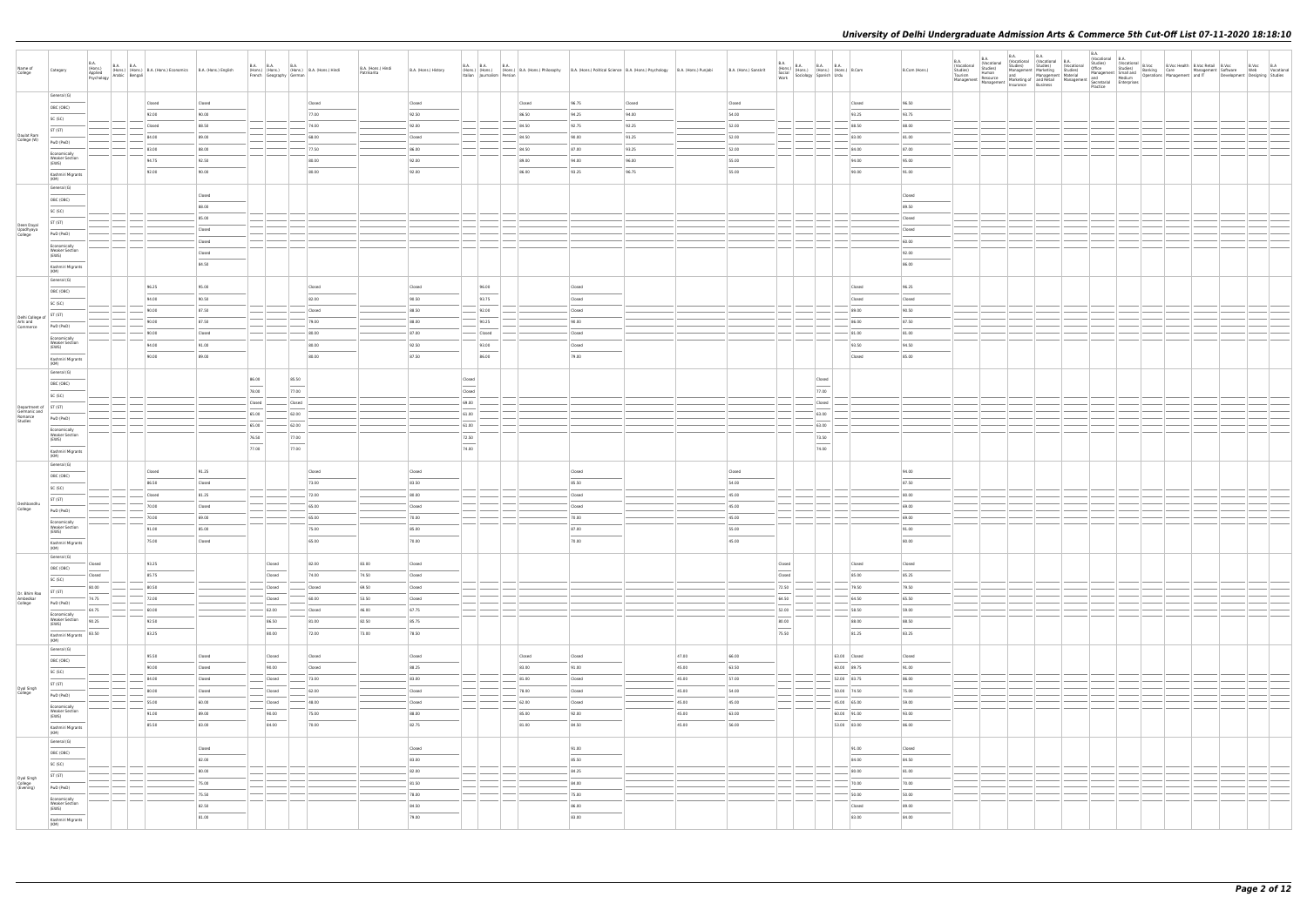| General (G)<br>Closed<br>Closed<br>Closed<br>Closed<br>Closed<br>96.75<br>Closed<br>Closed<br>96.50<br>Closed<br>OBC (OBC)<br>77.00<br>92.50<br>92.00<br>90.00<br>86.50<br>94.25<br>94.00<br>54.00<br>93.25<br>93.75<br>SC (SC)<br>Closed<br>88.50<br>74.00<br>92.00<br>84.50<br>92.75<br>92.25<br>52.00<br>88.50<br>88.00<br>ST (ST)<br>Daulat Ram<br>College (W)<br>84.00<br>89.00<br>68.00<br>Closed<br>84.50<br>90.00<br>91.25<br>52.00<br>83.00<br>81.00<br>PwD (PwD)<br>83.00<br>88.00<br>77.50<br>86.00<br>84.50<br>87.00<br>93.25<br>52.00<br>84.00<br>87.00<br>Economically<br><b>Weaker Section</b><br>94.75<br>92.50<br>80.00<br>92.00<br>89.00<br>94.00<br>96.00<br>55.00<br>94.00<br>95.00<br>(EWS)<br>92.00<br>90.00<br>80.00<br>92.00<br>86.00<br>93.25<br>96.75<br>55.00<br>90.00<br>91.00<br>Kashmiri Migrants<br>(KM)<br>General (G)<br>Closed<br>Closed<br>OBC (OBC)<br>88.00<br>89.50<br>SC (SC)<br>85.00<br>Closed<br>ST (ST)<br>Deen Dayal<br>Upadhyaya<br>College<br>Closed<br>Closed<br>PwD (PwD)<br>Closed<br>60.00<br>Economically<br><b>Weaker Section</b><br>Closed<br>92.00<br>(EWS)<br>84.50<br>86.00<br>Kashmiri Migrants<br>(KM)<br>General (G)<br>96.25<br>95.00<br>Closed<br>96.00<br>96.25<br>Closed<br>Closed<br>Closed<br>OBC (OBC)<br>94.00<br>90.50<br>82.00<br>90.50<br>93.75<br>Closed<br>Closed<br>Closed<br>SC (SC)<br>90.00<br>87.50<br>Closed<br>88.50<br>92.00<br>Closed<br>89.00<br>90.50<br>Delhi College of ST (ST)<br>Arts and<br>Commerce<br>90.00<br>87.50<br>79.00<br>88.00<br>90.25<br>90.00<br>86.00<br>87.50<br>PwD (PwD)<br>90.00<br>80.00<br>87.00<br>Closed<br>Closed<br>81.00<br>81.00<br>Closed<br>Economically<br><b>Weaker Section</b><br>94.00<br>91.00<br>80.00<br>92.50<br>93.00<br>Closed<br>93.50<br>94.50<br>(EWS)<br>86.00<br>90.00<br>89.00<br>80.00<br>87.50<br>79.00<br>Closed<br>85.00<br>Kashmiri Migrants<br>(KM)<br>General (G)<br>86.00<br>85.50<br>Closed<br>Closed<br>OBC (OBC)<br>$\overline{\phantom{a}}$<br>78.00<br>77.00<br>Closed<br>77.00<br>SC (SC)<br>Closed<br>Closed<br>69.00<br>Closed<br>Department of ST (ST)<br>Germanic and<br>Romance<br>Studies<br>65.00<br>62.00<br>61.00<br>63.00<br>PwD (PwD)<br>65.00<br>62.00<br>61.00<br>63.00<br>Economically<br><b>Weaker Section</b><br>76.50<br>77.00<br>72.50<br>73.50<br>(EWS)<br>$\sim$<br>74.00<br>77.00<br>77.00<br>74.00<br>Kashmiri Migrants<br>(KM)<br>General (G)<br>91.25<br>Closed<br>94.00<br>Closed<br>Closed<br>Closed<br>Closed<br>OBC (OBC)<br>86.50<br>73.00<br>83.50<br>85.50<br>54.00<br>87.50<br>Closed<br>SC (SC)<br>Closed<br>81.25<br>72.00<br>80.00<br>Closed<br>45.00<br>80.00<br>ST (ST)<br>Deshbandhu<br>70.00<br>65.00<br>Closed<br>Closed<br>45.00<br>69.00<br>Closed<br>College<br>PwD (PwD)<br>70.00<br>69.00<br>65.00<br>70.00<br>70.00<br>45.00<br>69.00<br>Economically<br><b>Weaker Section</b><br>91.00<br>85.00<br>75.00<br>85.00<br>87.00<br>55.00<br>91.00<br>(EWS)<br>65.00<br>70.00<br>70.00<br>80.00<br>75.00<br>Closed<br>45.00<br>Kashmiri Migrants<br>(KM)<br>General (G)<br>93.25<br>82.00<br>83.00<br>Closed<br>Closed<br>Closed<br>Closed<br>Closed<br>Closed<br>OBC (OBC)<br>$\overline{\phantom{a}}$<br>Closed<br>85.75<br>Closed<br>74.00<br>74.50<br>Closed<br>Closed<br>85.00<br>85.25<br>SC (SC)<br>80.00<br>80.50<br>Closed<br>Closed<br>69.50<br>Closed<br>72.50<br>79.50<br>79.50<br>ST (ST)<br>Dr. Bhim Rao<br>Ambedkar<br>College<br>74.75<br>72.00<br>60.00<br>53.50<br>Closed<br>64.50<br>64.50<br>65.50<br>Closed<br>PwD (PwD)<br>59.00<br>64.75<br>60.00<br>62.00<br>46.00<br>67.75<br>52.00<br>58.50<br>Closed<br>Economically<br><b>Weaker Section</b><br>90.25<br>82.50<br>85.75<br>92.50<br>86.50<br>81.00<br>80.00<br>88.00<br>88.50<br>(EWS)<br>$\overline{\phantom{a}}$<br>$\frac{1}{2}$<br>83.50<br>83.25<br>80.00<br>72.00<br>73.00<br>78.50<br>75.50<br>81.25<br>83.25<br>Kashmiri Migrants<br>(KM)<br>General (G)<br>95.50<br>Closed<br>Closed<br>47.00<br>66.00<br>63.00 Closed<br>Closed<br>Closed<br>Closed<br>Closed<br>Closed<br>OBC (OBC)<br>$\overline{\phantom{a}}$<br>90.00<br>88.25<br>91.00<br>90.00<br>Closed<br>83.00<br>91.00<br>45.00<br>63.50<br>60.00 89.75<br>Closed<br>SC (SC)<br>73.00<br>83.00<br>81.00<br>86.00<br>84.00<br>Closed<br>Closed<br>45.00<br>57.00<br>52.00 83.75<br>Closed<br>ST (ST)<br>Dyal Singh<br>College<br>80.00<br>62.00<br>78.00<br>45.00<br>50.00 74.50<br>75.00<br>Closed<br>Closed<br>54.00<br>Closed<br>Closed<br>PwD (PwD)<br>Closed<br>59.00<br>55.00<br>60.00<br>48.00<br>Closed<br>62.00<br>Closed<br>45.00<br>45.00<br>45.00 65.00<br>Economically<br><b>Weaker Section</b><br>91.00<br>89.00<br>90.00<br>75.00<br>88.00<br>85.00<br>92.00<br>45.00<br>63.00<br>60.00 91.00<br>93.00<br>(EWS)<br>85.50<br>84.00<br>70.00<br>82.75<br>81.00<br>84.50<br>45.00<br>56.00<br>53.00 83.00<br>86.00<br>83.00<br>Kashmiri Migrants<br>(KM)<br>General (G)<br>Closed<br>91.00<br>91.00<br>Closed<br>Closed<br>OBC (OBC)<br>$\overline{\phantom{a}}$<br>82.00<br>83.00<br>85.50<br>84.50<br>84.00<br>SC (SC)<br>80.00<br>82.00<br>84.25<br>80.00<br>81.00<br>ST (ST)<br>Dyal Singh<br>College<br>(Evening)<br>75.00<br>81.50<br>84.00<br>70.00<br>70.00<br>PwD (PwD)<br>75.50<br>78.00<br>75.00<br>50.00<br>50.00<br>Economically<br><b>Weaker Section</b><br>86.00<br>82.50<br>84.50<br>89.00<br>Closed<br>(EWS)<br>81.00<br>79.00<br>83.00<br>83.00<br>84.00<br>Kashmiri Migrants<br>(KM) | Name of<br>College | Category |  | $\begin{tabular}{ c c c c } \hline B.A. & B.A. & B.A. & B.A. & \\\hline (Hons.) & (Hons.) & (Hons.) & B.A. & (Hons.) & Economics & B.A. & (Hons.) & English & \\\textit{Aspited} & Arabic & Bengal & B.A. & (Hons.) & English & \\\hline \end{tabular}$ |  | French Geography German | B.A. B.A. B.A. B.A. (Hons.) B.A. (Hons.) Hindi | B.A. (Hons.) Hindi<br>Patrikarita | B.A. (Hons.) History | Italian Journalism Persian | B.A. B.A. B.A. B.A. (Hons.) B.A. (Hons.) Philosophy B.A. (Hons.) Political Science B.A. (Hons.) Psychology B.A. (Hons.) Punjabi |  | B.A. (Hons.) Sanskrit | $\begin{array}{ l l l } \hline \text{B.A.} & \text{B.A.} & \text{B.A.} & \text{B.A.} \\ \hline \text{Gocial} & \text{(Hons.)} & \text{(Hons.)} & \text{(Hons.)} & \text{B.Com} \\ \hline \text{Sociology} & \text{Spanish} & \text{Urdu} & \text{3.13.} \\ \hline \end{array}$ |  | B.Com (Hons.) | <b>B.A.</b><br>Vocational<br>Studies)<br>Tourism | <b>B.A.</b><br>(Vocational<br>Studies)<br>Human | <b>B.A.</b> | <b>B.A.</b> | <b>B.A.</b><br>Continued B.A.<br>Studies) Studies (Vocational Studies)<br>Management Marketing Studies)<br>and Management Material<br>Management Resource Manketing of and Retail Management and Medium<br>Insurance Business Management Secretarial Enterprises | (Vocational B.A. | Vocatorna I B.<br>1999 - Studies) (Vocational B.Voc C. B. Monte B. Vocational B. Vocational B. Vocational Care Management Software Web Vocational<br>Management Smalland Operations Management and IT Development Designing Studie |  |  |  |
|---------------------------------------------------------------------------------------------------------------------------------------------------------------------------------------------------------------------------------------------------------------------------------------------------------------------------------------------------------------------------------------------------------------------------------------------------------------------------------------------------------------------------------------------------------------------------------------------------------------------------------------------------------------------------------------------------------------------------------------------------------------------------------------------------------------------------------------------------------------------------------------------------------------------------------------------------------------------------------------------------------------------------------------------------------------------------------------------------------------------------------------------------------------------------------------------------------------------------------------------------------------------------------------------------------------------------------------------------------------------------------------------------------------------------------------------------------------------------------------------------------------------------------------------------------------------------------------------------------------------------------------------------------------------------------------------------------------------------------------------------------------------------------------------------------------------------------------------------------------------------------------------------------------------------------------------------------------------------------------------------------------------------------------------------------------------------------------------------------------------------------------------------------------------------------------------------------------------------------------------------------------------------------------------------------------------------------------------------------------------------------------------------------------------------------------------------------------------------------------------------------------------------------------------------------------------------------------------------------------------------------------------------------------------------------------------------------------------------------------------------------------------------------------------------------------------------------------------------------------------------------------------------------------------------------------------------------------------------------------------------------------------------------------------------------------------------------------------------------------------------------------------------------------------------------------------------------------------------------------------------------------------------------------------------------------------------------------------------------------------------------------------------------------------------------------------------------------------------------------------------------------------------------------------------------------------------------------------------------------------------------------------------------------------------------------------------------------------------------------------------------------------------------------------------------------------------------------------------------------------------------------------------------------------------------------------------------------------------------------------------------------------------------------------------------------------------------------------------------------------------------------------------------------------------------------------------------------------------------------------------------------------------------------------------------------------------------------------------------------------------------------------------------------------------------------------------------------------------------------------------------------------------------------------------------------------------------------------------------------------------------------------------------------------------------------------------------------------------------------------------------------------------------------------------------------------------------------------------------------------------------------------------------------------------------------------------------------------------------------------------------------------------------------------------------------------------------------------------------------------------------------------------------------------------------------------------------------------------------------------------------------------------------------------------------------------------------------------------------------------------------------------------------------------------------------------------------------|--------------------|----------|--|---------------------------------------------------------------------------------------------------------------------------------------------------------------------------------------------------------------------------------------------------------|--|-------------------------|------------------------------------------------|-----------------------------------|----------------------|----------------------------|---------------------------------------------------------------------------------------------------------------------------------|--|-----------------------|--------------------------------------------------------------------------------------------------------------------------------------------------------------------------------------------------------------------------------------------------------------------------------|--|---------------|--------------------------------------------------|-------------------------------------------------|-------------|-------------|------------------------------------------------------------------------------------------------------------------------------------------------------------------------------------------------------------------------------------------------------------------|------------------|------------------------------------------------------------------------------------------------------------------------------------------------------------------------------------------------------------------------------------|--|--|--|
|                                                                                                                                                                                                                                                                                                                                                                                                                                                                                                                                                                                                                                                                                                                                                                                                                                                                                                                                                                                                                                                                                                                                                                                                                                                                                                                                                                                                                                                                                                                                                                                                                                                                                                                                                                                                                                                                                                                                                                                                                                                                                                                                                                                                                                                                                                                                                                                                                                                                                                                                                                                                                                                                                                                                                                                                                                                                                                                                                                                                                                                                                                                                                                                                                                                                                                                                                                                                                                                                                                                                                                                                                                                                                                                                                                                                                                                                                                                                                                                                                                                                                                                                                                                                                                                                                                                                                                                                                                                                                                                                                                                                                                                                                                                                                                                                                                                                                                                                                                                                                                                                                                                                                                                                                                                                                                                                                                                                                                                               |                    |          |  |                                                                                                                                                                                                                                                         |  |                         |                                                |                                   |                      |                            |                                                                                                                                 |  |                       |                                                                                                                                                                                                                                                                                |  |               |                                                  |                                                 |             |             |                                                                                                                                                                                                                                                                  |                  |                                                                                                                                                                                                                                    |  |  |  |
|                                                                                                                                                                                                                                                                                                                                                                                                                                                                                                                                                                                                                                                                                                                                                                                                                                                                                                                                                                                                                                                                                                                                                                                                                                                                                                                                                                                                                                                                                                                                                                                                                                                                                                                                                                                                                                                                                                                                                                                                                                                                                                                                                                                                                                                                                                                                                                                                                                                                                                                                                                                                                                                                                                                                                                                                                                                                                                                                                                                                                                                                                                                                                                                                                                                                                                                                                                                                                                                                                                                                                                                                                                                                                                                                                                                                                                                                                                                                                                                                                                                                                                                                                                                                                                                                                                                                                                                                                                                                                                                                                                                                                                                                                                                                                                                                                                                                                                                                                                                                                                                                                                                                                                                                                                                                                                                                                                                                                                                               |                    |          |  |                                                                                                                                                                                                                                                         |  |                         |                                                |                                   |                      |                            |                                                                                                                                 |  |                       |                                                                                                                                                                                                                                                                                |  |               |                                                  |                                                 |             |             |                                                                                                                                                                                                                                                                  |                  |                                                                                                                                                                                                                                    |  |  |  |
|                                                                                                                                                                                                                                                                                                                                                                                                                                                                                                                                                                                                                                                                                                                                                                                                                                                                                                                                                                                                                                                                                                                                                                                                                                                                                                                                                                                                                                                                                                                                                                                                                                                                                                                                                                                                                                                                                                                                                                                                                                                                                                                                                                                                                                                                                                                                                                                                                                                                                                                                                                                                                                                                                                                                                                                                                                                                                                                                                                                                                                                                                                                                                                                                                                                                                                                                                                                                                                                                                                                                                                                                                                                                                                                                                                                                                                                                                                                                                                                                                                                                                                                                                                                                                                                                                                                                                                                                                                                                                                                                                                                                                                                                                                                                                                                                                                                                                                                                                                                                                                                                                                                                                                                                                                                                                                                                                                                                                                                               |                    |          |  |                                                                                                                                                                                                                                                         |  |                         |                                                |                                   |                      |                            |                                                                                                                                 |  |                       |                                                                                                                                                                                                                                                                                |  |               |                                                  |                                                 |             |             |                                                                                                                                                                                                                                                                  |                  |                                                                                                                                                                                                                                    |  |  |  |
|                                                                                                                                                                                                                                                                                                                                                                                                                                                                                                                                                                                                                                                                                                                                                                                                                                                                                                                                                                                                                                                                                                                                                                                                                                                                                                                                                                                                                                                                                                                                                                                                                                                                                                                                                                                                                                                                                                                                                                                                                                                                                                                                                                                                                                                                                                                                                                                                                                                                                                                                                                                                                                                                                                                                                                                                                                                                                                                                                                                                                                                                                                                                                                                                                                                                                                                                                                                                                                                                                                                                                                                                                                                                                                                                                                                                                                                                                                                                                                                                                                                                                                                                                                                                                                                                                                                                                                                                                                                                                                                                                                                                                                                                                                                                                                                                                                                                                                                                                                                                                                                                                                                                                                                                                                                                                                                                                                                                                                                               |                    |          |  |                                                                                                                                                                                                                                                         |  |                         |                                                |                                   |                      |                            |                                                                                                                                 |  |                       |                                                                                                                                                                                                                                                                                |  |               |                                                  |                                                 |             |             |                                                                                                                                                                                                                                                                  |                  |                                                                                                                                                                                                                                    |  |  |  |
|                                                                                                                                                                                                                                                                                                                                                                                                                                                                                                                                                                                                                                                                                                                                                                                                                                                                                                                                                                                                                                                                                                                                                                                                                                                                                                                                                                                                                                                                                                                                                                                                                                                                                                                                                                                                                                                                                                                                                                                                                                                                                                                                                                                                                                                                                                                                                                                                                                                                                                                                                                                                                                                                                                                                                                                                                                                                                                                                                                                                                                                                                                                                                                                                                                                                                                                                                                                                                                                                                                                                                                                                                                                                                                                                                                                                                                                                                                                                                                                                                                                                                                                                                                                                                                                                                                                                                                                                                                                                                                                                                                                                                                                                                                                                                                                                                                                                                                                                                                                                                                                                                                                                                                                                                                                                                                                                                                                                                                                               |                    |          |  |                                                                                                                                                                                                                                                         |  |                         |                                                |                                   |                      |                            |                                                                                                                                 |  |                       |                                                                                                                                                                                                                                                                                |  |               |                                                  |                                                 |             |             |                                                                                                                                                                                                                                                                  |                  |                                                                                                                                                                                                                                    |  |  |  |
|                                                                                                                                                                                                                                                                                                                                                                                                                                                                                                                                                                                                                                                                                                                                                                                                                                                                                                                                                                                                                                                                                                                                                                                                                                                                                                                                                                                                                                                                                                                                                                                                                                                                                                                                                                                                                                                                                                                                                                                                                                                                                                                                                                                                                                                                                                                                                                                                                                                                                                                                                                                                                                                                                                                                                                                                                                                                                                                                                                                                                                                                                                                                                                                                                                                                                                                                                                                                                                                                                                                                                                                                                                                                                                                                                                                                                                                                                                                                                                                                                                                                                                                                                                                                                                                                                                                                                                                                                                                                                                                                                                                                                                                                                                                                                                                                                                                                                                                                                                                                                                                                                                                                                                                                                                                                                                                                                                                                                                                               |                    |          |  |                                                                                                                                                                                                                                                         |  |                         |                                                |                                   |                      |                            |                                                                                                                                 |  |                       |                                                                                                                                                                                                                                                                                |  |               |                                                  |                                                 |             |             |                                                                                                                                                                                                                                                                  |                  |                                                                                                                                                                                                                                    |  |  |  |
|                                                                                                                                                                                                                                                                                                                                                                                                                                                                                                                                                                                                                                                                                                                                                                                                                                                                                                                                                                                                                                                                                                                                                                                                                                                                                                                                                                                                                                                                                                                                                                                                                                                                                                                                                                                                                                                                                                                                                                                                                                                                                                                                                                                                                                                                                                                                                                                                                                                                                                                                                                                                                                                                                                                                                                                                                                                                                                                                                                                                                                                                                                                                                                                                                                                                                                                                                                                                                                                                                                                                                                                                                                                                                                                                                                                                                                                                                                                                                                                                                                                                                                                                                                                                                                                                                                                                                                                                                                                                                                                                                                                                                                                                                                                                                                                                                                                                                                                                                                                                                                                                                                                                                                                                                                                                                                                                                                                                                                                               |                    |          |  |                                                                                                                                                                                                                                                         |  |                         |                                                |                                   |                      |                            |                                                                                                                                 |  |                       |                                                                                                                                                                                                                                                                                |  |               |                                                  |                                                 |             |             |                                                                                                                                                                                                                                                                  |                  |                                                                                                                                                                                                                                    |  |  |  |
|                                                                                                                                                                                                                                                                                                                                                                                                                                                                                                                                                                                                                                                                                                                                                                                                                                                                                                                                                                                                                                                                                                                                                                                                                                                                                                                                                                                                                                                                                                                                                                                                                                                                                                                                                                                                                                                                                                                                                                                                                                                                                                                                                                                                                                                                                                                                                                                                                                                                                                                                                                                                                                                                                                                                                                                                                                                                                                                                                                                                                                                                                                                                                                                                                                                                                                                                                                                                                                                                                                                                                                                                                                                                                                                                                                                                                                                                                                                                                                                                                                                                                                                                                                                                                                                                                                                                                                                                                                                                                                                                                                                                                                                                                                                                                                                                                                                                                                                                                                                                                                                                                                                                                                                                                                                                                                                                                                                                                                                               |                    |          |  |                                                                                                                                                                                                                                                         |  |                         |                                                |                                   |                      |                            |                                                                                                                                 |  |                       |                                                                                                                                                                                                                                                                                |  |               |                                                  |                                                 |             |             |                                                                                                                                                                                                                                                                  |                  |                                                                                                                                                                                                                                    |  |  |  |
|                                                                                                                                                                                                                                                                                                                                                                                                                                                                                                                                                                                                                                                                                                                                                                                                                                                                                                                                                                                                                                                                                                                                                                                                                                                                                                                                                                                                                                                                                                                                                                                                                                                                                                                                                                                                                                                                                                                                                                                                                                                                                                                                                                                                                                                                                                                                                                                                                                                                                                                                                                                                                                                                                                                                                                                                                                                                                                                                                                                                                                                                                                                                                                                                                                                                                                                                                                                                                                                                                                                                                                                                                                                                                                                                                                                                                                                                                                                                                                                                                                                                                                                                                                                                                                                                                                                                                                                                                                                                                                                                                                                                                                                                                                                                                                                                                                                                                                                                                                                                                                                                                                                                                                                                                                                                                                                                                                                                                                                               |                    |          |  |                                                                                                                                                                                                                                                         |  |                         |                                                |                                   |                      |                            |                                                                                                                                 |  |                       |                                                                                                                                                                                                                                                                                |  |               |                                                  |                                                 |             |             |                                                                                                                                                                                                                                                                  |                  |                                                                                                                                                                                                                                    |  |  |  |
|                                                                                                                                                                                                                                                                                                                                                                                                                                                                                                                                                                                                                                                                                                                                                                                                                                                                                                                                                                                                                                                                                                                                                                                                                                                                                                                                                                                                                                                                                                                                                                                                                                                                                                                                                                                                                                                                                                                                                                                                                                                                                                                                                                                                                                                                                                                                                                                                                                                                                                                                                                                                                                                                                                                                                                                                                                                                                                                                                                                                                                                                                                                                                                                                                                                                                                                                                                                                                                                                                                                                                                                                                                                                                                                                                                                                                                                                                                                                                                                                                                                                                                                                                                                                                                                                                                                                                                                                                                                                                                                                                                                                                                                                                                                                                                                                                                                                                                                                                                                                                                                                                                                                                                                                                                                                                                                                                                                                                                                               |                    |          |  |                                                                                                                                                                                                                                                         |  |                         |                                                |                                   |                      |                            |                                                                                                                                 |  |                       |                                                                                                                                                                                                                                                                                |  |               |                                                  |                                                 |             |             |                                                                                                                                                                                                                                                                  |                  |                                                                                                                                                                                                                                    |  |  |  |
|                                                                                                                                                                                                                                                                                                                                                                                                                                                                                                                                                                                                                                                                                                                                                                                                                                                                                                                                                                                                                                                                                                                                                                                                                                                                                                                                                                                                                                                                                                                                                                                                                                                                                                                                                                                                                                                                                                                                                                                                                                                                                                                                                                                                                                                                                                                                                                                                                                                                                                                                                                                                                                                                                                                                                                                                                                                                                                                                                                                                                                                                                                                                                                                                                                                                                                                                                                                                                                                                                                                                                                                                                                                                                                                                                                                                                                                                                                                                                                                                                                                                                                                                                                                                                                                                                                                                                                                                                                                                                                                                                                                                                                                                                                                                                                                                                                                                                                                                                                                                                                                                                                                                                                                                                                                                                                                                                                                                                                                               |                    |          |  |                                                                                                                                                                                                                                                         |  |                         |                                                |                                   |                      |                            |                                                                                                                                 |  |                       |                                                                                                                                                                                                                                                                                |  |               |                                                  |                                                 |             |             |                                                                                                                                                                                                                                                                  |                  |                                                                                                                                                                                                                                    |  |  |  |
|                                                                                                                                                                                                                                                                                                                                                                                                                                                                                                                                                                                                                                                                                                                                                                                                                                                                                                                                                                                                                                                                                                                                                                                                                                                                                                                                                                                                                                                                                                                                                                                                                                                                                                                                                                                                                                                                                                                                                                                                                                                                                                                                                                                                                                                                                                                                                                                                                                                                                                                                                                                                                                                                                                                                                                                                                                                                                                                                                                                                                                                                                                                                                                                                                                                                                                                                                                                                                                                                                                                                                                                                                                                                                                                                                                                                                                                                                                                                                                                                                                                                                                                                                                                                                                                                                                                                                                                                                                                                                                                                                                                                                                                                                                                                                                                                                                                                                                                                                                                                                                                                                                                                                                                                                                                                                                                                                                                                                                                               |                    |          |  |                                                                                                                                                                                                                                                         |  |                         |                                                |                                   |                      |                            |                                                                                                                                 |  |                       |                                                                                                                                                                                                                                                                                |  |               |                                                  |                                                 |             |             |                                                                                                                                                                                                                                                                  |                  |                                                                                                                                                                                                                                    |  |  |  |
|                                                                                                                                                                                                                                                                                                                                                                                                                                                                                                                                                                                                                                                                                                                                                                                                                                                                                                                                                                                                                                                                                                                                                                                                                                                                                                                                                                                                                                                                                                                                                                                                                                                                                                                                                                                                                                                                                                                                                                                                                                                                                                                                                                                                                                                                                                                                                                                                                                                                                                                                                                                                                                                                                                                                                                                                                                                                                                                                                                                                                                                                                                                                                                                                                                                                                                                                                                                                                                                                                                                                                                                                                                                                                                                                                                                                                                                                                                                                                                                                                                                                                                                                                                                                                                                                                                                                                                                                                                                                                                                                                                                                                                                                                                                                                                                                                                                                                                                                                                                                                                                                                                                                                                                                                                                                                                                                                                                                                                                               |                    |          |  |                                                                                                                                                                                                                                                         |  |                         |                                                |                                   |                      |                            |                                                                                                                                 |  |                       |                                                                                                                                                                                                                                                                                |  |               |                                                  |                                                 |             |             |                                                                                                                                                                                                                                                                  |                  |                                                                                                                                                                                                                                    |  |  |  |
|                                                                                                                                                                                                                                                                                                                                                                                                                                                                                                                                                                                                                                                                                                                                                                                                                                                                                                                                                                                                                                                                                                                                                                                                                                                                                                                                                                                                                                                                                                                                                                                                                                                                                                                                                                                                                                                                                                                                                                                                                                                                                                                                                                                                                                                                                                                                                                                                                                                                                                                                                                                                                                                                                                                                                                                                                                                                                                                                                                                                                                                                                                                                                                                                                                                                                                                                                                                                                                                                                                                                                                                                                                                                                                                                                                                                                                                                                                                                                                                                                                                                                                                                                                                                                                                                                                                                                                                                                                                                                                                                                                                                                                                                                                                                                                                                                                                                                                                                                                                                                                                                                                                                                                                                                                                                                                                                                                                                                                                               |                    |          |  |                                                                                                                                                                                                                                                         |  |                         |                                                |                                   |                      |                            |                                                                                                                                 |  |                       |                                                                                                                                                                                                                                                                                |  |               |                                                  |                                                 |             |             |                                                                                                                                                                                                                                                                  |                  |                                                                                                                                                                                                                                    |  |  |  |
|                                                                                                                                                                                                                                                                                                                                                                                                                                                                                                                                                                                                                                                                                                                                                                                                                                                                                                                                                                                                                                                                                                                                                                                                                                                                                                                                                                                                                                                                                                                                                                                                                                                                                                                                                                                                                                                                                                                                                                                                                                                                                                                                                                                                                                                                                                                                                                                                                                                                                                                                                                                                                                                                                                                                                                                                                                                                                                                                                                                                                                                                                                                                                                                                                                                                                                                                                                                                                                                                                                                                                                                                                                                                                                                                                                                                                                                                                                                                                                                                                                                                                                                                                                                                                                                                                                                                                                                                                                                                                                                                                                                                                                                                                                                                                                                                                                                                                                                                                                                                                                                                                                                                                                                                                                                                                                                                                                                                                                                               |                    |          |  |                                                                                                                                                                                                                                                         |  |                         |                                                |                                   |                      |                            |                                                                                                                                 |  |                       |                                                                                                                                                                                                                                                                                |  |               |                                                  |                                                 |             |             |                                                                                                                                                                                                                                                                  |                  |                                                                                                                                                                                                                                    |  |  |  |
|                                                                                                                                                                                                                                                                                                                                                                                                                                                                                                                                                                                                                                                                                                                                                                                                                                                                                                                                                                                                                                                                                                                                                                                                                                                                                                                                                                                                                                                                                                                                                                                                                                                                                                                                                                                                                                                                                                                                                                                                                                                                                                                                                                                                                                                                                                                                                                                                                                                                                                                                                                                                                                                                                                                                                                                                                                                                                                                                                                                                                                                                                                                                                                                                                                                                                                                                                                                                                                                                                                                                                                                                                                                                                                                                                                                                                                                                                                                                                                                                                                                                                                                                                                                                                                                                                                                                                                                                                                                                                                                                                                                                                                                                                                                                                                                                                                                                                                                                                                                                                                                                                                                                                                                                                                                                                                                                                                                                                                                               |                    |          |  |                                                                                                                                                                                                                                                         |  |                         |                                                |                                   |                      |                            |                                                                                                                                 |  |                       |                                                                                                                                                                                                                                                                                |  |               |                                                  |                                                 |             |             |                                                                                                                                                                                                                                                                  |                  |                                                                                                                                                                                                                                    |  |  |  |
|                                                                                                                                                                                                                                                                                                                                                                                                                                                                                                                                                                                                                                                                                                                                                                                                                                                                                                                                                                                                                                                                                                                                                                                                                                                                                                                                                                                                                                                                                                                                                                                                                                                                                                                                                                                                                                                                                                                                                                                                                                                                                                                                                                                                                                                                                                                                                                                                                                                                                                                                                                                                                                                                                                                                                                                                                                                                                                                                                                                                                                                                                                                                                                                                                                                                                                                                                                                                                                                                                                                                                                                                                                                                                                                                                                                                                                                                                                                                                                                                                                                                                                                                                                                                                                                                                                                                                                                                                                                                                                                                                                                                                                                                                                                                                                                                                                                                                                                                                                                                                                                                                                                                                                                                                                                                                                                                                                                                                                                               |                    |          |  |                                                                                                                                                                                                                                                         |  |                         |                                                |                                   |                      |                            |                                                                                                                                 |  |                       |                                                                                                                                                                                                                                                                                |  |               |                                                  |                                                 |             |             |                                                                                                                                                                                                                                                                  |                  |                                                                                                                                                                                                                                    |  |  |  |
|                                                                                                                                                                                                                                                                                                                                                                                                                                                                                                                                                                                                                                                                                                                                                                                                                                                                                                                                                                                                                                                                                                                                                                                                                                                                                                                                                                                                                                                                                                                                                                                                                                                                                                                                                                                                                                                                                                                                                                                                                                                                                                                                                                                                                                                                                                                                                                                                                                                                                                                                                                                                                                                                                                                                                                                                                                                                                                                                                                                                                                                                                                                                                                                                                                                                                                                                                                                                                                                                                                                                                                                                                                                                                                                                                                                                                                                                                                                                                                                                                                                                                                                                                                                                                                                                                                                                                                                                                                                                                                                                                                                                                                                                                                                                                                                                                                                                                                                                                                                                                                                                                                                                                                                                                                                                                                                                                                                                                                                               |                    |          |  |                                                                                                                                                                                                                                                         |  |                         |                                                |                                   |                      |                            |                                                                                                                                 |  |                       |                                                                                                                                                                                                                                                                                |  |               |                                                  |                                                 |             |             |                                                                                                                                                                                                                                                                  |                  |                                                                                                                                                                                                                                    |  |  |  |
|                                                                                                                                                                                                                                                                                                                                                                                                                                                                                                                                                                                                                                                                                                                                                                                                                                                                                                                                                                                                                                                                                                                                                                                                                                                                                                                                                                                                                                                                                                                                                                                                                                                                                                                                                                                                                                                                                                                                                                                                                                                                                                                                                                                                                                                                                                                                                                                                                                                                                                                                                                                                                                                                                                                                                                                                                                                                                                                                                                                                                                                                                                                                                                                                                                                                                                                                                                                                                                                                                                                                                                                                                                                                                                                                                                                                                                                                                                                                                                                                                                                                                                                                                                                                                                                                                                                                                                                                                                                                                                                                                                                                                                                                                                                                                                                                                                                                                                                                                                                                                                                                                                                                                                                                                                                                                                                                                                                                                                                               |                    |          |  |                                                                                                                                                                                                                                                         |  |                         |                                                |                                   |                      |                            |                                                                                                                                 |  |                       |                                                                                                                                                                                                                                                                                |  |               |                                                  |                                                 |             |             |                                                                                                                                                                                                                                                                  |                  |                                                                                                                                                                                                                                    |  |  |  |
|                                                                                                                                                                                                                                                                                                                                                                                                                                                                                                                                                                                                                                                                                                                                                                                                                                                                                                                                                                                                                                                                                                                                                                                                                                                                                                                                                                                                                                                                                                                                                                                                                                                                                                                                                                                                                                                                                                                                                                                                                                                                                                                                                                                                                                                                                                                                                                                                                                                                                                                                                                                                                                                                                                                                                                                                                                                                                                                                                                                                                                                                                                                                                                                                                                                                                                                                                                                                                                                                                                                                                                                                                                                                                                                                                                                                                                                                                                                                                                                                                                                                                                                                                                                                                                                                                                                                                                                                                                                                                                                                                                                                                                                                                                                                                                                                                                                                                                                                                                                                                                                                                                                                                                                                                                                                                                                                                                                                                                                               |                    |          |  |                                                                                                                                                                                                                                                         |  |                         |                                                |                                   |                      |                            |                                                                                                                                 |  |                       |                                                                                                                                                                                                                                                                                |  |               |                                                  |                                                 |             |             |                                                                                                                                                                                                                                                                  |                  |                                                                                                                                                                                                                                    |  |  |  |
|                                                                                                                                                                                                                                                                                                                                                                                                                                                                                                                                                                                                                                                                                                                                                                                                                                                                                                                                                                                                                                                                                                                                                                                                                                                                                                                                                                                                                                                                                                                                                                                                                                                                                                                                                                                                                                                                                                                                                                                                                                                                                                                                                                                                                                                                                                                                                                                                                                                                                                                                                                                                                                                                                                                                                                                                                                                                                                                                                                                                                                                                                                                                                                                                                                                                                                                                                                                                                                                                                                                                                                                                                                                                                                                                                                                                                                                                                                                                                                                                                                                                                                                                                                                                                                                                                                                                                                                                                                                                                                                                                                                                                                                                                                                                                                                                                                                                                                                                                                                                                                                                                                                                                                                                                                                                                                                                                                                                                                                               |                    |          |  |                                                                                                                                                                                                                                                         |  |                         |                                                |                                   |                      |                            |                                                                                                                                 |  |                       |                                                                                                                                                                                                                                                                                |  |               |                                                  |                                                 |             |             |                                                                                                                                                                                                                                                                  |                  |                                                                                                                                                                                                                                    |  |  |  |
|                                                                                                                                                                                                                                                                                                                                                                                                                                                                                                                                                                                                                                                                                                                                                                                                                                                                                                                                                                                                                                                                                                                                                                                                                                                                                                                                                                                                                                                                                                                                                                                                                                                                                                                                                                                                                                                                                                                                                                                                                                                                                                                                                                                                                                                                                                                                                                                                                                                                                                                                                                                                                                                                                                                                                                                                                                                                                                                                                                                                                                                                                                                                                                                                                                                                                                                                                                                                                                                                                                                                                                                                                                                                                                                                                                                                                                                                                                                                                                                                                                                                                                                                                                                                                                                                                                                                                                                                                                                                                                                                                                                                                                                                                                                                                                                                                                                                                                                                                                                                                                                                                                                                                                                                                                                                                                                                                                                                                                                               |                    |          |  |                                                                                                                                                                                                                                                         |  |                         |                                                |                                   |                      |                            |                                                                                                                                 |  |                       |                                                                                                                                                                                                                                                                                |  |               |                                                  |                                                 |             |             |                                                                                                                                                                                                                                                                  |                  |                                                                                                                                                                                                                                    |  |  |  |
|                                                                                                                                                                                                                                                                                                                                                                                                                                                                                                                                                                                                                                                                                                                                                                                                                                                                                                                                                                                                                                                                                                                                                                                                                                                                                                                                                                                                                                                                                                                                                                                                                                                                                                                                                                                                                                                                                                                                                                                                                                                                                                                                                                                                                                                                                                                                                                                                                                                                                                                                                                                                                                                                                                                                                                                                                                                                                                                                                                                                                                                                                                                                                                                                                                                                                                                                                                                                                                                                                                                                                                                                                                                                                                                                                                                                                                                                                                                                                                                                                                                                                                                                                                                                                                                                                                                                                                                                                                                                                                                                                                                                                                                                                                                                                                                                                                                                                                                                                                                                                                                                                                                                                                                                                                                                                                                                                                                                                                                               |                    |          |  |                                                                                                                                                                                                                                                         |  |                         |                                                |                                   |                      |                            |                                                                                                                                 |  |                       |                                                                                                                                                                                                                                                                                |  |               |                                                  |                                                 |             |             |                                                                                                                                                                                                                                                                  |                  |                                                                                                                                                                                                                                    |  |  |  |
|                                                                                                                                                                                                                                                                                                                                                                                                                                                                                                                                                                                                                                                                                                                                                                                                                                                                                                                                                                                                                                                                                                                                                                                                                                                                                                                                                                                                                                                                                                                                                                                                                                                                                                                                                                                                                                                                                                                                                                                                                                                                                                                                                                                                                                                                                                                                                                                                                                                                                                                                                                                                                                                                                                                                                                                                                                                                                                                                                                                                                                                                                                                                                                                                                                                                                                                                                                                                                                                                                                                                                                                                                                                                                                                                                                                                                                                                                                                                                                                                                                                                                                                                                                                                                                                                                                                                                                                                                                                                                                                                                                                                                                                                                                                                                                                                                                                                                                                                                                                                                                                                                                                                                                                                                                                                                                                                                                                                                                                               |                    |          |  |                                                                                                                                                                                                                                                         |  |                         |                                                |                                   |                      |                            |                                                                                                                                 |  |                       |                                                                                                                                                                                                                                                                                |  |               |                                                  |                                                 |             |             |                                                                                                                                                                                                                                                                  |                  |                                                                                                                                                                                                                                    |  |  |  |
|                                                                                                                                                                                                                                                                                                                                                                                                                                                                                                                                                                                                                                                                                                                                                                                                                                                                                                                                                                                                                                                                                                                                                                                                                                                                                                                                                                                                                                                                                                                                                                                                                                                                                                                                                                                                                                                                                                                                                                                                                                                                                                                                                                                                                                                                                                                                                                                                                                                                                                                                                                                                                                                                                                                                                                                                                                                                                                                                                                                                                                                                                                                                                                                                                                                                                                                                                                                                                                                                                                                                                                                                                                                                                                                                                                                                                                                                                                                                                                                                                                                                                                                                                                                                                                                                                                                                                                                                                                                                                                                                                                                                                                                                                                                                                                                                                                                                                                                                                                                                                                                                                                                                                                                                                                                                                                                                                                                                                                                               |                    |          |  |                                                                                                                                                                                                                                                         |  |                         |                                                |                                   |                      |                            |                                                                                                                                 |  |                       |                                                                                                                                                                                                                                                                                |  |               |                                                  |                                                 |             |             |                                                                                                                                                                                                                                                                  |                  |                                                                                                                                                                                                                                    |  |  |  |
|                                                                                                                                                                                                                                                                                                                                                                                                                                                                                                                                                                                                                                                                                                                                                                                                                                                                                                                                                                                                                                                                                                                                                                                                                                                                                                                                                                                                                                                                                                                                                                                                                                                                                                                                                                                                                                                                                                                                                                                                                                                                                                                                                                                                                                                                                                                                                                                                                                                                                                                                                                                                                                                                                                                                                                                                                                                                                                                                                                                                                                                                                                                                                                                                                                                                                                                                                                                                                                                                                                                                                                                                                                                                                                                                                                                                                                                                                                                                                                                                                                                                                                                                                                                                                                                                                                                                                                                                                                                                                                                                                                                                                                                                                                                                                                                                                                                                                                                                                                                                                                                                                                                                                                                                                                                                                                                                                                                                                                                               |                    |          |  |                                                                                                                                                                                                                                                         |  |                         |                                                |                                   |                      |                            |                                                                                                                                 |  |                       |                                                                                                                                                                                                                                                                                |  |               |                                                  |                                                 |             |             |                                                                                                                                                                                                                                                                  |                  |                                                                                                                                                                                                                                    |  |  |  |
|                                                                                                                                                                                                                                                                                                                                                                                                                                                                                                                                                                                                                                                                                                                                                                                                                                                                                                                                                                                                                                                                                                                                                                                                                                                                                                                                                                                                                                                                                                                                                                                                                                                                                                                                                                                                                                                                                                                                                                                                                                                                                                                                                                                                                                                                                                                                                                                                                                                                                                                                                                                                                                                                                                                                                                                                                                                                                                                                                                                                                                                                                                                                                                                                                                                                                                                                                                                                                                                                                                                                                                                                                                                                                                                                                                                                                                                                                                                                                                                                                                                                                                                                                                                                                                                                                                                                                                                                                                                                                                                                                                                                                                                                                                                                                                                                                                                                                                                                                                                                                                                                                                                                                                                                                                                                                                                                                                                                                                                               |                    |          |  |                                                                                                                                                                                                                                                         |  |                         |                                                |                                   |                      |                            |                                                                                                                                 |  |                       |                                                                                                                                                                                                                                                                                |  |               |                                                  |                                                 |             |             |                                                                                                                                                                                                                                                                  |                  |                                                                                                                                                                                                                                    |  |  |  |
|                                                                                                                                                                                                                                                                                                                                                                                                                                                                                                                                                                                                                                                                                                                                                                                                                                                                                                                                                                                                                                                                                                                                                                                                                                                                                                                                                                                                                                                                                                                                                                                                                                                                                                                                                                                                                                                                                                                                                                                                                                                                                                                                                                                                                                                                                                                                                                                                                                                                                                                                                                                                                                                                                                                                                                                                                                                                                                                                                                                                                                                                                                                                                                                                                                                                                                                                                                                                                                                                                                                                                                                                                                                                                                                                                                                                                                                                                                                                                                                                                                                                                                                                                                                                                                                                                                                                                                                                                                                                                                                                                                                                                                                                                                                                                                                                                                                                                                                                                                                                                                                                                                                                                                                                                                                                                                                                                                                                                                                               |                    |          |  |                                                                                                                                                                                                                                                         |  |                         |                                                |                                   |                      |                            |                                                                                                                                 |  |                       |                                                                                                                                                                                                                                                                                |  |               |                                                  |                                                 |             |             |                                                                                                                                                                                                                                                                  |                  |                                                                                                                                                                                                                                    |  |  |  |
|                                                                                                                                                                                                                                                                                                                                                                                                                                                                                                                                                                                                                                                                                                                                                                                                                                                                                                                                                                                                                                                                                                                                                                                                                                                                                                                                                                                                                                                                                                                                                                                                                                                                                                                                                                                                                                                                                                                                                                                                                                                                                                                                                                                                                                                                                                                                                                                                                                                                                                                                                                                                                                                                                                                                                                                                                                                                                                                                                                                                                                                                                                                                                                                                                                                                                                                                                                                                                                                                                                                                                                                                                                                                                                                                                                                                                                                                                                                                                                                                                                                                                                                                                                                                                                                                                                                                                                                                                                                                                                                                                                                                                                                                                                                                                                                                                                                                                                                                                                                                                                                                                                                                                                                                                                                                                                                                                                                                                                                               |                    |          |  |                                                                                                                                                                                                                                                         |  |                         |                                                |                                   |                      |                            |                                                                                                                                 |  |                       |                                                                                                                                                                                                                                                                                |  |               |                                                  |                                                 |             |             |                                                                                                                                                                                                                                                                  |                  |                                                                                                                                                                                                                                    |  |  |  |
|                                                                                                                                                                                                                                                                                                                                                                                                                                                                                                                                                                                                                                                                                                                                                                                                                                                                                                                                                                                                                                                                                                                                                                                                                                                                                                                                                                                                                                                                                                                                                                                                                                                                                                                                                                                                                                                                                                                                                                                                                                                                                                                                                                                                                                                                                                                                                                                                                                                                                                                                                                                                                                                                                                                                                                                                                                                                                                                                                                                                                                                                                                                                                                                                                                                                                                                                                                                                                                                                                                                                                                                                                                                                                                                                                                                                                                                                                                                                                                                                                                                                                                                                                                                                                                                                                                                                                                                                                                                                                                                                                                                                                                                                                                                                                                                                                                                                                                                                                                                                                                                                                                                                                                                                                                                                                                                                                                                                                                                               |                    |          |  |                                                                                                                                                                                                                                                         |  |                         |                                                |                                   |                      |                            |                                                                                                                                 |  |                       |                                                                                                                                                                                                                                                                                |  |               |                                                  |                                                 |             |             |                                                                                                                                                                                                                                                                  |                  |                                                                                                                                                                                                                                    |  |  |  |
|                                                                                                                                                                                                                                                                                                                                                                                                                                                                                                                                                                                                                                                                                                                                                                                                                                                                                                                                                                                                                                                                                                                                                                                                                                                                                                                                                                                                                                                                                                                                                                                                                                                                                                                                                                                                                                                                                                                                                                                                                                                                                                                                                                                                                                                                                                                                                                                                                                                                                                                                                                                                                                                                                                                                                                                                                                                                                                                                                                                                                                                                                                                                                                                                                                                                                                                                                                                                                                                                                                                                                                                                                                                                                                                                                                                                                                                                                                                                                                                                                                                                                                                                                                                                                                                                                                                                                                                                                                                                                                                                                                                                                                                                                                                                                                                                                                                                                                                                                                                                                                                                                                                                                                                                                                                                                                                                                                                                                                                               |                    |          |  |                                                                                                                                                                                                                                                         |  |                         |                                                |                                   |                      |                            |                                                                                                                                 |  |                       |                                                                                                                                                                                                                                                                                |  |               |                                                  |                                                 |             |             |                                                                                                                                                                                                                                                                  |                  |                                                                                                                                                                                                                                    |  |  |  |
|                                                                                                                                                                                                                                                                                                                                                                                                                                                                                                                                                                                                                                                                                                                                                                                                                                                                                                                                                                                                                                                                                                                                                                                                                                                                                                                                                                                                                                                                                                                                                                                                                                                                                                                                                                                                                                                                                                                                                                                                                                                                                                                                                                                                                                                                                                                                                                                                                                                                                                                                                                                                                                                                                                                                                                                                                                                                                                                                                                                                                                                                                                                                                                                                                                                                                                                                                                                                                                                                                                                                                                                                                                                                                                                                                                                                                                                                                                                                                                                                                                                                                                                                                                                                                                                                                                                                                                                                                                                                                                                                                                                                                                                                                                                                                                                                                                                                                                                                                                                                                                                                                                                                                                                                                                                                                                                                                                                                                                                               |                    |          |  |                                                                                                                                                                                                                                                         |  |                         |                                                |                                   |                      |                            |                                                                                                                                 |  |                       |                                                                                                                                                                                                                                                                                |  |               |                                                  |                                                 |             |             |                                                                                                                                                                                                                                                                  |                  |                                                                                                                                                                                                                                    |  |  |  |
|                                                                                                                                                                                                                                                                                                                                                                                                                                                                                                                                                                                                                                                                                                                                                                                                                                                                                                                                                                                                                                                                                                                                                                                                                                                                                                                                                                                                                                                                                                                                                                                                                                                                                                                                                                                                                                                                                                                                                                                                                                                                                                                                                                                                                                                                                                                                                                                                                                                                                                                                                                                                                                                                                                                                                                                                                                                                                                                                                                                                                                                                                                                                                                                                                                                                                                                                                                                                                                                                                                                                                                                                                                                                                                                                                                                                                                                                                                                                                                                                                                                                                                                                                                                                                                                                                                                                                                                                                                                                                                                                                                                                                                                                                                                                                                                                                                                                                                                                                                                                                                                                                                                                                                                                                                                                                                                                                                                                                                                               |                    |          |  |                                                                                                                                                                                                                                                         |  |                         |                                                |                                   |                      |                            |                                                                                                                                 |  |                       |                                                                                                                                                                                                                                                                                |  |               |                                                  |                                                 |             |             |                                                                                                                                                                                                                                                                  |                  |                                                                                                                                                                                                                                    |  |  |  |
|                                                                                                                                                                                                                                                                                                                                                                                                                                                                                                                                                                                                                                                                                                                                                                                                                                                                                                                                                                                                                                                                                                                                                                                                                                                                                                                                                                                                                                                                                                                                                                                                                                                                                                                                                                                                                                                                                                                                                                                                                                                                                                                                                                                                                                                                                                                                                                                                                                                                                                                                                                                                                                                                                                                                                                                                                                                                                                                                                                                                                                                                                                                                                                                                                                                                                                                                                                                                                                                                                                                                                                                                                                                                                                                                                                                                                                                                                                                                                                                                                                                                                                                                                                                                                                                                                                                                                                                                                                                                                                                                                                                                                                                                                                                                                                                                                                                                                                                                                                                                                                                                                                                                                                                                                                                                                                                                                                                                                                                               |                    |          |  |                                                                                                                                                                                                                                                         |  |                         |                                                |                                   |                      |                            |                                                                                                                                 |  |                       |                                                                                                                                                                                                                                                                                |  |               |                                                  |                                                 |             |             |                                                                                                                                                                                                                                                                  |                  |                                                                                                                                                                                                                                    |  |  |  |
|                                                                                                                                                                                                                                                                                                                                                                                                                                                                                                                                                                                                                                                                                                                                                                                                                                                                                                                                                                                                                                                                                                                                                                                                                                                                                                                                                                                                                                                                                                                                                                                                                                                                                                                                                                                                                                                                                                                                                                                                                                                                                                                                                                                                                                                                                                                                                                                                                                                                                                                                                                                                                                                                                                                                                                                                                                                                                                                                                                                                                                                                                                                                                                                                                                                                                                                                                                                                                                                                                                                                                                                                                                                                                                                                                                                                                                                                                                                                                                                                                                                                                                                                                                                                                                                                                                                                                                                                                                                                                                                                                                                                                                                                                                                                                                                                                                                                                                                                                                                                                                                                                                                                                                                                                                                                                                                                                                                                                                                               |                    |          |  |                                                                                                                                                                                                                                                         |  |                         |                                                |                                   |                      |                            |                                                                                                                                 |  |                       |                                                                                                                                                                                                                                                                                |  |               |                                                  |                                                 |             |             |                                                                                                                                                                                                                                                                  |                  |                                                                                                                                                                                                                                    |  |  |  |
|                                                                                                                                                                                                                                                                                                                                                                                                                                                                                                                                                                                                                                                                                                                                                                                                                                                                                                                                                                                                                                                                                                                                                                                                                                                                                                                                                                                                                                                                                                                                                                                                                                                                                                                                                                                                                                                                                                                                                                                                                                                                                                                                                                                                                                                                                                                                                                                                                                                                                                                                                                                                                                                                                                                                                                                                                                                                                                                                                                                                                                                                                                                                                                                                                                                                                                                                                                                                                                                                                                                                                                                                                                                                                                                                                                                                                                                                                                                                                                                                                                                                                                                                                                                                                                                                                                                                                                                                                                                                                                                                                                                                                                                                                                                                                                                                                                                                                                                                                                                                                                                                                                                                                                                                                                                                                                                                                                                                                                                               |                    |          |  |                                                                                                                                                                                                                                                         |  |                         |                                                |                                   |                      |                            |                                                                                                                                 |  |                       |                                                                                                                                                                                                                                                                                |  |               |                                                  |                                                 |             |             |                                                                                                                                                                                                                                                                  |                  |                                                                                                                                                                                                                                    |  |  |  |
|                                                                                                                                                                                                                                                                                                                                                                                                                                                                                                                                                                                                                                                                                                                                                                                                                                                                                                                                                                                                                                                                                                                                                                                                                                                                                                                                                                                                                                                                                                                                                                                                                                                                                                                                                                                                                                                                                                                                                                                                                                                                                                                                                                                                                                                                                                                                                                                                                                                                                                                                                                                                                                                                                                                                                                                                                                                                                                                                                                                                                                                                                                                                                                                                                                                                                                                                                                                                                                                                                                                                                                                                                                                                                                                                                                                                                                                                                                                                                                                                                                                                                                                                                                                                                                                                                                                                                                                                                                                                                                                                                                                                                                                                                                                                                                                                                                                                                                                                                                                                                                                                                                                                                                                                                                                                                                                                                                                                                                                               |                    |          |  |                                                                                                                                                                                                                                                         |  |                         |                                                |                                   |                      |                            |                                                                                                                                 |  |                       |                                                                                                                                                                                                                                                                                |  |               |                                                  |                                                 |             |             |                                                                                                                                                                                                                                                                  |                  |                                                                                                                                                                                                                                    |  |  |  |
|                                                                                                                                                                                                                                                                                                                                                                                                                                                                                                                                                                                                                                                                                                                                                                                                                                                                                                                                                                                                                                                                                                                                                                                                                                                                                                                                                                                                                                                                                                                                                                                                                                                                                                                                                                                                                                                                                                                                                                                                                                                                                                                                                                                                                                                                                                                                                                                                                                                                                                                                                                                                                                                                                                                                                                                                                                                                                                                                                                                                                                                                                                                                                                                                                                                                                                                                                                                                                                                                                                                                                                                                                                                                                                                                                                                                                                                                                                                                                                                                                                                                                                                                                                                                                                                                                                                                                                                                                                                                                                                                                                                                                                                                                                                                                                                                                                                                                                                                                                                                                                                                                                                                                                                                                                                                                                                                                                                                                                                               |                    |          |  |                                                                                                                                                                                                                                                         |  |                         |                                                |                                   |                      |                            |                                                                                                                                 |  |                       |                                                                                                                                                                                                                                                                                |  |               |                                                  |                                                 |             |             |                                                                                                                                                                                                                                                                  |                  |                                                                                                                                                                                                                                    |  |  |  |
|                                                                                                                                                                                                                                                                                                                                                                                                                                                                                                                                                                                                                                                                                                                                                                                                                                                                                                                                                                                                                                                                                                                                                                                                                                                                                                                                                                                                                                                                                                                                                                                                                                                                                                                                                                                                                                                                                                                                                                                                                                                                                                                                                                                                                                                                                                                                                                                                                                                                                                                                                                                                                                                                                                                                                                                                                                                                                                                                                                                                                                                                                                                                                                                                                                                                                                                                                                                                                                                                                                                                                                                                                                                                                                                                                                                                                                                                                                                                                                                                                                                                                                                                                                                                                                                                                                                                                                                                                                                                                                                                                                                                                                                                                                                                                                                                                                                                                                                                                                                                                                                                                                                                                                                                                                                                                                                                                                                                                                                               |                    |          |  |                                                                                                                                                                                                                                                         |  |                         |                                                |                                   |                      |                            |                                                                                                                                 |  |                       |                                                                                                                                                                                                                                                                                |  |               |                                                  |                                                 |             |             |                                                                                                                                                                                                                                                                  |                  |                                                                                                                                                                                                                                    |  |  |  |
|                                                                                                                                                                                                                                                                                                                                                                                                                                                                                                                                                                                                                                                                                                                                                                                                                                                                                                                                                                                                                                                                                                                                                                                                                                                                                                                                                                                                                                                                                                                                                                                                                                                                                                                                                                                                                                                                                                                                                                                                                                                                                                                                                                                                                                                                                                                                                                                                                                                                                                                                                                                                                                                                                                                                                                                                                                                                                                                                                                                                                                                                                                                                                                                                                                                                                                                                                                                                                                                                                                                                                                                                                                                                                                                                                                                                                                                                                                                                                                                                                                                                                                                                                                                                                                                                                                                                                                                                                                                                                                                                                                                                                                                                                                                                                                                                                                                                                                                                                                                                                                                                                                                                                                                                                                                                                                                                                                                                                                                               |                    |          |  |                                                                                                                                                                                                                                                         |  |                         |                                                |                                   |                      |                            |                                                                                                                                 |  |                       |                                                                                                                                                                                                                                                                                |  |               |                                                  |                                                 |             |             |                                                                                                                                                                                                                                                                  |                  |                                                                                                                                                                                                                                    |  |  |  |
|                                                                                                                                                                                                                                                                                                                                                                                                                                                                                                                                                                                                                                                                                                                                                                                                                                                                                                                                                                                                                                                                                                                                                                                                                                                                                                                                                                                                                                                                                                                                                                                                                                                                                                                                                                                                                                                                                                                                                                                                                                                                                                                                                                                                                                                                                                                                                                                                                                                                                                                                                                                                                                                                                                                                                                                                                                                                                                                                                                                                                                                                                                                                                                                                                                                                                                                                                                                                                                                                                                                                                                                                                                                                                                                                                                                                                                                                                                                                                                                                                                                                                                                                                                                                                                                                                                                                                                                                                                                                                                                                                                                                                                                                                                                                                                                                                                                                                                                                                                                                                                                                                                                                                                                                                                                                                                                                                                                                                                                               |                    |          |  |                                                                                                                                                                                                                                                         |  |                         |                                                |                                   |                      |                            |                                                                                                                                 |  |                       |                                                                                                                                                                                                                                                                                |  |               |                                                  |                                                 |             |             |                                                                                                                                                                                                                                                                  |                  |                                                                                                                                                                                                                                    |  |  |  |
|                                                                                                                                                                                                                                                                                                                                                                                                                                                                                                                                                                                                                                                                                                                                                                                                                                                                                                                                                                                                                                                                                                                                                                                                                                                                                                                                                                                                                                                                                                                                                                                                                                                                                                                                                                                                                                                                                                                                                                                                                                                                                                                                                                                                                                                                                                                                                                                                                                                                                                                                                                                                                                                                                                                                                                                                                                                                                                                                                                                                                                                                                                                                                                                                                                                                                                                                                                                                                                                                                                                                                                                                                                                                                                                                                                                                                                                                                                                                                                                                                                                                                                                                                                                                                                                                                                                                                                                                                                                                                                                                                                                                                                                                                                                                                                                                                                                                                                                                                                                                                                                                                                                                                                                                                                                                                                                                                                                                                                                               |                    |          |  |                                                                                                                                                                                                                                                         |  |                         |                                                |                                   |                      |                            |                                                                                                                                 |  |                       |                                                                                                                                                                                                                                                                                |  |               |                                                  |                                                 |             |             |                                                                                                                                                                                                                                                                  |                  |                                                                                                                                                                                                                                    |  |  |  |
|                                                                                                                                                                                                                                                                                                                                                                                                                                                                                                                                                                                                                                                                                                                                                                                                                                                                                                                                                                                                                                                                                                                                                                                                                                                                                                                                                                                                                                                                                                                                                                                                                                                                                                                                                                                                                                                                                                                                                                                                                                                                                                                                                                                                                                                                                                                                                                                                                                                                                                                                                                                                                                                                                                                                                                                                                                                                                                                                                                                                                                                                                                                                                                                                                                                                                                                                                                                                                                                                                                                                                                                                                                                                                                                                                                                                                                                                                                                                                                                                                                                                                                                                                                                                                                                                                                                                                                                                                                                                                                                                                                                                                                                                                                                                                                                                                                                                                                                                                                                                                                                                                                                                                                                                                                                                                                                                                                                                                                                               |                    |          |  |                                                                                                                                                                                                                                                         |  |                         |                                                |                                   |                      |                            |                                                                                                                                 |  |                       |                                                                                                                                                                                                                                                                                |  |               |                                                  |                                                 |             |             |                                                                                                                                                                                                                                                                  |                  |                                                                                                                                                                                                                                    |  |  |  |
|                                                                                                                                                                                                                                                                                                                                                                                                                                                                                                                                                                                                                                                                                                                                                                                                                                                                                                                                                                                                                                                                                                                                                                                                                                                                                                                                                                                                                                                                                                                                                                                                                                                                                                                                                                                                                                                                                                                                                                                                                                                                                                                                                                                                                                                                                                                                                                                                                                                                                                                                                                                                                                                                                                                                                                                                                                                                                                                                                                                                                                                                                                                                                                                                                                                                                                                                                                                                                                                                                                                                                                                                                                                                                                                                                                                                                                                                                                                                                                                                                                                                                                                                                                                                                                                                                                                                                                                                                                                                                                                                                                                                                                                                                                                                                                                                                                                                                                                                                                                                                                                                                                                                                                                                                                                                                                                                                                                                                                                               |                    |          |  |                                                                                                                                                                                                                                                         |  |                         |                                                |                                   |                      |                            |                                                                                                                                 |  |                       |                                                                                                                                                                                                                                                                                |  |               |                                                  |                                                 |             |             |                                                                                                                                                                                                                                                                  |                  |                                                                                                                                                                                                                                    |  |  |  |
|                                                                                                                                                                                                                                                                                                                                                                                                                                                                                                                                                                                                                                                                                                                                                                                                                                                                                                                                                                                                                                                                                                                                                                                                                                                                                                                                                                                                                                                                                                                                                                                                                                                                                                                                                                                                                                                                                                                                                                                                                                                                                                                                                                                                                                                                                                                                                                                                                                                                                                                                                                                                                                                                                                                                                                                                                                                                                                                                                                                                                                                                                                                                                                                                                                                                                                                                                                                                                                                                                                                                                                                                                                                                                                                                                                                                                                                                                                                                                                                                                                                                                                                                                                                                                                                                                                                                                                                                                                                                                                                                                                                                                                                                                                                                                                                                                                                                                                                                                                                                                                                                                                                                                                                                                                                                                                                                                                                                                                                               |                    |          |  |                                                                                                                                                                                                                                                         |  |                         |                                                |                                   |                      |                            |                                                                                                                                 |  |                       |                                                                                                                                                                                                                                                                                |  |               |                                                  |                                                 |             |             |                                                                                                                                                                                                                                                                  |                  |                                                                                                                                                                                                                                    |  |  |  |
|                                                                                                                                                                                                                                                                                                                                                                                                                                                                                                                                                                                                                                                                                                                                                                                                                                                                                                                                                                                                                                                                                                                                                                                                                                                                                                                                                                                                                                                                                                                                                                                                                                                                                                                                                                                                                                                                                                                                                                                                                                                                                                                                                                                                                                                                                                                                                                                                                                                                                                                                                                                                                                                                                                                                                                                                                                                                                                                                                                                                                                                                                                                                                                                                                                                                                                                                                                                                                                                                                                                                                                                                                                                                                                                                                                                                                                                                                                                                                                                                                                                                                                                                                                                                                                                                                                                                                                                                                                                                                                                                                                                                                                                                                                                                                                                                                                                                                                                                                                                                                                                                                                                                                                                                                                                                                                                                                                                                                                                               |                    |          |  |                                                                                                                                                                                                                                                         |  |                         |                                                |                                   |                      |                            |                                                                                                                                 |  |                       |                                                                                                                                                                                                                                                                                |  |               |                                                  |                                                 |             |             |                                                                                                                                                                                                                                                                  |                  |                                                                                                                                                                                                                                    |  |  |  |
|                                                                                                                                                                                                                                                                                                                                                                                                                                                                                                                                                                                                                                                                                                                                                                                                                                                                                                                                                                                                                                                                                                                                                                                                                                                                                                                                                                                                                                                                                                                                                                                                                                                                                                                                                                                                                                                                                                                                                                                                                                                                                                                                                                                                                                                                                                                                                                                                                                                                                                                                                                                                                                                                                                                                                                                                                                                                                                                                                                                                                                                                                                                                                                                                                                                                                                                                                                                                                                                                                                                                                                                                                                                                                                                                                                                                                                                                                                                                                                                                                                                                                                                                                                                                                                                                                                                                                                                                                                                                                                                                                                                                                                                                                                                                                                                                                                                                                                                                                                                                                                                                                                                                                                                                                                                                                                                                                                                                                                                               |                    |          |  |                                                                                                                                                                                                                                                         |  |                         |                                                |                                   |                      |                            |                                                                                                                                 |  |                       |                                                                                                                                                                                                                                                                                |  |               |                                                  |                                                 |             |             |                                                                                                                                                                                                                                                                  |                  |                                                                                                                                                                                                                                    |  |  |  |
|                                                                                                                                                                                                                                                                                                                                                                                                                                                                                                                                                                                                                                                                                                                                                                                                                                                                                                                                                                                                                                                                                                                                                                                                                                                                                                                                                                                                                                                                                                                                                                                                                                                                                                                                                                                                                                                                                                                                                                                                                                                                                                                                                                                                                                                                                                                                                                                                                                                                                                                                                                                                                                                                                                                                                                                                                                                                                                                                                                                                                                                                                                                                                                                                                                                                                                                                                                                                                                                                                                                                                                                                                                                                                                                                                                                                                                                                                                                                                                                                                                                                                                                                                                                                                                                                                                                                                                                                                                                                                                                                                                                                                                                                                                                                                                                                                                                                                                                                                                                                                                                                                                                                                                                                                                                                                                                                                                                                                                                               |                    |          |  |                                                                                                                                                                                                                                                         |  |                         |                                                |                                   |                      |                            |                                                                                                                                 |  |                       |                                                                                                                                                                                                                                                                                |  |               |                                                  |                                                 |             |             |                                                                                                                                                                                                                                                                  |                  |                                                                                                                                                                                                                                    |  |  |  |
|                                                                                                                                                                                                                                                                                                                                                                                                                                                                                                                                                                                                                                                                                                                                                                                                                                                                                                                                                                                                                                                                                                                                                                                                                                                                                                                                                                                                                                                                                                                                                                                                                                                                                                                                                                                                                                                                                                                                                                                                                                                                                                                                                                                                                                                                                                                                                                                                                                                                                                                                                                                                                                                                                                                                                                                                                                                                                                                                                                                                                                                                                                                                                                                                                                                                                                                                                                                                                                                                                                                                                                                                                                                                                                                                                                                                                                                                                                                                                                                                                                                                                                                                                                                                                                                                                                                                                                                                                                                                                                                                                                                                                                                                                                                                                                                                                                                                                                                                                                                                                                                                                                                                                                                                                                                                                                                                                                                                                                                               |                    |          |  |                                                                                                                                                                                                                                                         |  |                         |                                                |                                   |                      |                            |                                                                                                                                 |  |                       |                                                                                                                                                                                                                                                                                |  |               |                                                  |                                                 |             |             |                                                                                                                                                                                                                                                                  |                  |                                                                                                                                                                                                                                    |  |  |  |
|                                                                                                                                                                                                                                                                                                                                                                                                                                                                                                                                                                                                                                                                                                                                                                                                                                                                                                                                                                                                                                                                                                                                                                                                                                                                                                                                                                                                                                                                                                                                                                                                                                                                                                                                                                                                                                                                                                                                                                                                                                                                                                                                                                                                                                                                                                                                                                                                                                                                                                                                                                                                                                                                                                                                                                                                                                                                                                                                                                                                                                                                                                                                                                                                                                                                                                                                                                                                                                                                                                                                                                                                                                                                                                                                                                                                                                                                                                                                                                                                                                                                                                                                                                                                                                                                                                                                                                                                                                                                                                                                                                                                                                                                                                                                                                                                                                                                                                                                                                                                                                                                                                                                                                                                                                                                                                                                                                                                                                                               |                    |          |  |                                                                                                                                                                                                                                                         |  |                         |                                                |                                   |                      |                            |                                                                                                                                 |  |                       |                                                                                                                                                                                                                                                                                |  |               |                                                  |                                                 |             |             |                                                                                                                                                                                                                                                                  |                  |                                                                                                                                                                                                                                    |  |  |  |
|                                                                                                                                                                                                                                                                                                                                                                                                                                                                                                                                                                                                                                                                                                                                                                                                                                                                                                                                                                                                                                                                                                                                                                                                                                                                                                                                                                                                                                                                                                                                                                                                                                                                                                                                                                                                                                                                                                                                                                                                                                                                                                                                                                                                                                                                                                                                                                                                                                                                                                                                                                                                                                                                                                                                                                                                                                                                                                                                                                                                                                                                                                                                                                                                                                                                                                                                                                                                                                                                                                                                                                                                                                                                                                                                                                                                                                                                                                                                                                                                                                                                                                                                                                                                                                                                                                                                                                                                                                                                                                                                                                                                                                                                                                                                                                                                                                                                                                                                                                                                                                                                                                                                                                                                                                                                                                                                                                                                                                                               |                    |          |  |                                                                                                                                                                                                                                                         |  |                         |                                                |                                   |                      |                            |                                                                                                                                 |  |                       |                                                                                                                                                                                                                                                                                |  |               |                                                  |                                                 |             |             |                                                                                                                                                                                                                                                                  |                  |                                                                                                                                                                                                                                    |  |  |  |
|                                                                                                                                                                                                                                                                                                                                                                                                                                                                                                                                                                                                                                                                                                                                                                                                                                                                                                                                                                                                                                                                                                                                                                                                                                                                                                                                                                                                                                                                                                                                                                                                                                                                                                                                                                                                                                                                                                                                                                                                                                                                                                                                                                                                                                                                                                                                                                                                                                                                                                                                                                                                                                                                                                                                                                                                                                                                                                                                                                                                                                                                                                                                                                                                                                                                                                                                                                                                                                                                                                                                                                                                                                                                                                                                                                                                                                                                                                                                                                                                                                                                                                                                                                                                                                                                                                                                                                                                                                                                                                                                                                                                                                                                                                                                                                                                                                                                                                                                                                                                                                                                                                                                                                                                                                                                                                                                                                                                                                                               |                    |          |  |                                                                                                                                                                                                                                                         |  |                         |                                                |                                   |                      |                            |                                                                                                                                 |  |                       |                                                                                                                                                                                                                                                                                |  |               |                                                  |                                                 |             |             |                                                                                                                                                                                                                                                                  |                  |                                                                                                                                                                                                                                    |  |  |  |
|                                                                                                                                                                                                                                                                                                                                                                                                                                                                                                                                                                                                                                                                                                                                                                                                                                                                                                                                                                                                                                                                                                                                                                                                                                                                                                                                                                                                                                                                                                                                                                                                                                                                                                                                                                                                                                                                                                                                                                                                                                                                                                                                                                                                                                                                                                                                                                                                                                                                                                                                                                                                                                                                                                                                                                                                                                                                                                                                                                                                                                                                                                                                                                                                                                                                                                                                                                                                                                                                                                                                                                                                                                                                                                                                                                                                                                                                                                                                                                                                                                                                                                                                                                                                                                                                                                                                                                                                                                                                                                                                                                                                                                                                                                                                                                                                                                                                                                                                                                                                                                                                                                                                                                                                                                                                                                                                                                                                                                                               |                    |          |  |                                                                                                                                                                                                                                                         |  |                         |                                                |                                   |                      |                            |                                                                                                                                 |  |                       |                                                                                                                                                                                                                                                                                |  |               |                                                  |                                                 |             |             |                                                                                                                                                                                                                                                                  |                  |                                                                                                                                                                                                                                    |  |  |  |
|                                                                                                                                                                                                                                                                                                                                                                                                                                                                                                                                                                                                                                                                                                                                                                                                                                                                                                                                                                                                                                                                                                                                                                                                                                                                                                                                                                                                                                                                                                                                                                                                                                                                                                                                                                                                                                                                                                                                                                                                                                                                                                                                                                                                                                                                                                                                                                                                                                                                                                                                                                                                                                                                                                                                                                                                                                                                                                                                                                                                                                                                                                                                                                                                                                                                                                                                                                                                                                                                                                                                                                                                                                                                                                                                                                                                                                                                                                                                                                                                                                                                                                                                                                                                                                                                                                                                                                                                                                                                                                                                                                                                                                                                                                                                                                                                                                                                                                                                                                                                                                                                                                                                                                                                                                                                                                                                                                                                                                                               |                    |          |  |                                                                                                                                                                                                                                                         |  |                         |                                                |                                   |                      |                            |                                                                                                                                 |  |                       |                                                                                                                                                                                                                                                                                |  |               |                                                  |                                                 |             |             |                                                                                                                                                                                                                                                                  |                  |                                                                                                                                                                                                                                    |  |  |  |
|                                                                                                                                                                                                                                                                                                                                                                                                                                                                                                                                                                                                                                                                                                                                                                                                                                                                                                                                                                                                                                                                                                                                                                                                                                                                                                                                                                                                                                                                                                                                                                                                                                                                                                                                                                                                                                                                                                                                                                                                                                                                                                                                                                                                                                                                                                                                                                                                                                                                                                                                                                                                                                                                                                                                                                                                                                                                                                                                                                                                                                                                                                                                                                                                                                                                                                                                                                                                                                                                                                                                                                                                                                                                                                                                                                                                                                                                                                                                                                                                                                                                                                                                                                                                                                                                                                                                                                                                                                                                                                                                                                                                                                                                                                                                                                                                                                                                                                                                                                                                                                                                                                                                                                                                                                                                                                                                                                                                                                                               |                    |          |  |                                                                                                                                                                                                                                                         |  |                         |                                                |                                   |                      |                            |                                                                                                                                 |  |                       |                                                                                                                                                                                                                                                                                |  |               |                                                  |                                                 |             |             |                                                                                                                                                                                                                                                                  |                  |                                                                                                                                                                                                                                    |  |  |  |
|                                                                                                                                                                                                                                                                                                                                                                                                                                                                                                                                                                                                                                                                                                                                                                                                                                                                                                                                                                                                                                                                                                                                                                                                                                                                                                                                                                                                                                                                                                                                                                                                                                                                                                                                                                                                                                                                                                                                                                                                                                                                                                                                                                                                                                                                                                                                                                                                                                                                                                                                                                                                                                                                                                                                                                                                                                                                                                                                                                                                                                                                                                                                                                                                                                                                                                                                                                                                                                                                                                                                                                                                                                                                                                                                                                                                                                                                                                                                                                                                                                                                                                                                                                                                                                                                                                                                                                                                                                                                                                                                                                                                                                                                                                                                                                                                                                                                                                                                                                                                                                                                                                                                                                                                                                                                                                                                                                                                                                                               |                    |          |  |                                                                                                                                                                                                                                                         |  |                         |                                                |                                   |                      |                            |                                                                                                                                 |  |                       |                                                                                                                                                                                                                                                                                |  |               |                                                  |                                                 |             |             |                                                                                                                                                                                                                                                                  |                  |                                                                                                                                                                                                                                    |  |  |  |
|                                                                                                                                                                                                                                                                                                                                                                                                                                                                                                                                                                                                                                                                                                                                                                                                                                                                                                                                                                                                                                                                                                                                                                                                                                                                                                                                                                                                                                                                                                                                                                                                                                                                                                                                                                                                                                                                                                                                                                                                                                                                                                                                                                                                                                                                                                                                                                                                                                                                                                                                                                                                                                                                                                                                                                                                                                                                                                                                                                                                                                                                                                                                                                                                                                                                                                                                                                                                                                                                                                                                                                                                                                                                                                                                                                                                                                                                                                                                                                                                                                                                                                                                                                                                                                                                                                                                                                                                                                                                                                                                                                                                                                                                                                                                                                                                                                                                                                                                                                                                                                                                                                                                                                                                                                                                                                                                                                                                                                                               |                    |          |  |                                                                                                                                                                                                                                                         |  |                         |                                                |                                   |                      |                            |                                                                                                                                 |  |                       |                                                                                                                                                                                                                                                                                |  |               |                                                  |                                                 |             |             |                                                                                                                                                                                                                                                                  |                  |                                                                                                                                                                                                                                    |  |  |  |
|                                                                                                                                                                                                                                                                                                                                                                                                                                                                                                                                                                                                                                                                                                                                                                                                                                                                                                                                                                                                                                                                                                                                                                                                                                                                                                                                                                                                                                                                                                                                                                                                                                                                                                                                                                                                                                                                                                                                                                                                                                                                                                                                                                                                                                                                                                                                                                                                                                                                                                                                                                                                                                                                                                                                                                                                                                                                                                                                                                                                                                                                                                                                                                                                                                                                                                                                                                                                                                                                                                                                                                                                                                                                                                                                                                                                                                                                                                                                                                                                                                                                                                                                                                                                                                                                                                                                                                                                                                                                                                                                                                                                                                                                                                                                                                                                                                                                                                                                                                                                                                                                                                                                                                                                                                                                                                                                                                                                                                                               |                    |          |  |                                                                                                                                                                                                                                                         |  |                         |                                                |                                   |                      |                            |                                                                                                                                 |  |                       |                                                                                                                                                                                                                                                                                |  |               |                                                  |                                                 |             |             |                                                                                                                                                                                                                                                                  |                  |                                                                                                                                                                                                                                    |  |  |  |
|                                                                                                                                                                                                                                                                                                                                                                                                                                                                                                                                                                                                                                                                                                                                                                                                                                                                                                                                                                                                                                                                                                                                                                                                                                                                                                                                                                                                                                                                                                                                                                                                                                                                                                                                                                                                                                                                                                                                                                                                                                                                                                                                                                                                                                                                                                                                                                                                                                                                                                                                                                                                                                                                                                                                                                                                                                                                                                                                                                                                                                                                                                                                                                                                                                                                                                                                                                                                                                                                                                                                                                                                                                                                                                                                                                                                                                                                                                                                                                                                                                                                                                                                                                                                                                                                                                                                                                                                                                                                                                                                                                                                                                                                                                                                                                                                                                                                                                                                                                                                                                                                                                                                                                                                                                                                                                                                                                                                                                                               |                    |          |  |                                                                                                                                                                                                                                                         |  |                         |                                                |                                   |                      |                            |                                                                                                                                 |  |                       |                                                                                                                                                                                                                                                                                |  |               |                                                  |                                                 |             |             |                                                                                                                                                                                                                                                                  |                  |                                                                                                                                                                                                                                    |  |  |  |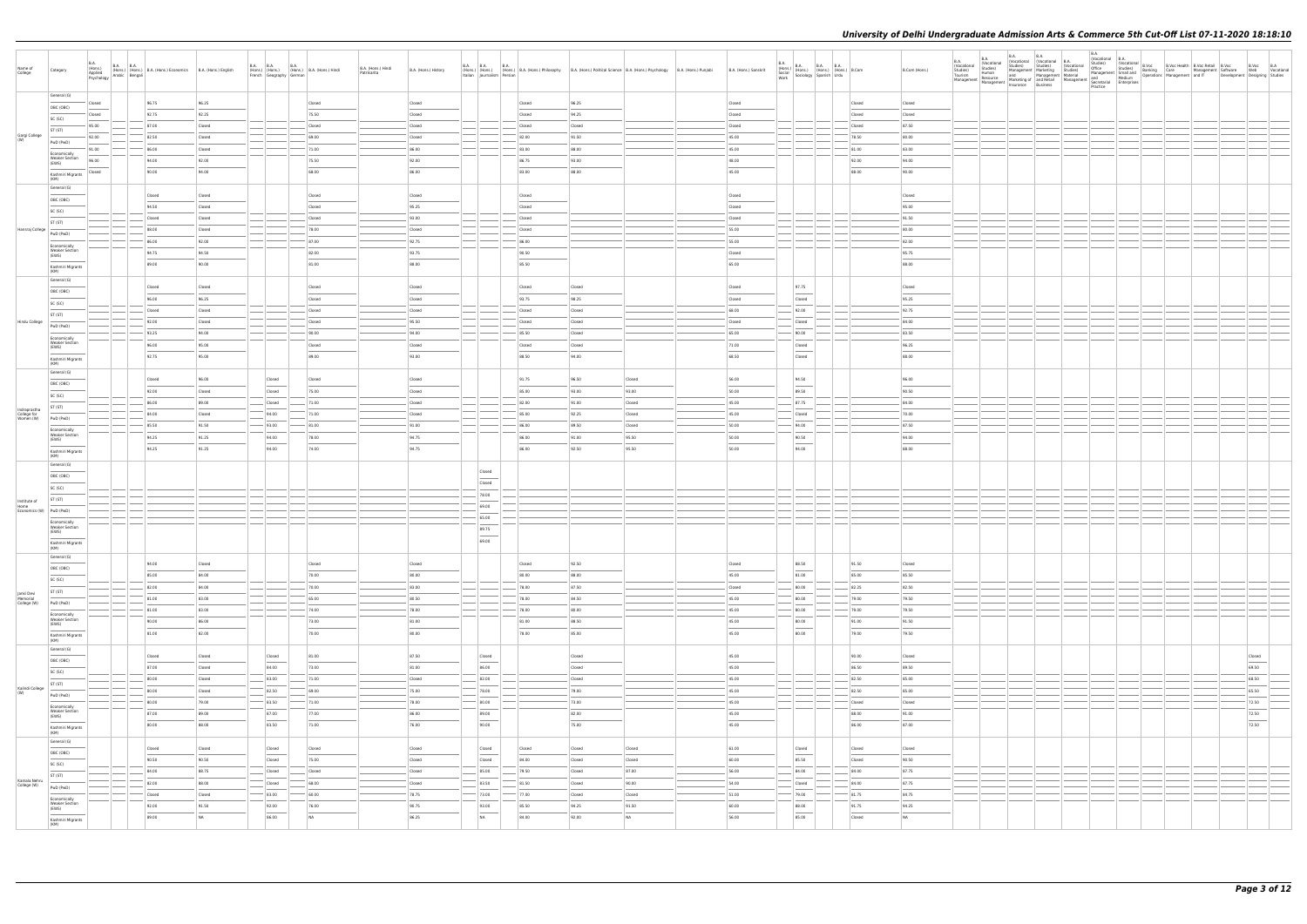| Name of<br>College                              | Category                                       | <b>B.A.</b> | B.A. (Hons.) B.A. B.A. (Hons.) B.A. (Hons.) Economics B.A. (Hons.) English Applied (Hons.) Bengali B.A. (Hons.) English Association and Arabic Bengali |                  | B.A. B.A. B.A. B.A. (Hons.) Hindi<br>French Geography German |                  | B.A. (Hons.) Hindi<br>Patrikarita | B.A. (Hons.) History |    | Italian Journalism Persian |                  |                  | B.A. B.A. B.A. B.A. B.A. (Hons.) B.A. (Hons.) Philosophy B.A. (Hons.) Political Science B.A. (Hons.) Psychology B.A. (Hons.) Punjabi | B.A. (Hons.) Sanskrit |                  | $\begin{tabular}{ l l l l } \hline B.A. & B.A. & B.A. & B.A. & B.A. & 0.7. \\ \hline (Hons.) & (Hons.) & (Hons.) & (Hons.) & B. Comm & Work & 5ociology & Spanish & Urdu \\ \hline \end{tabular}$ |                 | B.Com (Hons.)   | <b>B.A.</b><br>(Vocational<br>Studies)<br>Tourism | <b>B.A.</b><br><b>B.A.</b><br>(Vocational<br>Studies)<br>Human | <b>B.A.</b> | Continued Montana (Vocational B.A.<br>Studies) Studies (Vocational Management Marketing Studies)<br>and Management Material<br>Management Resource and Marketing of and Retail Management and Medium<br>Insurance Business<br>Insurance Business<br>Partice Business | <b>B.A.</b><br>(Vocational B.A. |  | Vocatorna<br>Minister Shudies) B.Voc Health B.Voc Retail B.Voc B.Voc B.Voc B.Voc<br>Minister Smulland Banking Care Minangement Software Web Vocational<br>Management Smalland Operations Management and IT<br>November Designing Studi |                |  |
|-------------------------------------------------|------------------------------------------------|-------------|--------------------------------------------------------------------------------------------------------------------------------------------------------|------------------|--------------------------------------------------------------|------------------|-----------------------------------|----------------------|----|----------------------------|------------------|------------------|--------------------------------------------------------------------------------------------------------------------------------------|-----------------------|------------------|---------------------------------------------------------------------------------------------------------------------------------------------------------------------------------------------------|-----------------|-----------------|---------------------------------------------------|----------------------------------------------------------------|-------------|----------------------------------------------------------------------------------------------------------------------------------------------------------------------------------------------------------------------------------------------------------------------|---------------------------------|--|----------------------------------------------------------------------------------------------------------------------------------------------------------------------------------------------------------------------------------------|----------------|--|
|                                                 | General (G)                                    | Closed      | 96.75                                                                                                                                                  | 96.25            |                                                              | Closed           |                                   | Closed               |    |                            | Closed           | 96.25            |                                                                                                                                      | Closed                |                  |                                                                                                                                                                                                   | Closed          | Closed          |                                                   |                                                                |             |                                                                                                                                                                                                                                                                      |                                 |  |                                                                                                                                                                                                                                        |                |  |
|                                                 | OBC (OBC)<br>SC (SC)                           | Closed      | 92.75                                                                                                                                                  | 92.25            |                                                              | 75.50            |                                   | Closed               |    |                            | Closed           | 94.25            |                                                                                                                                      | Closed                |                  |                                                                                                                                                                                                   | Closed          | Closed          |                                                   |                                                                |             |                                                                                                                                                                                                                                                                      |                                 |  |                                                                                                                                                                                                                                        |                |  |
|                                                 | ST (ST)                                        | 95.00       | 87.00                                                                                                                                                  | Closed           |                                                              | Closed           |                                   | Closed               |    |                            | Closed           | Closed           |                                                                                                                                      | Closed                |                  |                                                                                                                                                                                                   | Closed          | 87.50           |                                                   |                                                                |             |                                                                                                                                                                                                                                                                      |                                 |  |                                                                                                                                                                                                                                        |                |  |
| Gargi College                                   | PwD (PwD)                                      | 92.00       | 82.50                                                                                                                                                  | Closed           |                                                              | 69.00            |                                   | Closed               |    |                            | 82.00            | 91.50            |                                                                                                                                      | 45.00                 |                  |                                                                                                                                                                                                   | 78.50           | 80.00           |                                                   |                                                                |             |                                                                                                                                                                                                                                                                      |                                 |  |                                                                                                                                                                                                                                        |                |  |
|                                                 | Economically                                   | 91.00       | 86.00                                                                                                                                                  | Closed           |                                                              | 71.00            |                                   | 86.00                |    |                            | 83.00            | 88.00            |                                                                                                                                      | 45.00                 |                  |                                                                                                                                                                                                   | 81.00           | 83.00           |                                                   |                                                                |             |                                                                                                                                                                                                                                                                      |                                 |  |                                                                                                                                                                                                                                        |                |  |
|                                                 | <b>Weaker Section</b><br>(EWS)                 | 96.00       | 94.00                                                                                                                                                  | 92.00            |                                                              | 75.50            |                                   | 92.00                |    |                            | 86.75            | 93.00            |                                                                                                                                      | 48.00                 |                  |                                                                                                                                                                                                   | 92.00           | 94.00           |                                                   |                                                                |             |                                                                                                                                                                                                                                                                      |                                 |  |                                                                                                                                                                                                                                        |                |  |
|                                                 | Kashmiri Migrants<br>(KM)                      | Closed      | 90.00                                                                                                                                                  | 94.00            |                                                              | 68.00            |                                   | 86.00                |    |                            | 83.00            | 88.00            |                                                                                                                                      | 45.00                 |                  |                                                                                                                                                                                                   | 88.00           | 90.00           |                                                   |                                                                |             |                                                                                                                                                                                                                                                                      |                                 |  |                                                                                                                                                                                                                                        |                |  |
|                                                 | General (G)                                    |             |                                                                                                                                                        |                  |                                                              |                  |                                   |                      |    |                            |                  |                  |                                                                                                                                      |                       |                  |                                                                                                                                                                                                   |                 |                 |                                                   |                                                                |             |                                                                                                                                                                                                                                                                      |                                 |  |                                                                                                                                                                                                                                        |                |  |
|                                                 | OBC (OBC)                                      |             | Closed<br>94.50                                                                                                                                        | Closed<br>Closed |                                                              | Closed<br>Closed |                                   | Closed<br>95.25      |    |                            | Closed<br>Closed |                  |                                                                                                                                      | Closed<br>Closed      |                  |                                                                                                                                                                                                   |                 | Closed<br>95.00 |                                                   |                                                                |             |                                                                                                                                                                                                                                                                      |                                 |  |                                                                                                                                                                                                                                        |                |  |
|                                                 | SC (SC)                                        |             | Closed                                                                                                                                                 | Closed           |                                                              | Closed           |                                   | 93.00                |    |                            | Closed           |                  |                                                                                                                                      | Closed                |                  |                                                                                                                                                                                                   |                 | 91.50           |                                                   |                                                                |             |                                                                                                                                                                                                                                                                      |                                 |  |                                                                                                                                                                                                                                        |                |  |
| Hansraj College                                 | ST (ST)                                        |             | 88.00                                                                                                                                                  | Closed           |                                                              | 78.00            |                                   | Closed               |    |                            | Closed           |                  |                                                                                                                                      | 55.00                 |                  |                                                                                                                                                                                                   |                 | 80.00           |                                                   |                                                                |             |                                                                                                                                                                                                                                                                      |                                 |  |                                                                                                                                                                                                                                        |                |  |
|                                                 | PwD (PwD)                                      |             | 86.00                                                                                                                                                  | 92.00            |                                                              | 87.00            |                                   | 92.75                |    |                            | 86.00            |                  |                                                                                                                                      | 55.00                 |                  |                                                                                                                                                                                                   |                 | 82.00           |                                                   |                                                                |             |                                                                                                                                                                                                                                                                      |                                 |  |                                                                                                                                                                                                                                        |                |  |
|                                                 | Economically<br><b>Weaker Section</b><br>(EWS) |             | 94.75                                                                                                                                                  | 94.50            |                                                              | 82.00            |                                   | 93.75                |    |                            | 90.50            |                  |                                                                                                                                      | Closed                |                  |                                                                                                                                                                                                   |                 | 95.75           |                                                   |                                                                |             |                                                                                                                                                                                                                                                                      |                                 |  |                                                                                                                                                                                                                                        |                |  |
|                                                 | Kashmiri Migrants                              |             | 89.00                                                                                                                                                  | 90.00            |                                                              | 81.00            |                                   | 88.00                |    |                            | 85.50            |                  |                                                                                                                                      | 65.00                 |                  |                                                                                                                                                                                                   |                 | 88.00           |                                                   |                                                                |             |                                                                                                                                                                                                                                                                      |                                 |  |                                                                                                                                                                                                                                        |                |  |
|                                                 | (KM)<br>General (G)                            |             |                                                                                                                                                        |                  |                                                              |                  |                                   |                      |    |                            |                  |                  |                                                                                                                                      |                       |                  |                                                                                                                                                                                                   |                 |                 |                                                   |                                                                |             |                                                                                                                                                                                                                                                                      |                                 |  |                                                                                                                                                                                                                                        |                |  |
|                                                 | OBC (OBC)                                      |             | Closed                                                                                                                                                 | Closed           |                                                              | Closed           |                                   | Closed               |    |                            | Closed           | Closed           |                                                                                                                                      | Closed                |                  | 97.75                                                                                                                                                                                             |                 | Closed          |                                                   |                                                                |             |                                                                                                                                                                                                                                                                      |                                 |  |                                                                                                                                                                                                                                        |                |  |
|                                                 | SC (SC)                                        |             | 96.00                                                                                                                                                  | 96.25            |                                                              | Closed           |                                   | Closed               |    |                            | 93.75            | 98.25            |                                                                                                                                      | Closed                |                  | Closed                                                                                                                                                                                            |                 | 95.25           |                                                   |                                                                |             |                                                                                                                                                                                                                                                                      |                                 |  |                                                                                                                                                                                                                                        |                |  |
|                                                 | ST (ST)                                        |             | Closed                                                                                                                                                 | Closed           |                                                              | Closed           |                                   | Closed               |    |                            | Closed           | Closed           |                                                                                                                                      | 68.00                 |                  | 92.00                                                                                                                                                                                             |                 | 92.75           |                                                   |                                                                |             |                                                                                                                                                                                                                                                                      |                                 |  |                                                                                                                                                                                                                                        |                |  |
| Hindu College                                   | PwD (PwD)                                      |             | 92.00                                                                                                                                                  | Closed           |                                                              | Closed           |                                   | 95.50                |    |                            | Closed           | Closed           |                                                                                                                                      | Closed                |                  | Closed                                                                                                                                                                                            |                 | 84.00           |                                                   |                                                                |             |                                                                                                                                                                                                                                                                      |                                 |  |                                                                                                                                                                                                                                        |                |  |
|                                                 | Economically<br><b>Weaker Section</b>          |             | 93.25<br>96.00                                                                                                                                         | 94.00<br>95.00   |                                                              | 90.00<br>Closed  |                                   | 94.00<br>Closed      |    |                            | 85.50<br>Closed  | Closed<br>Closed |                                                                                                                                      | 65.00<br>71.00        |                  | 90.00<br>Closed                                                                                                                                                                                   |                 | 83.50<br>96.25  |                                                   |                                                                |             |                                                                                                                                                                                                                                                                      |                                 |  |                                                                                                                                                                                                                                        |                |  |
|                                                 | (EWS)                                          |             | 92.75                                                                                                                                                  | 95.00            |                                                              | 89.00            |                                   | 93.00                |    |                            | 88.50            | 94.00            |                                                                                                                                      | 68.50                 |                  | Closed                                                                                                                                                                                            |                 | 88.00           |                                                   |                                                                |             |                                                                                                                                                                                                                                                                      |                                 |  |                                                                                                                                                                                                                                        |                |  |
|                                                 | Kashmiri Migrants<br>(KM)                      |             |                                                                                                                                                        |                  |                                                              |                  |                                   |                      |    |                            |                  |                  |                                                                                                                                      |                       |                  |                                                                                                                                                                                                   |                 |                 |                                                   |                                                                |             |                                                                                                                                                                                                                                                                      |                                 |  |                                                                                                                                                                                                                                        |                |  |
|                                                 | General (G)                                    |             | Closed                                                                                                                                                 | 96.00            | Closed                                                       | Closed           |                                   | Closed               |    |                            | 91.75            | 96.50            | Closed                                                                                                                               | 56.00                 |                  | 94.50                                                                                                                                                                                             |                 | 96.00           |                                                   |                                                                |             |                                                                                                                                                                                                                                                                      |                                 |  |                                                                                                                                                                                                                                        |                |  |
|                                                 | OBC (OBC)<br>SC (SC)                           |             | 92.00                                                                                                                                                  | Closed           | Closed                                                       | 75.00            |                                   | Closed               |    |                            | 85.00            | 93.00            | 93.00                                                                                                                                | 50.00                 |                  | $\sim$<br>89.50                                                                                                                                                                                   |                 | 90.50           |                                                   |                                                                |             |                                                                                                                                                                                                                                                                      |                                 |  |                                                                                                                                                                                                                                        |                |  |
|                                                 | ST (ST)                                        |             | 86.00                                                                                                                                                  | 89.00            | Closed                                                       | 71.00            |                                   | Closed               |    |                            | 82.00            | 91.00            | Closed                                                                                                                               | 45.00                 |                  | 87.75                                                                                                                                                                                             |                 | 84.00           |                                                   |                                                                |             |                                                                                                                                                                                                                                                                      |                                 |  |                                                                                                                                                                                                                                        |                |  |
| Indraprastha<br>College for<br>Women (W)        | PwD (PwD)                                      |             | 84.00                                                                                                                                                  | Closed           | 94.00                                                        | 71.00            |                                   | Closed               |    |                            | 85.00            | 92.25            | Closed                                                                                                                               | 45.00                 |                  | Closed                                                                                                                                                                                            |                 | 70.00           |                                                   |                                                                |             |                                                                                                                                                                                                                                                                      |                                 |  |                                                                                                                                                                                                                                        |                |  |
|                                                 | Economically                                   |             | 85.50                                                                                                                                                  | 91.50            | 93.00                                                        | 81.00            |                                   | 91.00                |    |                            | 86.00            | 89.50            | Closed                                                                                                                               | 50.00                 |                  | 94.00                                                                                                                                                                                             |                 | 87.50           |                                                   |                                                                |             |                                                                                                                                                                                                                                                                      |                                 |  |                                                                                                                                                                                                                                        |                |  |
|                                                 | <b>Weaker Section</b><br>(EWS)                 |             | 94.25                                                                                                                                                  | 91.25            | 94.00                                                        | 78.00            |                                   | 94.75                |    |                            | 86.00            | 91.00            | 95.50                                                                                                                                | 50.00                 |                  | 90.50                                                                                                                                                                                             |                 | 94.00           |                                                   |                                                                |             |                                                                                                                                                                                                                                                                      |                                 |  |                                                                                                                                                                                                                                        |                |  |
|                                                 | Kashmiri Migrants<br>(KM)                      |             | 94.25                                                                                                                                                  | 91.25            | 94.00                                                        | 74.00            |                                   | 94.75                |    |                            | 86.00            | 92.50            | 95.50                                                                                                                                | 50.00                 |                  | 94.00                                                                                                                                                                                             |                 | 88.00           |                                                   |                                                                |             |                                                                                                                                                                                                                                                                      |                                 |  |                                                                                                                                                                                                                                        |                |  |
|                                                 | General (G)                                    |             |                                                                                                                                                        |                  |                                                              |                  |                                   |                      |    | Closed                     |                  |                  |                                                                                                                                      |                       |                  |                                                                                                                                                                                                   |                 |                 |                                                   |                                                                |             |                                                                                                                                                                                                                                                                      |                                 |  |                                                                                                                                                                                                                                        |                |  |
|                                                 | OBC (OBC)                                      |             |                                                                                                                                                        |                  |                                                              |                  |                                   |                      |    | Closed                     |                  |                  |                                                                                                                                      |                       |                  |                                                                                                                                                                                                   |                 |                 |                                                   |                                                                |             |                                                                                                                                                                                                                                                                      |                                 |  |                                                                                                                                                                                                                                        |                |  |
|                                                 | SC (SC)                                        |             |                                                                                                                                                        |                  |                                                              |                  |                                   |                      |    | 78.00                      |                  |                  |                                                                                                                                      |                       |                  |                                                                                                                                                                                                   |                 |                 |                                                   |                                                                |             |                                                                                                                                                                                                                                                                      |                                 |  |                                                                                                                                                                                                                                        |                |  |
| Institute of<br>Home<br>Economics (W) PwD (PwD) | ST (ST)                                        |             |                                                                                                                                                        |                  |                                                              |                  |                                   |                      |    | 69.00                      |                  |                  |                                                                                                                                      |                       |                  |                                                                                                                                                                                                   |                 |                 |                                                   |                                                                |             |                                                                                                                                                                                                                                                                      |                                 |  |                                                                                                                                                                                                                                        |                |  |
|                                                 | Economically                                   |             |                                                                                                                                                        |                  |                                                              |                  |                                   |                      |    | 65.00                      |                  |                  |                                                                                                                                      |                       |                  |                                                                                                                                                                                                   |                 |                 |                                                   |                                                                |             |                                                                                                                                                                                                                                                                      |                                 |  |                                                                                                                                                                                                                                        |                |  |
|                                                 | <b>Weaker Section</b><br>(EWS)                 |             |                                                                                                                                                        |                  |                                                              |                  |                                   |                      |    | 89.75                      |                  |                  |                                                                                                                                      |                       |                  |                                                                                                                                                                                                   |                 |                 |                                                   |                                                                |             |                                                                                                                                                                                                                                                                      |                                 |  |                                                                                                                                                                                                                                        |                |  |
|                                                 | Kashmiri Migrants<br>(KM)                      |             |                                                                                                                                                        |                  |                                                              |                  |                                   |                      |    | 69.00                      |                  |                  |                                                                                                                                      |                       |                  |                                                                                                                                                                                                   |                 |                 |                                                   |                                                                |             |                                                                                                                                                                                                                                                                      |                                 |  |                                                                                                                                                                                                                                        |                |  |
|                                                 | General (G)                                    |             |                                                                                                                                                        |                  |                                                              |                  |                                   |                      |    |                            |                  |                  |                                                                                                                                      |                       |                  |                                                                                                                                                                                                   |                 |                 |                                                   |                                                                |             |                                                                                                                                                                                                                                                                      |                                 |  |                                                                                                                                                                                                                                        |                |  |
|                                                 | OBC (OBC)                                      |             | 94.00                                                                                                                                                  | Closed           |                                                              | Closed           |                                   | Closed               |    |                            | Closed           | 92.50            |                                                                                                                                      | Closed                |                  | 88.50<br>$\sim$                                                                                                                                                                                   | 91.50           | Closed          |                                                   |                                                                |             |                                                                                                                                                                                                                                                                      |                                 |  |                                                                                                                                                                                                                                        |                |  |
|                                                 | SC (SC)                                        |             | 85.00<br>82.00                                                                                                                                         | 84.00<br>84.00   |                                                              | 70.00<br>70.00   |                                   | 80.00<br>83.00       |    |                            | 80.00<br>78.00   | 88.00<br>87.50   |                                                                                                                                      | 45.00<br>Closed       |                  | 81.00<br>80.00                                                                                                                                                                                    | 85.00<br>82.25  | 85.50<br>82.50  |                                                   |                                                                |             |                                                                                                                                                                                                                                                                      |                                 |  |                                                                                                                                                                                                                                        |                |  |
| Janki Devi<br>Memorial                          | ST (ST)                                        |             | 81.00                                                                                                                                                  | 83.00            |                                                              | 65.00            |                                   | 80.50                |    |                            | 78.00            | 84.50            |                                                                                                                                      | 45.00                 |                  | 80.00                                                                                                                                                                                             | 79.00           | 79.50           |                                                   |                                                                |             |                                                                                                                                                                                                                                                                      |                                 |  |                                                                                                                                                                                                                                        |                |  |
| College (W)                                     | PwD (PwD)                                      |             | 81.00                                                                                                                                                  | 83.00            | $\overline{\phantom{a}}$                                     | 74.00            |                                   | 78.00                |    |                            | 78.00            | 80.00            |                                                                                                                                      | 45.00                 |                  | 80.00                                                                                                                                                                                             | 79.00           | 79.50           |                                                   |                                                                |             |                                                                                                                                                                                                                                                                      |                                 |  |                                                                                                                                                                                                                                        |                |  |
|                                                 | Economically<br><b>Weaker Section</b><br>(EWS) |             | 90.00                                                                                                                                                  | 86.00            |                                                              | 73.00            |                                   | 81.00                |    |                            | 81.00            | 88.50            |                                                                                                                                      | 45.00                 |                  | 80.00                                                                                                                                                                                             | 91.00           | 91.50           |                                                   |                                                                |             |                                                                                                                                                                                                                                                                      |                                 |  |                                                                                                                                                                                                                                        |                |  |
|                                                 | Kashmiri Migrants                              |             | 81.00                                                                                                                                                  | 82.00            |                                                              | 70.00            |                                   | 80.00                |    |                            | 78.00            | 85.00            |                                                                                                                                      | 45.00                 |                  | 80.00                                                                                                                                                                                             | 79.00           | 79.50           |                                                   |                                                                |             |                                                                                                                                                                                                                                                                      |                                 |  |                                                                                                                                                                                                                                        |                |  |
|                                                 | (KM)<br>General (G)                            |             |                                                                                                                                                        |                  |                                                              |                  |                                   |                      |    |                            |                  |                  |                                                                                                                                      |                       |                  |                                                                                                                                                                                                   |                 |                 |                                                   |                                                                |             |                                                                                                                                                                                                                                                                      |                                 |  |                                                                                                                                                                                                                                        |                |  |
|                                                 | OBC (OBC)                                      |             | Closed                                                                                                                                                 | Closed           | Closed                                                       | 81.00            |                                   | 87.50                |    | Closed                     |                  | Closed           |                                                                                                                                      | 45.00                 |                  |                                                                                                                                                                                                   | 90.00           | Closed          |                                                   |                                                                |             |                                                                                                                                                                                                                                                                      |                                 |  |                                                                                                                                                                                                                                        | Closed         |  |
|                                                 | SC (SC)                                        |             | 87.00                                                                                                                                                  | Closed           | 84.00                                                        | 73.00            |                                   | 81.00                |    | 86.00                      |                  | Closed           |                                                                                                                                      | 45.00                 |                  |                                                                                                                                                                                                   | 86.50           | 89.50           |                                                   |                                                                |             |                                                                                                                                                                                                                                                                      |                                 |  |                                                                                                                                                                                                                                        | 69.50          |  |
| Kalindi College                                 | ST (ST)                                        |             | 80.00                                                                                                                                                  | Closed           | $-83.00$                                                     | $- 71.00$        |                                   | Closed               |    | 82.00                      |                  | Closed           |                                                                                                                                      | 45.00                 |                  |                                                                                                                                                                                                   | 82.50           | 85.00           |                                                   |                                                                |             |                                                                                                                                                                                                                                                                      |                                 |  |                                                                                                                                                                                                                                        | 68.50          |  |
|                                                 | PwD (PwD)                                      |             | 80.00                                                                                                                                                  | Closed           | 82.50                                                        | 69.00            |                                   | 75.00                |    | 78.00                      |                  | 79.00            |                                                                                                                                      | 45.00                 |                  |                                                                                                                                                                                                   | 82.50           | 85.00           |                                                   |                                                                |             |                                                                                                                                                                                                                                                                      |                                 |  |                                                                                                                                                                                                                                        | 65.50          |  |
|                                                 | Economically<br><b>Weaker Section</b>          |             | 80.00<br>87.00                                                                                                                                         | 79.00<br>89.00   | 83.50 <br>87.00                                              | 71.00<br>77.00   |                                   | 78.00<br>86.00       |    | 80.00<br>89.00             |                  | 73.00<br>82.00   |                                                                                                                                      | 45.00<br>45.00        | $\left  \right $ |                                                                                                                                                                                                   | Closed<br>88.00 | Closed<br>91.00 |                                                   |                                                                |             |                                                                                                                                                                                                                                                                      |                                 |  |                                                                                                                                                                                                                                        | 72.50          |  |
|                                                 | (EWS)                                          |             | 80.00                                                                                                                                                  | 88.00            | 83.50                                                        | 71.00            |                                   | 76.00                |    | 90.00                      |                  | 75.00            |                                                                                                                                      | 45.00                 |                  |                                                                                                                                                                                                   | 86.00           | 87.00           |                                                   |                                                                |             |                                                                                                                                                                                                                                                                      |                                 |  |                                                                                                                                                                                                                                        | 72.50<br>72.50 |  |
|                                                 | Kashmiri Migrants<br>(KM)                      |             |                                                                                                                                                        |                  |                                                              |                  |                                   |                      |    |                            |                  |                  |                                                                                                                                      |                       |                  |                                                                                                                                                                                                   |                 |                 |                                                   |                                                                |             |                                                                                                                                                                                                                                                                      |                                 |  |                                                                                                                                                                                                                                        |                |  |
|                                                 | General (G)                                    |             | Closed                                                                                                                                                 | Closed           | Closed                                                       | Closed           |                                   | Closed               |    | Closed                     | Closed           | Closed           | Closed                                                                                                                               | 61.00                 |                  | Closed                                                                                                                                                                                            | Closed          | Closed          |                                                   |                                                                |             |                                                                                                                                                                                                                                                                      |                                 |  |                                                                                                                                                                                                                                        |                |  |
|                                                 | OBC (OBC)<br>SC (SC)                           |             | 90.50                                                                                                                                                  | 90.50            | Closed                                                       | 75.00            |                                   | Closed               |    | Closed                     | 84.00            | Closed           | Closed                                                                                                                               | 60.00                 |                  | $\frac{1}{2}$<br>85.50                                                                                                                                                                            | Closed          | 90.50           |                                                   |                                                                |             |                                                                                                                                                                                                                                                                      |                                 |  |                                                                                                                                                                                                                                        |                |  |
|                                                 | ST (ST)                                        |             | 84.00                                                                                                                                                  | 88.75            | Closed                                                       | Closed           |                                   | Closed               |    | 85.00                      | 79.50            | Closed           | 87.00                                                                                                                                | 56.00                 |                  | 84.00                                                                                                                                                                                             | 84.00           | 87.75           |                                                   |                                                                |             |                                                                                                                                                                                                                                                                      |                                 |  |                                                                                                                                                                                                                                        |                |  |
| Kamala Nehru<br>College (W)                     | PwD (PwD)                                      |             | 82.00                                                                                                                                                  | 88.00            | Closed                                                       | 68.00            |                                   | Closed               |    | 83.50                      | 81.50            | Closed           | 90.00                                                                                                                                | 54.00                 |                  | Closed                                                                                                                                                                                            | 84.00           | 87.75           |                                                   |                                                                |             |                                                                                                                                                                                                                                                                      |                                 |  |                                                                                                                                                                                                                                        |                |  |
|                                                 | Economically                                   |             | Closed                                                                                                                                                 | Closed           | $-83.00$                                                     | 60.00            |                                   | 78.75                |    | $- 73.00$                  | 77.00            | Closed           | Closed                                                                                                                               | 51.00                 |                  | 79.00                                                                                                                                                                                             | 81.75           | 84.75           |                                                   |                                                                |             |                                                                                                                                                                                                                                                                      |                                 |  |                                                                                                                                                                                                                                        |                |  |
|                                                 | <b>Weaker Section</b><br>(EWS)                 |             | 92.00                                                                                                                                                  | 91.50            | 92.00                                                        | 76.00            |                                   | 90.75                |    | 93.00                      | 85.50            | 94.25            | 91.50                                                                                                                                | 60.00                 |                  | 88.00<br>$\frac{1}{2}$                                                                                                                                                                            | 91.75           | 94.25           |                                                   |                                                                |             |                                                                                                                                                                                                                                                                      |                                 |  |                                                                                                                                                                                                                                        |                |  |
|                                                 | Kashmiri Migrants                              |             | 89.00                                                                                                                                                  | <b>NA</b>        | 86.00                                                        | NA               |                                   | 86.25                | NA |                            | 84.00            | 92.00            | NA                                                                                                                                   | 56.00                 |                  | 85.00                                                                                                                                                                                             | Closed          | <b>NA</b>       |                                                   |                                                                |             |                                                                                                                                                                                                                                                                      |                                 |  |                                                                                                                                                                                                                                        |                |  |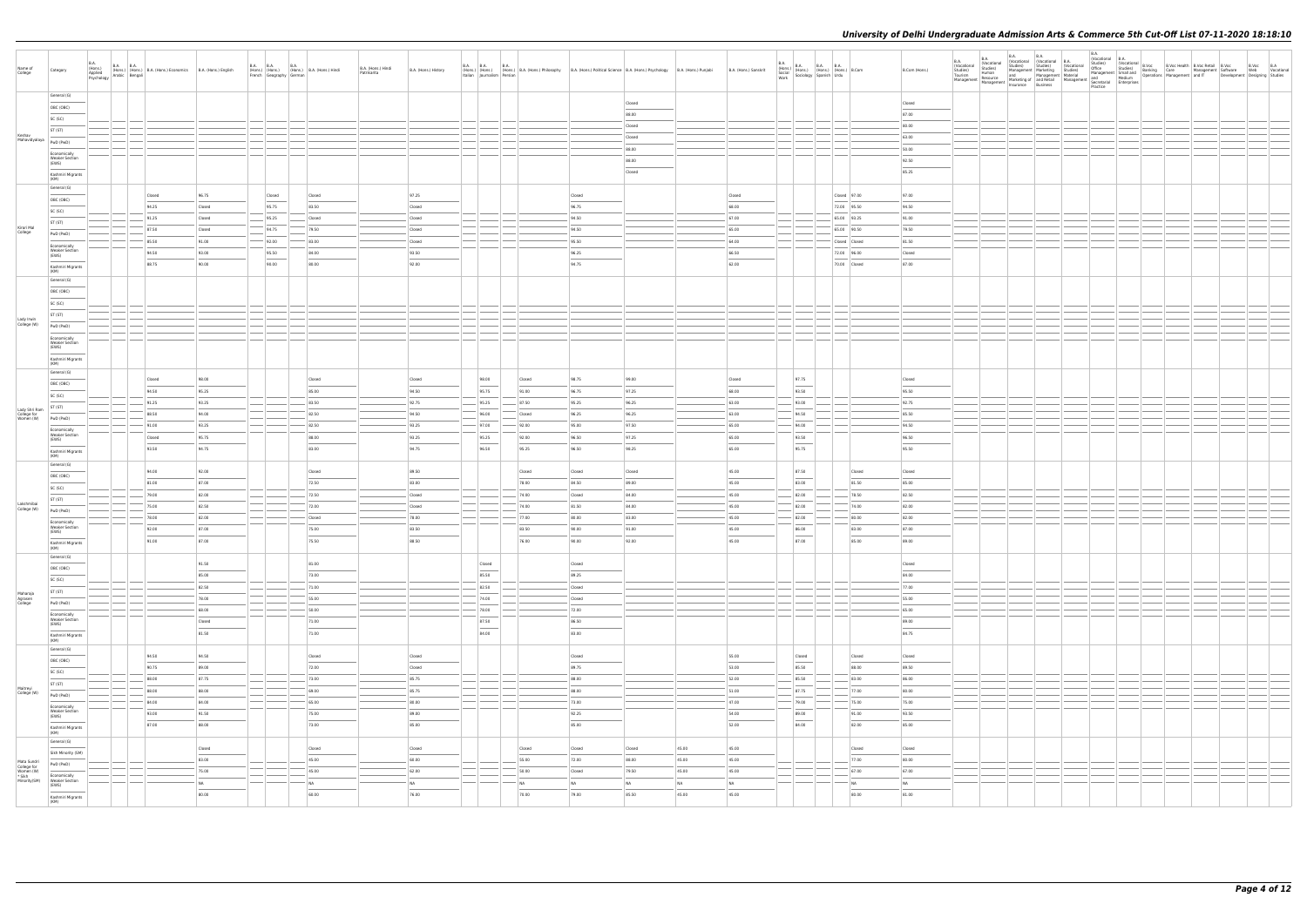| Name of<br>College                                 | Category                                                                                                                                                                                                                                                                                                                                                                                                                                                                                                | <b>B.A.</b><br>(Hons.)<br>Applied<br>Psychology | B.A. B.A. (Hons.) B.A. (Hons.) Economics B.A. (Hons.) English<br>Jav Arabic Bengali |                 | <b>B.A. B.A.</b><br>French Geography German | <b>B.A.</b><br>(Hons.) (Hons.) (Hons.) B.A. (Hons.) Hindi | B.A. (Hons.) Hindi<br>Patrikarita | B.A. (Hons.) History                                                                                                                                                                                                                                                                                                                                                                                                                                                                 | <b>B.A. B.A.</b> | <b>B.A.</b>     |                                      | (Hons.) (Hons.) B.A. (Hons.) Philosophy B.A. (Hons.) Political Science B.A. (Hons.) Psychology B.A. (Hons.) Punjabi<br>Italian Journalism Persian Changes                                                                                                                                                                                                                                                                                                                            |                 |                | B.A. (Hons.) Sanskrit | $\begin{tabular}{ l l l l } \hline B.A. & B.A. & B.A. & B.A. \\ \hline (Hons.) & (Hons.) & (Hons.) & (Hons.) & B. Com \\ & Society & Spanish & Urdu \\ \hline \end{tabular}$ |               |                 | B.Com (Hons.)   |  |  |  |  | Development Designing Studies | B.Voc B.A<br>Web Vocational |
|----------------------------------------------------|---------------------------------------------------------------------------------------------------------------------------------------------------------------------------------------------------------------------------------------------------------------------------------------------------------------------------------------------------------------------------------------------------------------------------------------------------------------------------------------------------------|-------------------------------------------------|-------------------------------------------------------------------------------------|-----------------|---------------------------------------------|-----------------------------------------------------------|-----------------------------------|--------------------------------------------------------------------------------------------------------------------------------------------------------------------------------------------------------------------------------------------------------------------------------------------------------------------------------------------------------------------------------------------------------------------------------------------------------------------------------------|------------------|-----------------|--------------------------------------|--------------------------------------------------------------------------------------------------------------------------------------------------------------------------------------------------------------------------------------------------------------------------------------------------------------------------------------------------------------------------------------------------------------------------------------------------------------------------------------|-----------------|----------------|-----------------------|------------------------------------------------------------------------------------------------------------------------------------------------------------------------------|---------------|-----------------|-----------------|--|--|--|--|-------------------------------|-----------------------------|
|                                                    | General (G)<br>OBC (OBC)                                                                                                                                                                                                                                                                                                                                                                                                                                                                                |                                                 |                                                                                     |                 |                                             |                                                           |                                   |                                                                                                                                                                                                                                                                                                                                                                                                                                                                                      |                  |                 |                                      |                                                                                                                                                                                                                                                                                                                                                                                                                                                                                      | Closed          |                |                       |                                                                                                                                                                              |               |                 | Closed          |  |  |  |  |                               |                             |
|                                                    | SC (SC)                                                                                                                                                                                                                                                                                                                                                                                                                                                                                                 |                                                 |                                                                                     |                 |                                             |                                                           |                                   |                                                                                                                                                                                                                                                                                                                                                                                                                                                                                      |                  |                 |                                      |                                                                                                                                                                                                                                                                                                                                                                                                                                                                                      | 88.00           |                |                       |                                                                                                                                                                              |               |                 | 87.00           |  |  |  |  |                               |                             |
|                                                    | ST (ST)                                                                                                                                                                                                                                                                                                                                                                                                                                                                                                 |                                                 |                                                                                     |                 |                                             |                                                           |                                   |                                                                                                                                                                                                                                                                                                                                                                                                                                                                                      |                  |                 |                                      |                                                                                                                                                                                                                                                                                                                                                                                                                                                                                      | Closed          |                |                       |                                                                                                                                                                              |               |                 | 80.00           |  |  |  |  |                               |                             |
| Keshav<br>Mahavidyalaya                            | PwD (PwD)                                                                                                                                                                                                                                                                                                                                                                                                                                                                                               |                                                 |                                                                                     |                 |                                             |                                                           |                                   |                                                                                                                                                                                                                                                                                                                                                                                                                                                                                      |                  |                 |                                      |                                                                                                                                                                                                                                                                                                                                                                                                                                                                                      | Closed          |                |                       |                                                                                                                                                                              |               |                 | 63.00           |  |  |  |  |                               |                             |
|                                                    | Economically                                                                                                                                                                                                                                                                                                                                                                                                                                                                                            |                                                 |                                                                                     |                 |                                             |                                                           |                                   |                                                                                                                                                                                                                                                                                                                                                                                                                                                                                      |                  |                 |                                      |                                                                                                                                                                                                                                                                                                                                                                                                                                                                                      | 88.00           |                |                       |                                                                                                                                                                              |               |                 | 50.00           |  |  |  |  |                               |                             |
|                                                    | <b>Weaker Section</b><br>(EWS)                                                                                                                                                                                                                                                                                                                                                                                                                                                                          |                                                 |                                                                                     |                 |                                             |                                                           |                                   |                                                                                                                                                                                                                                                                                                                                                                                                                                                                                      |                  |                 |                                      |                                                                                                                                                                                                                                                                                                                                                                                                                                                                                      | 88.00           |                |                       |                                                                                                                                                                              |               |                 | 92.50           |  |  |  |  |                               |                             |
|                                                    | $\sim$<br>Kashmiri Migrants                                                                                                                                                                                                                                                                                                                                                                                                                                                                             |                                                 |                                                                                     |                 |                                             |                                                           |                                   |                                                                                                                                                                                                                                                                                                                                                                                                                                                                                      |                  |                 |                                      |                                                                                                                                                                                                                                                                                                                                                                                                                                                                                      | Closed          |                |                       |                                                                                                                                                                              |               |                 | 85.25           |  |  |  |  |                               |                             |
|                                                    | (KM)<br>General (G)                                                                                                                                                                                                                                                                                                                                                                                                                                                                                     |                                                 |                                                                                     |                 |                                             |                                                           |                                   |                                                                                                                                                                                                                                                                                                                                                                                                                                                                                      |                  |                 |                                      |                                                                                                                                                                                                                                                                                                                                                                                                                                                                                      |                 |                |                       |                                                                                                                                                                              |               |                 |                 |  |  |  |  |                               |                             |
|                                                    | OBC (OBC)                                                                                                                                                                                                                                                                                                                                                                                                                                                                                               |                                                 | Closed                                                                              | 96.75           | Closed                                      | Closed                                                    |                                   | 97.25                                                                                                                                                                                                                                                                                                                                                                                                                                                                                |                  |                 |                                      | Closed                                                                                                                                                                                                                                                                                                                                                                                                                                                                               |                 |                | Closed                |                                                                                                                                                                              | Closed 97.00  |                 | 97.00           |  |  |  |  |                               |                             |
|                                                    | SC (SC)                                                                                                                                                                                                                                                                                                                                                                                                                                                                                                 |                                                 | 94.25                                                                               | Closed          | 95.75                                       | 83.50                                                     |                                   | Closed                                                                                                                                                                                                                                                                                                                                                                                                                                                                               |                  |                 |                                      | 96.75                                                                                                                                                                                                                                                                                                                                                                                                                                                                                |                 |                | 68.00                 |                                                                                                                                                                              | 72.00 95.50   |                 | 94.50           |  |  |  |  |                               |                             |
|                                                    | ST (ST)                                                                                                                                                                                                                                                                                                                                                                                                                                                                                                 |                                                 | 91.25                                                                               | Closed          | 95.25                                       | Closed                                                    |                                   | Closed                                                                                                                                                                                                                                                                                                                                                                                                                                                                               |                  |                 |                                      | 94.50                                                                                                                                                                                                                                                                                                                                                                                                                                                                                |                 |                | $-67.00$              |                                                                                                                                                                              | 65.00 93.25   |                 | 91.00           |  |  |  |  |                               |                             |
| Kirori Mal<br>College                              | PwD (PwD)                                                                                                                                                                                                                                                                                                                                                                                                                                                                                               |                                                 | 87.50                                                                               | Closed          | 94.75                                       | 79.50                                                     |                                   | Closed                                                                                                                                                                                                                                                                                                                                                                                                                                                                               |                  |                 |                                      | 94.50                                                                                                                                                                                                                                                                                                                                                                                                                                                                                |                 |                | 65.00                 |                                                                                                                                                                              | 65.00 90.50   |                 | 79.50           |  |  |  |  |                               |                             |
|                                                    | Economically                                                                                                                                                                                                                                                                                                                                                                                                                                                                                            |                                                 | 85.50                                                                               | 91.00           | 92.00                                       | 83.00                                                     |                                   | Closed                                                                                                                                                                                                                                                                                                                                                                                                                                                                               |                  |                 |                                      | 95.50                                                                                                                                                                                                                                                                                                                                                                                                                                                                                |                 |                | $- 64.00$             |                                                                                                                                                                              | Closed Closed |                 | 81.50           |  |  |  |  |                               |                             |
|                                                    | <b>Weaker Section</b><br>(EWS)                                                                                                                                                                                                                                                                                                                                                                                                                                                                          |                                                 | 94.50                                                                               | 93.00           | 95.50                                       | 84.00                                                     |                                   | 93.50                                                                                                                                                                                                                                                                                                                                                                                                                                                                                |                  |                 |                                      | 96.25                                                                                                                                                                                                                                                                                                                                                                                                                                                                                |                 |                | 66.50                 |                                                                                                                                                                              | 72.00 96.00   |                 | Closed          |  |  |  |  |                               |                             |
|                                                    | Kashmiri Migrants<br>(KM)                                                                                                                                                                                                                                                                                                                                                                                                                                                                               |                                                 | 88.75                                                                               | 90.00           | 90.00                                       | 80.00                                                     |                                   | 92.00                                                                                                                                                                                                                                                                                                                                                                                                                                                                                |                  |                 |                                      | 94.75                                                                                                                                                                                                                                                                                                                                                                                                                                                                                |                 |                | 62.00                 |                                                                                                                                                                              | 70.00 Closed  |                 | 87.00           |  |  |  |  |                               |                             |
|                                                    | General (G)                                                                                                                                                                                                                                                                                                                                                                                                                                                                                             |                                                 |                                                                                     |                 |                                             |                                                           |                                   |                                                                                                                                                                                                                                                                                                                                                                                                                                                                                      |                  |                 |                                      |                                                                                                                                                                                                                                                                                                                                                                                                                                                                                      |                 |                |                       |                                                                                                                                                                              |               |                 |                 |  |  |  |  |                               |                             |
|                                                    | OBC (OBC)                                                                                                                                                                                                                                                                                                                                                                                                                                                                                               |                                                 |                                                                                     |                 |                                             |                                                           |                                   |                                                                                                                                                                                                                                                                                                                                                                                                                                                                                      |                  |                 |                                      |                                                                                                                                                                                                                                                                                                                                                                                                                                                                                      |                 |                |                       |                                                                                                                                                                              |               |                 |                 |  |  |  |  |                               |                             |
|                                                    | SC (SC)                                                                                                                                                                                                                                                                                                                                                                                                                                                                                                 |                                                 |                                                                                     |                 |                                             |                                                           |                                   |                                                                                                                                                                                                                                                                                                                                                                                                                                                                                      |                  |                 |                                      |                                                                                                                                                                                                                                                                                                                                                                                                                                                                                      |                 |                |                       |                                                                                                                                                                              |               |                 |                 |  |  |  |  |                               |                             |
|                                                    | ST (ST)                                                                                                                                                                                                                                                                                                                                                                                                                                                                                                 |                                                 |                                                                                     |                 |                                             |                                                           |                                   |                                                                                                                                                                                                                                                                                                                                                                                                                                                                                      |                  |                 |                                      |                                                                                                                                                                                                                                                                                                                                                                                                                                                                                      |                 |                |                       |                                                                                                                                                                              |               |                 |                 |  |  |  |  |                               |                             |
| Lady Irwin<br>College (W)                          | PwD (PwD)                                                                                                                                                                                                                                                                                                                                                                                                                                                                                               |                                                 |                                                                                     |                 |                                             |                                                           |                                   |                                                                                                                                                                                                                                                                                                                                                                                                                                                                                      |                  |                 |                                      |                                                                                                                                                                                                                                                                                                                                                                                                                                                                                      |                 |                |                       |                                                                                                                                                                              |               |                 |                 |  |  |  |  |                               |                             |
|                                                    | Economically<br><b>Weaker Section</b>                                                                                                                                                                                                                                                                                                                                                                                                                                                                   |                                                 |                                                                                     |                 |                                             |                                                           |                                   |                                                                                                                                                                                                                                                                                                                                                                                                                                                                                      |                  |                 |                                      |                                                                                                                                                                                                                                                                                                                                                                                                                                                                                      |                 |                |                       |                                                                                                                                                                              |               |                 |                 |  |  |  |  |                               |                             |
|                                                    | (EWS)<br>$\frac{1}{2} \left( \frac{1}{2} \right) \left( \frac{1}{2} \right) \left( \frac{1}{2} \right) \left( \frac{1}{2} \right) \left( \frac{1}{2} \right) \left( \frac{1}{2} \right) \left( \frac{1}{2} \right) \left( \frac{1}{2} \right) \left( \frac{1}{2} \right) \left( \frac{1}{2} \right) \left( \frac{1}{2} \right) \left( \frac{1}{2} \right) \left( \frac{1}{2} \right) \left( \frac{1}{2} \right) \left( \frac{1}{2} \right) \left( \frac{1}{2} \right) \left( \frac$                     |                                                 |                                                                                     |                 |                                             |                                                           |                                   |                                                                                                                                                                                                                                                                                                                                                                                                                                                                                      |                  |                 |                                      |                                                                                                                                                                                                                                                                                                                                                                                                                                                                                      |                 |                |                       |                                                                                                                                                                              |               |                 |                 |  |  |  |  |                               |                             |
|                                                    | Kashmiri Migrants<br>(KM)                                                                                                                                                                                                                                                                                                                                                                                                                                                                               |                                                 |                                                                                     |                 |                                             |                                                           |                                   |                                                                                                                                                                                                                                                                                                                                                                                                                                                                                      |                  |                 |                                      |                                                                                                                                                                                                                                                                                                                                                                                                                                                                                      |                 |                |                       |                                                                                                                                                                              |               |                 |                 |  |  |  |  |                               |                             |
|                                                    | General (G)                                                                                                                                                                                                                                                                                                                                                                                                                                                                                             |                                                 |                                                                                     |                 |                                             |                                                           |                                   |                                                                                                                                                                                                                                                                                                                                                                                                                                                                                      |                  |                 |                                      |                                                                                                                                                                                                                                                                                                                                                                                                                                                                                      |                 |                |                       |                                                                                                                                                                              |               |                 |                 |  |  |  |  |                               |                             |
|                                                    | OBC (OBC)                                                                                                                                                                                                                                                                                                                                                                                                                                                                                               |                                                 | Closed                                                                              | 98.00           |                                             | Closed                                                    |                                   | Closed                                                                                                                                                                                                                                                                                                                                                                                                                                                                               |                  | 98.00           | Closed                               | 98.75                                                                                                                                                                                                                                                                                                                                                                                                                                                                                | 99.00           |                | Closed                | 97.75<br>$\frac{1}{2}$                                                                                                                                                       |               |                 | Closed          |  |  |  |  |                               |                             |
|                                                    | SC (SC)                                                                                                                                                                                                                                                                                                                                                                                                                                                                                                 |                                                 | 94.50                                                                               | 95.25           |                                             | 85.00                                                     |                                   | 94.50                                                                                                                                                                                                                                                                                                                                                                                                                                                                                |                  | 95.75           | 91.00                                | 96.75                                                                                                                                                                                                                                                                                                                                                                                                                                                                                | 97.25           |                | 68.00                 | 93.50                                                                                                                                                                        |               |                 | 95.50           |  |  |  |  |                               |                             |
|                                                    | ST (ST)                                                                                                                                                                                                                                                                                                                                                                                                                                                                                                 |                                                 | 91.25<br>88.50                                                                      | 93.25<br>94.00  |                                             | 83.50<br>82.50                                            |                                   | 92.75<br>94.50                                                                                                                                                                                                                                                                                                                                                                                                                                                                       |                  | 95.25<br>96.00  | 87.50                                | 95.25<br>96.25                                                                                                                                                                                                                                                                                                                                                                                                                                                                       | 96.25           |                | $- 63.00$<br>63.00    | 93.00<br>94.50                                                                                                                                                               |               |                 | 92.75<br>85.50  |  |  |  |  |                               |                             |
| Lady Shri Ram<br>College for<br>Women (W)          | PwD (PwD)                                                                                                                                                                                                                                                                                                                                                                                                                                                                                               |                                                 | 91.00                                                                               | 93.25           |                                             | 82.50                                                     |                                   | 93.25                                                                                                                                                                                                                                                                                                                                                                                                                                                                                |                  | 97.00           | Closed<br>92.00                      | 95.00                                                                                                                                                                                                                                                                                                                                                                                                                                                                                | 96.25<br>97.50  |                | 65.00                 | 94.00                                                                                                                                                                        |               |                 | 94.50           |  |  |  |  |                               |                             |
|                                                    | Economically<br><b>Weaker Section</b>                                                                                                                                                                                                                                                                                                                                                                                                                                                                   |                                                 | Closed                                                                              | 95.75           |                                             | 88.00                                                     |                                   | 93.25                                                                                                                                                                                                                                                                                                                                                                                                                                                                                |                  | 95.25           | 92.00                                | 96.50                                                                                                                                                                                                                                                                                                                                                                                                                                                                                | 97.25           |                | 65.00                 | 93.50                                                                                                                                                                        |               |                 | 96.50           |  |  |  |  |                               |                             |
|                                                    | (EWS)                                                                                                                                                                                                                                                                                                                                                                                                                                                                                                   |                                                 | 93.50                                                                               | 94.75           |                                             | 83.00                                                     |                                   | 94.75                                                                                                                                                                                                                                                                                                                                                                                                                                                                                |                  | 96.50           | 95.25                                | 96.50                                                                                                                                                                                                                                                                                                                                                                                                                                                                                | 98.25           |                | 65.00                 | $\frac{1}{2}$<br>95.75                                                                                                                                                       |               |                 | 95.50           |  |  |  |  |                               |                             |
|                                                    | Kashmiri Migrants<br>(KM)                                                                                                                                                                                                                                                                                                                                                                                                                                                                               |                                                 |                                                                                     |                 |                                             |                                                           |                                   |                                                                                                                                                                                                                                                                                                                                                                                                                                                                                      |                  |                 |                                      |                                                                                                                                                                                                                                                                                                                                                                                                                                                                                      |                 |                |                       |                                                                                                                                                                              |               |                 |                 |  |  |  |  |                               |                             |
|                                                    | General (G)                                                                                                                                                                                                                                                                                                                                                                                                                                                                                             |                                                 | 94.00                                                                               | 92.00           |                                             | Closed                                                    |                                   | 89.50                                                                                                                                                                                                                                                                                                                                                                                                                                                                                |                  |                 | Closed                               | Closed                                                                                                                                                                                                                                                                                                                                                                                                                                                                               | Closed          |                | 45.00                 | 87.50                                                                                                                                                                        |               | Closed          | Closed          |  |  |  |  |                               |                             |
|                                                    | OBC (OBC)                                                                                                                                                                                                                                                                                                                                                                                                                                                                                               |                                                 | 81.00                                                                               | 87.00           |                                             | 72.50                                                     |                                   | 83.00                                                                                                                                                                                                                                                                                                                                                                                                                                                                                |                  |                 | $\begin{array}{c} 78.00 \end{array}$ | 84.50                                                                                                                                                                                                                                                                                                                                                                                                                                                                                | 89.00           |                | 45.00                 | 83.00                                                                                                                                                                        |               | 81.50           | 85.00           |  |  |  |  |                               |                             |
|                                                    | SC (SC)                                                                                                                                                                                                                                                                                                                                                                                                                                                                                                 |                                                 | 79.00                                                                               | 82.00           |                                             | 72.50                                                     |                                   | Closed                                                                                                                                                                                                                                                                                                                                                                                                                                                                               |                  |                 | 74.00                                | Closed                                                                                                                                                                                                                                                                                                                                                                                                                                                                               | 84.00           |                | 45.00                 | 82.00                                                                                                                                                                        |               | 78.50           | 82.50           |  |  |  |  |                               |                             |
| Lakshmibai<br>College (W)                          | ST (ST)                                                                                                                                                                                                                                                                                                                                                                                                                                                                                                 |                                                 | 75.00                                                                               | 82.50           |                                             | 72.00                                                     |                                   | Closed                                                                                                                                                                                                                                                                                                                                                                                                                                                                               |                  |                 | 74.00                                | 81.50                                                                                                                                                                                                                                                                                                                                                                                                                                                                                | 84.00           |                | 45.00                 | 82.00                                                                                                                                                                        |               | 74.00           | 82.00           |  |  |  |  |                               |                             |
|                                                    | PwD (PwD)                                                                                                                                                                                                                                                                                                                                                                                                                                                                                               |                                                 | 78.00                                                                               | 82.00           |                                             | Closed                                                    |                                   | 78.00                                                                                                                                                                                                                                                                                                                                                                                                                                                                                |                  |                 | 77.00                                | 80.00                                                                                                                                                                                                                                                                                                                                                                                                                                                                                | 83.00           |                | 45.00                 | 82.00                                                                                                                                                                        |               | 80.00           | 82.00           |  |  |  |  |                               |                             |
|                                                    | Economically<br><b>Weaker Section</b><br>(EWS)                                                                                                                                                                                                                                                                                                                                                                                                                                                          |                                                 | 92.00                                                                               | 87.00           |                                             | 75.00                                                     |                                   | 83.50                                                                                                                                                                                                                                                                                                                                                                                                                                                                                |                  |                 | 83.50                                | 90.00                                                                                                                                                                                                                                                                                                                                                                                                                                                                                | 91.00           |                | 45.00                 | 86.00                                                                                                                                                                        |               | 83.00           | 87.00           |  |  |  |  |                               |                             |
|                                                    | Kashmiri Migrants                                                                                                                                                                                                                                                                                                                                                                                                                                                                                       |                                                 | 91.00                                                                               | 87.00           |                                             | 75.50                                                     |                                   | 88.50                                                                                                                                                                                                                                                                                                                                                                                                                                                                                |                  |                 | 76.00                                | 90.00                                                                                                                                                                                                                                                                                                                                                                                                                                                                                | 92.00           |                | 45.00                 | 87.00                                                                                                                                                                        |               | 85.00           | 89.00           |  |  |  |  |                               |                             |
|                                                    | (KM)<br>General (G)                                                                                                                                                                                                                                                                                                                                                                                                                                                                                     |                                                 |                                                                                     |                 |                                             |                                                           |                                   |                                                                                                                                                                                                                                                                                                                                                                                                                                                                                      |                  |                 |                                      |                                                                                                                                                                                                                                                                                                                                                                                                                                                                                      |                 |                |                       |                                                                                                                                                                              |               |                 |                 |  |  |  |  |                               |                             |
|                                                    | OBC (OBC)                                                                                                                                                                                                                                                                                                                                                                                                                                                                                               |                                                 |                                                                                     | 91.50           |                                             | 81.00                                                     |                                   |                                                                                                                                                                                                                                                                                                                                                                                                                                                                                      |                  | Closed          |                                      | Closed                                                                                                                                                                                                                                                                                                                                                                                                                                                                               |                 |                |                       |                                                                                                                                                                              |               |                 | Closed          |  |  |  |  |                               |                             |
|                                                    | SC (SC)                                                                                                                                                                                                                                                                                                                                                                                                                                                                                                 |                                                 |                                                                                     | 85.00           |                                             | 73.00                                                     |                                   |                                                                                                                                                                                                                                                                                                                                                                                                                                                                                      |                  | 85.50           |                                      | 89.25                                                                                                                                                                                                                                                                                                                                                                                                                                                                                |                 |                |                       |                                                                                                                                                                              |               |                 | 84.00           |  |  |  |  |                               |                             |
|                                                    | ST (ST)                                                                                                                                                                                                                                                                                                                                                                                                                                                                                                 |                                                 |                                                                                     | 82.50           |                                             | $- 71.00$                                                 |                                   |                                                                                                                                                                                                                                                                                                                                                                                                                                                                                      |                  | 82.50           |                                      | Closed                                                                                                                                                                                                                                                                                                                                                                                                                                                                               |                 |                |                       |                                                                                                                                                                              |               |                 | 77.00           |  |  |  |  |                               |                             |
| Maharaja<br>Agrasen<br>College                     | PwD (PwD)                                                                                                                                                                                                                                                                                                                                                                                                                                                                                               |                                                 |                                                                                     | 78.00           |                                             | 55.00                                                     |                                   |                                                                                                                                                                                                                                                                                                                                                                                                                                                                                      |                  | 74.00           |                                      | Closed                                                                                                                                                                                                                                                                                                                                                                                                                                                                               |                 |                |                       |                                                                                                                                                                              |               |                 | 55.00           |  |  |  |  |                               |                             |
|                                                    | Economically                                                                                                                                                                                                                                                                                                                                                                                                                                                                                            |                                                 |                                                                                     | 68.00           |                                             | 50.00                                                     |                                   |                                                                                                                                                                                                                                                                                                                                                                                                                                                                                      |                  | 78.00           |                                      | 72.00                                                                                                                                                                                                                                                                                                                                                                                                                                                                                |                 |                |                       |                                                                                                                                                                              |               |                 | 65.00           |  |  |  |  |                               |                             |
|                                                    | <b>Weaker Section</b><br>(EWS)                                                                                                                                                                                                                                                                                                                                                                                                                                                                          |                                                 |                                                                                     | Closed          |                                             | 71.00                                                     |                                   |                                                                                                                                                                                                                                                                                                                                                                                                                                                                                      |                  | 87.50<br>$\sim$ |                                      | 86.50                                                                                                                                                                                                                                                                                                                                                                                                                                                                                |                 |                |                       |                                                                                                                                                                              |               |                 | 89.00           |  |  |  |  |                               |                             |
|                                                    | $\frac{1}{2} \left( \frac{1}{2} \right) \left( \frac{1}{2} \right) \left( \frac{1}{2} \right) \left( \frac{1}{2} \right) \left( \frac{1}{2} \right) \left( \frac{1}{2} \right) \left( \frac{1}{2} \right) \left( \frac{1}{2} \right) \left( \frac{1}{2} \right) \left( \frac{1}{2} \right) \left( \frac{1}{2} \right) \left( \frac{1}{2} \right) \left( \frac{1}{2} \right) \left( \frac{1}{2} \right) \left( \frac{1}{2} \right) \left( \frac{1}{2} \right) \left( \frac$<br>Kashmiri Migrants<br>(KM) |                                                 |                                                                                     | 81.50           |                                             | 71.00                                                     |                                   |                                                                                                                                                                                                                                                                                                                                                                                                                                                                                      |                  | 84.00           |                                      | 83.00                                                                                                                                                                                                                                                                                                                                                                                                                                                                                |                 |                |                       |                                                                                                                                                                              |               |                 | 84.75           |  |  |  |  |                               |                             |
|                                                    | General (G)                                                                                                                                                                                                                                                                                                                                                                                                                                                                                             |                                                 |                                                                                     |                 |                                             |                                                           |                                   |                                                                                                                                                                                                                                                                                                                                                                                                                                                                                      |                  |                 |                                      |                                                                                                                                                                                                                                                                                                                                                                                                                                                                                      |                 |                |                       |                                                                                                                                                                              |               |                 |                 |  |  |  |  |                               |                             |
|                                                    | OBC (OBC)                                                                                                                                                                                                                                                                                                                                                                                                                                                                                               |                                                 | 94.50                                                                               | 94.50           |                                             | Closed                                                    |                                   | Closed<br>$\frac{1}{2} \left( \frac{1}{2} \right) \left( \frac{1}{2} \right) \left( \frac{1}{2} \right) \left( \frac{1}{2} \right) \left( \frac{1}{2} \right) \left( \frac{1}{2} \right) \left( \frac{1}{2} \right) \left( \frac{1}{2} \right) \left( \frac{1}{2} \right) \left( \frac{1}{2} \right) \left( \frac{1}{2} \right) \left( \frac{1}{2} \right) \left( \frac{1}{2} \right) \left( \frac{1}{2} \right) \left( \frac{1}{2} \right) \left( \frac{1}{2} \right) \left( \frac$ |                  |                 |                                      | Closed<br>$\frac{1}{2} \left( \frac{1}{2} \right) \left( \frac{1}{2} \right) \left( \frac{1}{2} \right) \left( \frac{1}{2} \right) \left( \frac{1}{2} \right) \left( \frac{1}{2} \right) \left( \frac{1}{2} \right) \left( \frac{1}{2} \right) \left( \frac{1}{2} \right) \left( \frac{1}{2} \right) \left( \frac{1}{2} \right) \left( \frac{1}{2} \right) \left( \frac{1}{2} \right) \left( \frac{1}{2} \right) \left( \frac{1}{2} \right) \left( \frac{1}{2} \right) \left( \frac$ |                 |                | 55.00                 | Closed<br>$\sim$                                                                                                                                                             |               | Closed          | Closed          |  |  |  |  |                               |                             |
|                                                    | SC (SC)                                                                                                                                                                                                                                                                                                                                                                                                                                                                                                 |                                                 | 90.75                                                                               | 89.00           |                                             | 72.00                                                     |                                   | Closed                                                                                                                                                                                                                                                                                                                                                                                                                                                                               |                  |                 |                                      | 89.75                                                                                                                                                                                                                                                                                                                                                                                                                                                                                |                 |                | 53.00                 | 85.50                                                                                                                                                                        |               | 88.00           | 89.50           |  |  |  |  |                               |                             |
|                                                    | ST (ST)                                                                                                                                                                                                                                                                                                                                                                                                                                                                                                 |                                                 | 88.00                                                                               | 87.75           | $\frac{1}{2}$                               | 73.00                                                     |                                   | 85.75                                                                                                                                                                                                                                                                                                                                                                                                                                                                                |                  |                 |                                      | 88.00                                                                                                                                                                                                                                                                                                                                                                                                                                                                                |                 |                | $-$ 52.00             | $-85.50$                                                                                                                                                                     |               | 83.00           | 86.00           |  |  |  |  |                               |                             |
| Maitreyi<br>College (W)                            | PwD (PwD)                                                                                                                                                                                                                                                                                                                                                                                                                                                                                               |                                                 | 88.00                                                                               | 88.00           |                                             | 69.00                                                     |                                   | 85.75                                                                                                                                                                                                                                                                                                                                                                                                                                                                                |                  |                 |                                      | 88.00                                                                                                                                                                                                                                                                                                                                                                                                                                                                                |                 |                | 51.00                 | 87.75                                                                                                                                                                        |               | 77.00           | 80.00           |  |  |  |  |                               |                             |
|                                                    | Economically<br><b>Weaker Section</b>                                                                                                                                                                                                                                                                                                                                                                                                                                                                   |                                                 | 84.00                                                                               | 84.00           |                                             | 65.00                                                     |                                   | 80.00                                                                                                                                                                                                                                                                                                                                                                                                                                                                                |                  |                 |                                      | 73.00                                                                                                                                                                                                                                                                                                                                                                                                                                                                                |                 |                | 47.00                 | 79.00                                                                                                                                                                        |               | 75.00           | 75.00           |  |  |  |  |                               |                             |
|                                                    | (EWS)                                                                                                                                                                                                                                                                                                                                                                                                                                                                                                   |                                                 | 93.00                                                                               | 91.50           |                                             | 75.00                                                     |                                   | 89.00                                                                                                                                                                                                                                                                                                                                                                                                                                                                                |                  |                 |                                      | 92.25                                                                                                                                                                                                                                                                                                                                                                                                                                                                                |                 |                | 54.00                 | 89.00<br>$\sim$                                                                                                                                                              |               | 91.00           | 93.50           |  |  |  |  |                               |                             |
|                                                    | Kashmiri Migrants<br>(KM)                                                                                                                                                                                                                                                                                                                                                                                                                                                                               |                                                 | 87.00                                                                               | 88.00           |                                             | 73.00                                                     |                                   | 85.00                                                                                                                                                                                                                                                                                                                                                                                                                                                                                |                  |                 |                                      | 85.00                                                                                                                                                                                                                                                                                                                                                                                                                                                                                |                 |                | 52.00                 | 84.00                                                                                                                                                                        |               | 82.00           | 85.00           |  |  |  |  |                               |                             |
|                                                    | General (G)                                                                                                                                                                                                                                                                                                                                                                                                                                                                                             |                                                 |                                                                                     |                 |                                             |                                                           |                                   |                                                                                                                                                                                                                                                                                                                                                                                                                                                                                      |                  |                 |                                      |                                                                                                                                                                                                                                                                                                                                                                                                                                                                                      |                 |                | 45.00                 |                                                                                                                                                                              |               |                 |                 |  |  |  |  |                               |                             |
|                                                    | Sikh Minority (SM)                                                                                                                                                                                                                                                                                                                                                                                                                                                                                      |                                                 |                                                                                     | Closed<br>83.00 |                                             | Closed<br>45.00                                           |                                   | Closed<br>60.00                                                                                                                                                                                                                                                                                                                                                                                                                                                                      |                  |                 | Closed<br>55.00                      | Closed<br>72.00                                                                                                                                                                                                                                                                                                                                                                                                                                                                      | Closed<br>88.00 | 45.00<br>45.00 | 45.00                 |                                                                                                                                                                              |               | Closed<br>77.00 | Closed<br>80.00 |  |  |  |  |                               |                             |
| Mata Sundri                                        | PwD (PwD)                                                                                                                                                                                                                                                                                                                                                                                                                                                                                               |                                                 |                                                                                     | 75.00           |                                             | 45.00                                                     |                                   | 62.00                                                                                                                                                                                                                                                                                                                                                                                                                                                                                |                  |                 | 50.00                                | Closed                                                                                                                                                                                                                                                                                                                                                                                                                                                                               | 79.50           | 45.00          | 45.00                 |                                                                                                                                                                              |               | 67.00           | 67.00           |  |  |  |  |                               |                             |
| College for<br>Women (W)<br>* Sikh<br>Minority(SM) | Economically<br>Weaker Section<br>(EWS)                                                                                                                                                                                                                                                                                                                                                                                                                                                                 |                                                 |                                                                                     | NA              |                                             | NA                                                        |                                   | NA                                                                                                                                                                                                                                                                                                                                                                                                                                                                                   |                  |                 | <b>NA</b>                            | NA                                                                                                                                                                                                                                                                                                                                                                                                                                                                                   | NA              | NA             | NA                    |                                                                                                                                                                              |               | NA              | NA              |  |  |  |  |                               |                             |
|                                                    |                                                                                                                                                                                                                                                                                                                                                                                                                                                                                                         |                                                 |                                                                                     | 80.00           |                                             | 60.00                                                     |                                   | 76.00                                                                                                                                                                                                                                                                                                                                                                                                                                                                                |                  |                 | 70.00                                | 79.00                                                                                                                                                                                                                                                                                                                                                                                                                                                                                | 85.50           | 45.00          | 45.00                 |                                                                                                                                                                              |               | 80.00           | 81.00           |  |  |  |  |                               |                             |
|                                                    | Kashmiri Migrants<br>(KM)                                                                                                                                                                                                                                                                                                                                                                                                                                                                               |                                                 |                                                                                     |                 |                                             |                                                           |                                   |                                                                                                                                                                                                                                                                                                                                                                                                                                                                                      |                  |                 |                                      |                                                                                                                                                                                                                                                                                                                                                                                                                                                                                      |                 |                |                       |                                                                                                                                                                              |               |                 |                 |  |  |  |  |                               |                             |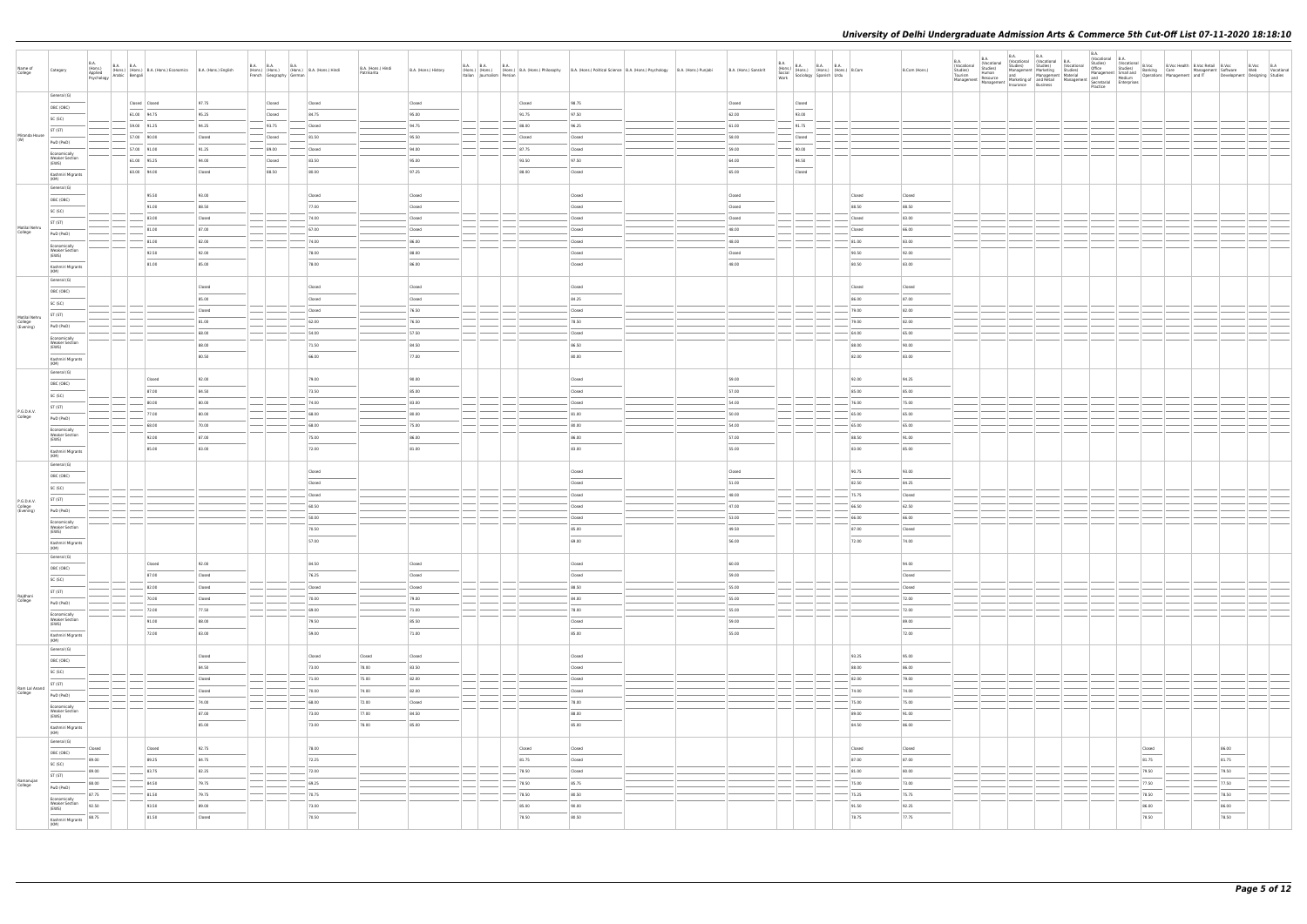| Name of<br>College       | Category                                       | <b>B.A.</b><br>B.A. (Hons.) B.A. B.A. (Hons.) B.A. (Hons.) Economics B.A. (Hons.) English Psychology Arabic Bengali<br>(Hons.)<br>Applied |                 |        | French Geography German | B.A. B.A. B.A. B.A. (Hons.) B.A. (Hons.) Hindi | B.A. (Hons.) Hindi<br>Patrikarita | B.A. (Hons.) History | B.A. B.A. B.A. (Hons.) B.A. (Hons.) Philosophy B.A. (Hons.) Political Science B.A. (Hons.) Psychology B.A. (Hons.) Punjabi<br>Italian Journalism Persian |        |  | B.A. (Hons.) Sanskrit | B.A.<br>B.A. (Hons.) B.A. B.A. B.A. (Hons.) B.Com<br>Social (Hons.) (Hons.) (Hons.) B.Com<br>Work Sociology Spanish Urdu<br>Work                                                          |  |        | B.Com (Hons.) | <b>B.A.</b><br>Vocational<br>Studies)<br>Tourism | <b>B.A.</b><br><b>B.A.</b><br>(Vocational<br>Studies)<br>Human | <b>B.A.</b> | Continued B.A.<br>Studies) Studies (Vocational Studies)<br>Management Marketing Studies)<br>and Management Material | B.A.<br>(Vocational B.A. | Vocatorional Model<br>Office Studies) (Vocational B.Voc Metalling R.Voc Retail B.Voc<br>Management Small and Banking Care Management Software Web Vocational<br>Management Small and Operations Management and IT Development Design |       |       |  |
|--------------------------|------------------------------------------------|-------------------------------------------------------------------------------------------------------------------------------------------|-----------------|--------|-------------------------|------------------------------------------------|-----------------------------------|----------------------|----------------------------------------------------------------------------------------------------------------------------------------------------------|--------|--|-----------------------|-------------------------------------------------------------------------------------------------------------------------------------------------------------------------------------------|--|--------|---------------|--------------------------------------------------|----------------------------------------------------------------|-------------|---------------------------------------------------------------------------------------------------------------------|--------------------------|--------------------------------------------------------------------------------------------------------------------------------------------------------------------------------------------------------------------------------------|-------|-------|--|
|                          | General (G)                                    |                                                                                                                                           | Closed Closed   | 97.75  | Closed                  | Closed                                         |                                   | Closed               | Closed                                                                                                                                                   | 98.75  |  | Closed                | Closed                                                                                                                                                                                    |  |        |               |                                                  |                                                                |             |                                                                                                                     |                          |                                                                                                                                                                                                                                      |       |       |  |
|                          | OBC (OBC)                                      |                                                                                                                                           | 61.00 94.75     | 95.25  | Closed                  | 84.75                                          |                                   | 95.00                | 91.75                                                                                                                                                    | 97.50  |  | 62.00                 | $\overline{\phantom{a}}$<br>93.00                                                                                                                                                         |  |        |               |                                                  |                                                                |             |                                                                                                                     |                          |                                                                                                                                                                                                                                      |       |       |  |
|                          | SC (SC)                                        |                                                                                                                                           | $59.00$ 91.25   | 94.25  | 93.75                   | Closed                                         |                                   | 94.75                | 88.00                                                                                                                                                    | 96.25  |  | $-61.00$              | 91.75                                                                                                                                                                                     |  |        |               |                                                  |                                                                |             |                                                                                                                     |                          |                                                                                                                                                                                                                                      |       |       |  |
| Miranda House<br>(W)     | ST (ST)                                        |                                                                                                                                           | 57.00 90.00     | Closed | Closed                  | 81.50                                          |                                   | 95.50                | Closed                                                                                                                                                   | Closed |  | 58.00                 | Closed                                                                                                                                                                                    |  |        |               |                                                  |                                                                |             |                                                                                                                     |                          |                                                                                                                                                                                                                                      |       |       |  |
|                          | PwD (PwD)                                      |                                                                                                                                           | $-$ 57.00 91.00 | 91.25  | 89.00                   | Closed                                         |                                   | 94.00                | 87.75                                                                                                                                                    | Closed |  | 59.00                 | 90.00                                                                                                                                                                                     |  |        |               |                                                  |                                                                |             |                                                                                                                     |                          |                                                                                                                                                                                                                                      |       |       |  |
|                          | Economically<br><b>Weaker Section</b><br>(EWS) |                                                                                                                                           | 61.00 95.25     | 94.00  | Closed                  | 83.50                                          |                                   | 95.00                | 93.50                                                                                                                                                    | 97.50  |  | 64.00                 | 94.50                                                                                                                                                                                     |  |        |               |                                                  |                                                                |             |                                                                                                                     |                          |                                                                                                                                                                                                                                      |       |       |  |
|                          | Kashmiri Migrants                              |                                                                                                                                           | 60.00 94.00     | Closed | 88.50                   | 80.00                                          |                                   | 97.25                | 88.00                                                                                                                                                    | Closed |  | 65.00                 | $\sim$<br>Closed                                                                                                                                                                          |  |        |               |                                                  |                                                                |             |                                                                                                                     |                          |                                                                                                                                                                                                                                      |       |       |  |
|                          | (KM)                                           |                                                                                                                                           |                 |        |                         |                                                |                                   |                      |                                                                                                                                                          |        |  |                       |                                                                                                                                                                                           |  |        |               |                                                  |                                                                |             |                                                                                                                     |                          |                                                                                                                                                                                                                                      |       |       |  |
|                          | General (G)                                    |                                                                                                                                           | 95.50           | 93.00  |                         | Closed                                         |                                   | Closed               |                                                                                                                                                          | Closed |  | Closed                |                                                                                                                                                                                           |  | Closed | Closed        |                                                  |                                                                |             |                                                                                                                     |                          |                                                                                                                                                                                                                                      |       |       |  |
|                          | OBC (OBC)                                      |                                                                                                                                           | 91.00           | 88.50  |                         | 77.00                                          |                                   | Closed               |                                                                                                                                                          | Closed |  | Closed                |                                                                                                                                                                                           |  | 88.50  | 88.50         |                                                  |                                                                |             |                                                                                                                     |                          |                                                                                                                                                                                                                                      |       |       |  |
|                          | SC (SC)                                        |                                                                                                                                           | 83.00           | Closed |                         | 74.00                                          |                                   | Closed               |                                                                                                                                                          | Closed |  | Closed                |                                                                                                                                                                                           |  | Closed | 83.00         |                                                  |                                                                |             |                                                                                                                     |                          |                                                                                                                                                                                                                                      |       |       |  |
| Motilal Nehru<br>College | ST (ST)<br>PwD (PwD)                           |                                                                                                                                           | 81.00           | 87.00  |                         | 67.00                                          |                                   | Closed               |                                                                                                                                                          | Closed |  | 48.00                 |                                                                                                                                                                                           |  | Closed | 66.00         |                                                  |                                                                |             |                                                                                                                     |                          |                                                                                                                                                                                                                                      |       |       |  |
|                          | Economically                                   |                                                                                                                                           | 81.00           | 82.00  |                         | 74.00                                          |                                   | 86.00                |                                                                                                                                                          | Closed |  | 48.00                 |                                                                                                                                                                                           |  | 81.00  | 83.00         |                                                  |                                                                |             |                                                                                                                     |                          |                                                                                                                                                                                                                                      |       |       |  |
|                          | <b>Weaker Section</b><br>(EWS)                 |                                                                                                                                           | 92.50           | 92.00  |                         | 78.00                                          |                                   | 88.00                |                                                                                                                                                          | Closed |  | Closed                |                                                                                                                                                                                           |  | 90.50  | 92.00         |                                                  |                                                                |             |                                                                                                                     |                          |                                                                                                                                                                                                                                      |       |       |  |
|                          | Kashmiri Migrants                              |                                                                                                                                           | 81.00           | 85.00  |                         | 78.00                                          |                                   | 86.00                |                                                                                                                                                          | Closed |  | 48.00                 |                                                                                                                                                                                           |  | 80.50  | 83.00         |                                                  |                                                                |             |                                                                                                                     |                          |                                                                                                                                                                                                                                      |       |       |  |
|                          | (KM)<br>General (G)                            |                                                                                                                                           |                 |        |                         |                                                |                                   |                      |                                                                                                                                                          |        |  |                       |                                                                                                                                                                                           |  |        |               |                                                  |                                                                |             |                                                                                                                     |                          |                                                                                                                                                                                                                                      |       |       |  |
|                          | OBC (OBC)                                      |                                                                                                                                           |                 | Closed |                         | Closed                                         |                                   | Closed               |                                                                                                                                                          | Closed |  |                       |                                                                                                                                                                                           |  | Closed | Closed        |                                                  |                                                                |             |                                                                                                                     |                          |                                                                                                                                                                                                                                      |       |       |  |
|                          | SC (SC)                                        |                                                                                                                                           |                 | 85.00  |                         | Closed                                         |                                   | Closed               |                                                                                                                                                          | 84.25  |  |                       |                                                                                                                                                                                           |  | 86.00  | 87.00         |                                                  |                                                                |             |                                                                                                                     |                          |                                                                                                                                                                                                                                      |       |       |  |
| Motilal Nehru            | ST (ST)                                        |                                                                                                                                           |                 | Closed |                         | Closed                                         |                                   | 76.50                |                                                                                                                                                          | Closed |  |                       |                                                                                                                                                                                           |  | 79.00  | 82.00         |                                                  |                                                                |             |                                                                                                                     |                          |                                                                                                                                                                                                                                      |       |       |  |
| College<br>(Evening)     | PwD (PwD)                                      |                                                                                                                                           |                 | 81.00  |                         | 62.00                                          |                                   | 76.50                |                                                                                                                                                          | 78.50  |  |                       |                                                                                                                                                                                           |  | 79.00  | 82.00         |                                                  |                                                                |             |                                                                                                                     |                          |                                                                                                                                                                                                                                      |       |       |  |
|                          | Economically                                   |                                                                                                                                           |                 | 68.00  |                         | 54.00                                          |                                   | 57.50                |                                                                                                                                                          | Closed |  |                       |                                                                                                                                                                                           |  | 64.00  | 65.00         |                                                  |                                                                |             |                                                                                                                     |                          |                                                                                                                                                                                                                                      |       |       |  |
|                          | <b>Weaker Section</b><br>(EWS)                 |                                                                                                                                           |                 | 88.00  |                         | 71.50                                          |                                   | 84.50                |                                                                                                                                                          | 86.50  |  |                       |                                                                                                                                                                                           |  | 88.00  | 90.00         |                                                  |                                                                |             |                                                                                                                     |                          |                                                                                                                                                                                                                                      |       |       |  |
|                          | Kashmiri Migrants<br>(KM)                      |                                                                                                                                           |                 | 80.50  |                         | 66.00                                          |                                   | 77.00                |                                                                                                                                                          | 80.00  |  |                       |                                                                                                                                                                                           |  | 82.00  | 83.00         |                                                  |                                                                |             |                                                                                                                     |                          |                                                                                                                                                                                                                                      |       |       |  |
|                          | General (G)                                    |                                                                                                                                           |                 |        |                         |                                                |                                   |                      |                                                                                                                                                          |        |  |                       |                                                                                                                                                                                           |  |        |               |                                                  |                                                                |             |                                                                                                                     |                          |                                                                                                                                                                                                                                      |       |       |  |
|                          | OBC (OBC)                                      |                                                                                                                                           | Closed          | 92.00  |                         | 79.00                                          |                                   | 90.00                |                                                                                                                                                          | Closed |  | 59.00                 |                                                                                                                                                                                           |  | 92.00  | 94.25         |                                                  |                                                                |             |                                                                                                                     |                          |                                                                                                                                                                                                                                      |       |       |  |
|                          | SC (SC)                                        |                                                                                                                                           | 87.00           | 84.50  |                         | 73.50                                          |                                   | 85.00                |                                                                                                                                                          | Closed |  | 57.00                 |                                                                                                                                                                                           |  | 85.00  | 85.00         |                                                  |                                                                |             |                                                                                                                     |                          |                                                                                                                                                                                                                                      |       |       |  |
| P.G.D.A.V.               | ST (ST)                                        |                                                                                                                                           | 80.00           | 80.00  |                         | 74.00                                          |                                   | 83.00                |                                                                                                                                                          | Closed |  | 54.00                 |                                                                                                                                                                                           |  | 76.00  | 75.00         |                                                  |                                                                |             |                                                                                                                     |                          |                                                                                                                                                                                                                                      |       |       |  |
| College                  | PwD (PwD)                                      |                                                                                                                                           | 77.00           | 80.00  |                         | 68.00                                          |                                   | 80.00                |                                                                                                                                                          | 81.00  |  | 50.00                 |                                                                                                                                                                                           |  | 65.00  | 65.00         |                                                  |                                                                |             |                                                                                                                     |                          |                                                                                                                                                                                                                                      |       |       |  |
|                          | Economically<br><b>Weaker Section</b>          |                                                                                                                                           | 68.00           | 70.00  |                         | 68.00                                          |                                   | 75.00                |                                                                                                                                                          | 80.00  |  | 54.00                 |                                                                                                                                                                                           |  | 65.00  | 65.00         |                                                  |                                                                |             |                                                                                                                     |                          |                                                                                                                                                                                                                                      |       |       |  |
|                          | (EWS)                                          |                                                                                                                                           | 92.00           | 87.00  |                         | 75.00                                          |                                   | 86.00                |                                                                                                                                                          | 86.00  |  | 57.00                 |                                                                                                                                                                                           |  | 88.50  | 91.00         |                                                  |                                                                |             |                                                                                                                     |                          |                                                                                                                                                                                                                                      |       |       |  |
|                          | Kashmiri Migrants<br>(KM)                      |                                                                                                                                           | 85.00           | 83.00  |                         | 72.00                                          |                                   | 81.00                |                                                                                                                                                          | 83.00  |  | 55.00                 |                                                                                                                                                                                           |  | 83.00  | 85.00         |                                                  |                                                                |             |                                                                                                                     |                          |                                                                                                                                                                                                                                      |       |       |  |
|                          | General (G)                                    |                                                                                                                                           |                 |        |                         | Closed                                         |                                   |                      |                                                                                                                                                          | Closed |  | Closed                |                                                                                                                                                                                           |  | 90.75  | 93.00         |                                                  |                                                                |             |                                                                                                                     |                          |                                                                                                                                                                                                                                      |       |       |  |
|                          | OBC (OBC)                                      |                                                                                                                                           |                 |        |                         | Closed                                         |                                   |                      |                                                                                                                                                          | Closed |  | 51.00                 |                                                                                                                                                                                           |  | 82.50  | 84.25         |                                                  |                                                                |             |                                                                                                                     |                          |                                                                                                                                                                                                                                      |       |       |  |
|                          | SC (SC)                                        |                                                                                                                                           |                 |        |                         | Closed                                         |                                   |                      |                                                                                                                                                          | Closed |  | 48.00                 |                                                                                                                                                                                           |  | 75.75  | Closed        |                                                  |                                                                |             |                                                                                                                     |                          |                                                                                                                                                                                                                                      |       |       |  |
| P.G.D.A.V.               | ST (ST)                                        |                                                                                                                                           |                 |        |                         | 60.50                                          |                                   |                      |                                                                                                                                                          | Closed |  | 47.00                 |                                                                                                                                                                                           |  | 66.50  | 62.50         |                                                  |                                                                |             |                                                                                                                     |                          |                                                                                                                                                                                                                                      |       |       |  |
| College<br>(Evening)     | PwD (PwD)                                      |                                                                                                                                           |                 |        |                         | 50.00                                          |                                   |                      |                                                                                                                                                          | Closed |  | 53.00                 |                                                                                                                                                                                           |  | 66.00  | 66.00         |                                                  |                                                                |             |                                                                                                                     |                          |                                                                                                                                                                                                                                      |       |       |  |
|                          | Economically<br><b>Weaker Section</b>          |                                                                                                                                           |                 |        |                         | 70.50                                          |                                   |                      |                                                                                                                                                          | 85.00  |  | 49.50                 |                                                                                                                                                                                           |  | 87.00  | Closed        |                                                  |                                                                |             |                                                                                                                     |                          |                                                                                                                                                                                                                                      |       |       |  |
|                          | (EWS)                                          |                                                                                                                                           |                 |        |                         | 57.00                                          |                                   |                      |                                                                                                                                                          | 69.00  |  | 56.00                 |                                                                                                                                                                                           |  | 72.00  | 74.00         |                                                  |                                                                |             |                                                                                                                     |                          |                                                                                                                                                                                                                                      |       |       |  |
|                          | Kashmiri Migrants<br>(KM)                      |                                                                                                                                           |                 |        |                         |                                                |                                   |                      |                                                                                                                                                          |        |  |                       |                                                                                                                                                                                           |  |        |               |                                                  |                                                                |             |                                                                                                                     |                          |                                                                                                                                                                                                                                      |       |       |  |
|                          | General (G)                                    |                                                                                                                                           | Closed          | 92.00  |                         | 84.50                                          |                                   | Closed               |                                                                                                                                                          | Closed |  | 60.00                 |                                                                                                                                                                                           |  |        | 94.00         |                                                  |                                                                |             |                                                                                                                     |                          |                                                                                                                                                                                                                                      |       |       |  |
|                          | OBC (OBC)                                      |                                                                                                                                           | 87.00           | Closed |                         | 76.25                                          |                                   | Closed               |                                                                                                                                                          | Closed |  | 59.00                 |                                                                                                                                                                                           |  |        | Closed        |                                                  |                                                                |             |                                                                                                                     |                          |                                                                                                                                                                                                                                      |       |       |  |
|                          | SC (SC)                                        |                                                                                                                                           | 82.00           | Closed |                         | Closed                                         |                                   | Closed               |                                                                                                                                                          | 88.50  |  | 55.00                 |                                                                                                                                                                                           |  |        | Closed        |                                                  |                                                                |             |                                                                                                                     |                          |                                                                                                                                                                                                                                      |       |       |  |
| Rajdhani<br>College      | ST (ST)<br>PwD (PwD)                           |                                                                                                                                           | 70.00           | Closed |                         | 70.00                                          |                                   | 79.00                |                                                                                                                                                          | 84.00  |  | 55.00                 |                                                                                                                                                                                           |  |        | 72.00         |                                                  |                                                                |             |                                                                                                                     |                          |                                                                                                                                                                                                                                      |       |       |  |
|                          | Economically                                   |                                                                                                                                           | 72.00           | 77.50  | $\sim$ $\sim$           | 69.00                                          |                                   | 71.00                |                                                                                                                                                          | 78.00  |  | 55.00                 | $\frac{1}{1-\alpha} \left  \frac{1}{1-\alpha} \right  = \frac{1}{1-\alpha} \left  \frac{1}{1-\alpha} \right  = \frac{1}{1-\alpha} \left  \frac{1}{1-\alpha} \right  = \frac{1}{1-\alpha}$ |  |        | 72.00         |                                                  |                                                                |             |                                                                                                                     |                          |                                                                                                                                                                                                                                      |       |       |  |
|                          | <b>Weaker Section</b><br>(EWS)                 |                                                                                                                                           | 91.00           | 88.00  |                         | 79.50                                          |                                   | 85.50                |                                                                                                                                                          | Closed |  | 59.00                 |                                                                                                                                                                                           |  |        | 89.00         |                                                  |                                                                |             |                                                                                                                     |                          |                                                                                                                                                                                                                                      |       |       |  |
|                          | Kashmiri Migrants                              |                                                                                                                                           | 72.00           | 83.00  |                         | 59.00                                          |                                   | 71.00                |                                                                                                                                                          | 85.00  |  | 55.00                 |                                                                                                                                                                                           |  |        | 72.00         |                                                  |                                                                |             |                                                                                                                     |                          |                                                                                                                                                                                                                                      |       |       |  |
|                          | (KM)<br>General (G)                            |                                                                                                                                           |                 |        |                         |                                                |                                   |                      |                                                                                                                                                          |        |  |                       |                                                                                                                                                                                           |  |        |               |                                                  |                                                                |             |                                                                                                                     |                          |                                                                                                                                                                                                                                      |       |       |  |
|                          | OBC (OBC)                                      |                                                                                                                                           |                 | Closed |                         | Closed                                         | Closed                            | Closed               |                                                                                                                                                          | Closed |  |                       |                                                                                                                                                                                           |  | 93.25  | 95.00         |                                                  |                                                                |             |                                                                                                                     |                          |                                                                                                                                                                                                                                      |       |       |  |
|                          | SC (SC)                                        |                                                                                                                                           |                 | 84.50  |                         | 73.00                                          | 78.00                             | 83.50                |                                                                                                                                                          | Closed |  |                       |                                                                                                                                                                                           |  | 88.00  | 86.00         |                                                  |                                                                |             |                                                                                                                     |                          |                                                                                                                                                                                                                                      |       |       |  |
|                          | ST (ST)                                        |                                                                                                                                           |                 | Closed |                         | 71.00                                          | 75.00                             | 82.00                |                                                                                                                                                          | Closed |  |                       |                                                                                                                                                                                           |  | 82.00  | 79.00         |                                                  |                                                                |             |                                                                                                                     |                          |                                                                                                                                                                                                                                      |       |       |  |
| Ram Lal Anand<br>College | PwD (PwD)                                      |                                                                                                                                           |                 | Closed |                         | 70.00                                          | 74.00                             | 82.00                |                                                                                                                                                          | Closed |  |                       |                                                                                                                                                                                           |  | 74.00  | 74.00         |                                                  |                                                                |             |                                                                                                                     |                          |                                                                                                                                                                                                                                      |       |       |  |
|                          | Economically                                   |                                                                                                                                           |                 | 74.00  |                         | 68.00                                          | 72.00                             | Closed               |                                                                                                                                                          | 78.00  |  |                       |                                                                                                                                                                                           |  | 75.00  | 75.00         |                                                  |                                                                |             |                                                                                                                     |                          |                                                                                                                                                                                                                                      |       |       |  |
|                          | <b>Weaker Section</b><br>(EWS)                 |                                                                                                                                           |                 | 87.00  |                         | 73.00                                          | 77.00                             | 84.50                |                                                                                                                                                          | 88.00  |  |                       |                                                                                                                                                                                           |  | 89.00  | 91.00         |                                                  |                                                                |             |                                                                                                                     |                          |                                                                                                                                                                                                                                      |       |       |  |
|                          | Kashmiri Migrants<br>(KM)                      |                                                                                                                                           |                 | 85.00  |                         | 73.00                                          | 78.00                             | 85.00                |                                                                                                                                                          | 85.00  |  |                       |                                                                                                                                                                                           |  | 84.50  | 86.00         |                                                  |                                                                |             |                                                                                                                     |                          |                                                                                                                                                                                                                                      |       |       |  |
|                          | General (G)                                    |                                                                                                                                           |                 |        |                         |                                                |                                   |                      |                                                                                                                                                          |        |  |                       |                                                                                                                                                                                           |  |        |               |                                                  |                                                                |             |                                                                                                                     |                          |                                                                                                                                                                                                                                      |       |       |  |
|                          | OBC (OBC)                                      | Closed                                                                                                                                    | Closed          | 92.75  |                         | 78.00                                          |                                   |                      | Closed                                                                                                                                                   | Closed |  |                       |                                                                                                                                                                                           |  | Closed | Closed        |                                                  |                                                                |             |                                                                                                                     |                          | Closed                                                                                                                                                                                                                               | 86.00 |       |  |
|                          | SC (SC)                                        | 89.00                                                                                                                                     | 89.25           | 84.75  |                         | 72.25                                          |                                   |                      | 81.75                                                                                                                                                    | Closed |  |                       |                                                                                                                                                                                           |  | 87.00  | 87.00         |                                                  |                                                                |             |                                                                                                                     |                          | 81.75                                                                                                                                                                                                                                | 81.75 |       |  |
|                          | ST (ST)                                        | 89.00                                                                                                                                     | 83.75           | 82.25  |                         | 72.00                                          |                                   |                      | 78.50                                                                                                                                                    | Closed |  |                       |                                                                                                                                                                                           |  | 81.00  | 80.00         |                                                  |                                                                |             |                                                                                                                     |                          | 79.50                                                                                                                                                                                                                                |       | 79.50 |  |
| Ramanujan<br>College     | PwD (PwD)                                      | 88.00                                                                                                                                     | 84.50           | 79.75  |                         | 69.25                                          |                                   |                      | 78.50                                                                                                                                                    | 85.75  |  |                       |                                                                                                                                                                                           |  | 75.00  | 73.00         |                                                  |                                                                |             |                                                                                                                     |                          | 77.50                                                                                                                                                                                                                                | 77.50 |       |  |
|                          | Economically<br><b>Weaker Section</b>          | 87.75                                                                                                                                     | 81.50           | 79.75  |                         | 70.75                                          |                                   |                      | 78.50                                                                                                                                                    | 80.50  |  |                       |                                                                                                                                                                                           |  | 75.25  | 75.75         |                                                  |                                                                |             |                                                                                                                     |                          | 78.50                                                                                                                                                                                                                                |       | 78.50 |  |
|                          | (EWS)                                          | 92.50                                                                                                                                     | 93.50           | 89.00  |                         | 73.00                                          |                                   |                      | 85.00                                                                                                                                                    | 90.00  |  |                       |                                                                                                                                                                                           |  | 91.50  | 92.25         |                                                  |                                                                |             |                                                                                                                     |                          | 86.00                                                                                                                                                                                                                                | 86.00 |       |  |
|                          | Kashmiri Migrants<br>(KM)                      | 88.75                                                                                                                                     | 81.50           | Closed |                         | 70.50                                          |                                   |                      | 78.50                                                                                                                                                    | 80.50  |  |                       |                                                                                                                                                                                           |  | 78.75  | 77.75         |                                                  |                                                                |             |                                                                                                                     |                          | 78.50                                                                                                                                                                                                                                |       | 78.50 |  |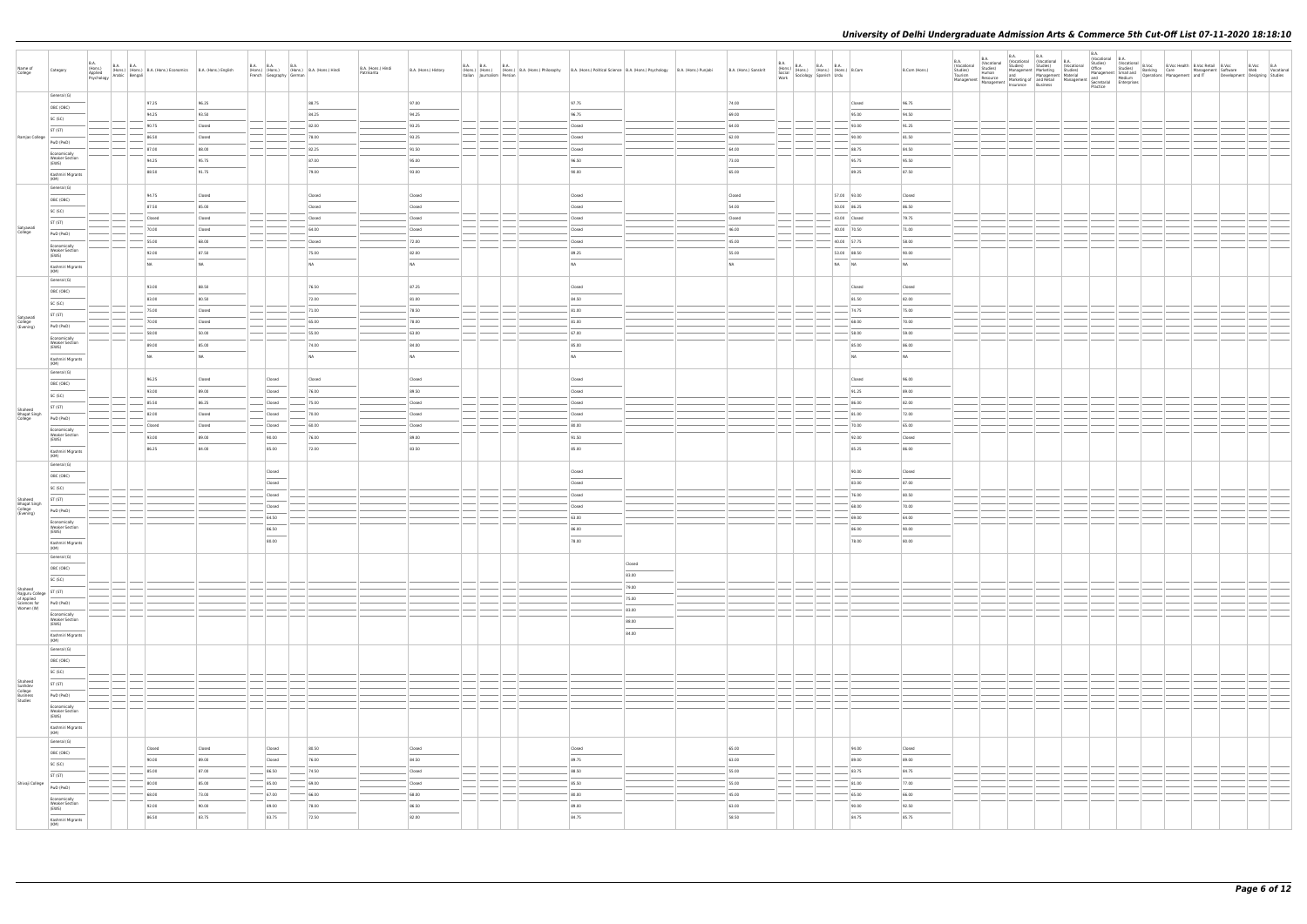| Name of<br>College                                   | Category                                            | B.A.<br>(Hons.)<br>Applied |                                                                                                                      | B.A. (Hons.) B.A. B.A. (Hons.) B.A. (Hons.) Economics B.A. (Hons.) English Asplied (Hons.) English Psychology Arabic Bengali |                 | <b>B.A. B.A.</b><br>French Geography German                                                                                                                                                                                                                                                                                                                                                                                                                                          | B.A. | (Hons.) (Hons.) (Hons.) B.A. (Hons.) Hindi | B.A. (Hons.) Hindi<br>Patrikarita | B.A. (Hons.) History | <b>B.A. B.A.</b><br>Italian Journalism Persian | <b>B.A.</b><br>(Hons.) (Hons.) (Hons.) B.A. (Hons.) Philosophy | B.A. (Hons.) Political Science   B.A. (Hons.) Psychology   B.A. (Hons.) Punjabi |                 | B.A. (Hons.) Sanskrit             |               | $\begin{tabular}{ l l l } \hline B.A. & B.A. & B.A. & B.A. \\ \hline (Hons.) & (Hons.) & (Hons.) & (Hons.) & B. Com \\ & Social & Sociology & Spanish & Urdu \\ \hline work & & & & & & \\ \hline \end{tabular}$ |                             | B.Com (Hons.)  |  |  |  | B.Voc B.A<br>Development Designing Studies | Web Vocational |
|------------------------------------------------------|-----------------------------------------------------|----------------------------|----------------------------------------------------------------------------------------------------------------------|------------------------------------------------------------------------------------------------------------------------------|-----------------|--------------------------------------------------------------------------------------------------------------------------------------------------------------------------------------------------------------------------------------------------------------------------------------------------------------------------------------------------------------------------------------------------------------------------------------------------------------------------------------|------|--------------------------------------------|-----------------------------------|----------------------|------------------------------------------------|----------------------------------------------------------------|---------------------------------------------------------------------------------|-----------------|-----------------------------------|---------------|------------------------------------------------------------------------------------------------------------------------------------------------------------------------------------------------------------------|-----------------------------|----------------|--|--|--|--------------------------------------------|----------------|
|                                                      | General (G)                                         |                            |                                                                                                                      | 97.25                                                                                                                        | 96.25           |                                                                                                                                                                                                                                                                                                                                                                                                                                                                                      |      | 88.75                                      |                                   | 97.00                |                                                |                                                                | 97.75                                                                           |                 | 74.00                             |               |                                                                                                                                                                                                                  | Closed                      | 96.75          |  |  |  |                                            |                |
|                                                      | OBC (OBC)<br>SC (SC)                                |                            |                                                                                                                      | 94.25                                                                                                                        | 93.50           |                                                                                                                                                                                                                                                                                                                                                                                                                                                                                      |      | 84.25                                      |                                   | 94.25                |                                                |                                                                | 96.75                                                                           |                 | 69.00                             |               |                                                                                                                                                                                                                  | 95.00                       | 94.50          |  |  |  |                                            |                |
|                                                      | ST (ST)                                             |                            |                                                                                                                      | 90.75                                                                                                                        | Closed          |                                                                                                                                                                                                                                                                                                                                                                                                                                                                                      |      | 82.00                                      |                                   | 93.25                |                                                |                                                                | Closed                                                                          |                 | 64.00                             |               |                                                                                                                                                                                                                  | 93.00                       | 91.25          |  |  |  |                                            |                |
| Ramjas College                                       | PwD (PwD)                                           |                            |                                                                                                                      | 86.50                                                                                                                        | Closed          |                                                                                                                                                                                                                                                                                                                                                                                                                                                                                      |      | 78.00                                      |                                   | 93.25                |                                                |                                                                | Closed                                                                          |                 | 62.00                             |               |                                                                                                                                                                                                                  | 90.00                       | 81.50          |  |  |  |                                            |                |
|                                                      | Economically                                        |                            |                                                                                                                      | 87.00                                                                                                                        | 88.00           |                                                                                                                                                                                                                                                                                                                                                                                                                                                                                      |      | 82.25                                      |                                   | 91.50                |                                                |                                                                | Closed                                                                          |                 | 64.00                             |               |                                                                                                                                                                                                                  | 88.75                       | 84.50          |  |  |  |                                            |                |
|                                                      | <b>Weaker Section</b><br>(EWS)                      |                            |                                                                                                                      | 94.25                                                                                                                        | 95.75           |                                                                                                                                                                                                                                                                                                                                                                                                                                                                                      |      | 87.00                                      |                                   | 95.00                |                                                |                                                                | 96.50                                                                           |                 | 73.00                             |               |                                                                                                                                                                                                                  | 95.75                       | 95.50          |  |  |  |                                            |                |
|                                                      | Kashmiri Migrants<br>(KM)                           |                            |                                                                                                                      | 88.50                                                                                                                        | 91.75           |                                                                                                                                                                                                                                                                                                                                                                                                                                                                                      |      | 79.00                                      |                                   | 93.00                |                                                |                                                                | 90.00                                                                           |                 | 65.00                             |               |                                                                                                                                                                                                                  | 89.25                       | 87.50          |  |  |  |                                            |                |
|                                                      | General (G)                                         |                            |                                                                                                                      |                                                                                                                              |                 |                                                                                                                                                                                                                                                                                                                                                                                                                                                                                      |      |                                            |                                   |                      |                                                |                                                                |                                                                                 |                 |                                   |               |                                                                                                                                                                                                                  |                             |                |  |  |  |                                            |                |
|                                                      | OBC (OBC)                                           |                            |                                                                                                                      | 94.75                                                                                                                        | Closed          |                                                                                                                                                                                                                                                                                                                                                                                                                                                                                      |      | Closed                                     |                                   | Closed               |                                                |                                                                | Closed                                                                          |                 | Closed                            |               |                                                                                                                                                                                                                  | 57.00 93.00                 | Closed         |  |  |  |                                            |                |
|                                                      | SC (SC)                                             |                            |                                                                                                                      | 87.50<br>Closed                                                                                                              | 85.00<br>Closed |                                                                                                                                                                                                                                                                                                                                                                                                                                                                                      |      | Closed                                     |                                   | Closed<br>Closed     |                                                |                                                                | Closed                                                                          |                 | 54.00                             |               |                                                                                                                                                                                                                  | 50.00 86.25<br>43.00 Closed | 86.50<br>79.75 |  |  |  |                                            |                |
| Satyawati                                            | ST (ST)                                             |                            |                                                                                                                      | 70.00                                                                                                                        | Closed          |                                                                                                                                                                                                                                                                                                                                                                                                                                                                                      |      | Closed<br>64.00                            |                                   | Closed               |                                                |                                                                | Closed<br>Closed                                                                |                 | Closed<br>46.00                   |               |                                                                                                                                                                                                                  | 40.00 70.50                 | 71.00          |  |  |  |                                            |                |
| College                                              | PwD (PwD)                                           |                            |                                                                                                                      | 55.00                                                                                                                        | 68.00           |                                                                                                                                                                                                                                                                                                                                                                                                                                                                                      |      | Closed                                     |                                   | 72.00                |                                                |                                                                | Closed                                                                          |                 | 45.00                             |               |                                                                                                                                                                                                                  | 40.00 57.75                 | 58.00          |  |  |  |                                            |                |
|                                                      | Economically<br><b>Weaker Section</b><br>(EWS)      |                            |                                                                                                                      | 92.00                                                                                                                        | 87.50           |                                                                                                                                                                                                                                                                                                                                                                                                                                                                                      |      | 75.00                                      |                                   | 82.00                |                                                |                                                                | 89.25                                                                           |                 | 55.00                             |               |                                                                                                                                                                                                                  | 53.00 88.50                 | 90.00          |  |  |  |                                            |                |
|                                                      | Kashmiri Migrants                                   |                            |                                                                                                                      | NA                                                                                                                           | NA              |                                                                                                                                                                                                                                                                                                                                                                                                                                                                                      |      | NA                                         |                                   | <b>NA</b>            |                                                |                                                                | <b>NA</b>                                                                       |                 | NA                                |               |                                                                                                                                                                                                                  | NA NA                       | <b>NA</b>      |  |  |  |                                            |                |
|                                                      | (KM)<br>General (G)                                 |                            |                                                                                                                      |                                                                                                                              |                 |                                                                                                                                                                                                                                                                                                                                                                                                                                                                                      |      |                                            |                                   |                      |                                                |                                                                |                                                                                 |                 |                                   |               |                                                                                                                                                                                                                  |                             |                |  |  |  |                                            |                |
|                                                      | OBC (OBC)                                           |                            |                                                                                                                      | 93.00                                                                                                                        | 88.50           |                                                                                                                                                                                                                                                                                                                                                                                                                                                                                      |      | 76.50                                      |                                   | 87.25                |                                                |                                                                | Closed                                                                          |                 |                                   |               |                                                                                                                                                                                                                  | Closed                      | Closed         |  |  |  |                                            |                |
|                                                      | SC (SC)                                             |                            |                                                                                                                      | 83.00                                                                                                                        | 80.50           |                                                                                                                                                                                                                                                                                                                                                                                                                                                                                      |      | 72.00                                      |                                   | 81.00                |                                                |                                                                | 84.50                                                                           |                 |                                   |               |                                                                                                                                                                                                                  | 81.50                       | 82.00          |  |  |  |                                            |                |
|                                                      | ST (ST)                                             |                            |                                                                                                                      | 75.00                                                                                                                        | Closed          |                                                                                                                                                                                                                                                                                                                                                                                                                                                                                      |      | 71.00                                      |                                   | 78.50                |                                                |                                                                | 81.00                                                                           |                 |                                   |               |                                                                                                                                                                                                                  | 74.75                       | 75.00          |  |  |  |                                            |                |
| Satyawati<br>College<br>(Evening)                    | PwD (PwD)                                           |                            |                                                                                                                      | 70.00                                                                                                                        | Closed          |                                                                                                                                                                                                                                                                                                                                                                                                                                                                                      |      | 65.00                                      |                                   | 78.00                |                                                |                                                                | 81.00                                                                           |                 |                                   |               |                                                                                                                                                                                                                  | 68.00                       | 70.00          |  |  |  |                                            |                |
|                                                      | Economically<br><b>Weaker Section</b>               |                            |                                                                                                                      | 58.00                                                                                                                        | 50.00           |                                                                                                                                                                                                                                                                                                                                                                                                                                                                                      |      | 55.00                                      |                                   | 63.00                |                                                |                                                                | 67.00                                                                           |                 |                                   |               |                                                                                                                                                                                                                  | 58.00                       | 59.00          |  |  |  |                                            |                |
|                                                      | (EWS)                                               |                            |                                                                                                                      | 89.00                                                                                                                        | 85.00           |                                                                                                                                                                                                                                                                                                                                                                                                                                                                                      |      | 74.00                                      |                                   | 84.00                |                                                |                                                                | 85.00                                                                           |                 |                                   |               |                                                                                                                                                                                                                  | 85.00                       | 86.00          |  |  |  |                                            |                |
|                                                      | Kashmiri Migrants<br>(KM)                           |                            |                                                                                                                      | NA                                                                                                                           | NA              |                                                                                                                                                                                                                                                                                                                                                                                                                                                                                      |      | NA                                         |                                   | N <sub>A</sub>       |                                                |                                                                | <b>NA</b>                                                                       |                 |                                   |               |                                                                                                                                                                                                                  | NA                          | N <sub>A</sub> |  |  |  |                                            |                |
|                                                      | General (G)                                         |                            |                                                                                                                      | 96.25                                                                                                                        | Closed          | Closed                                                                                                                                                                                                                                                                                                                                                                                                                                                                               |      | Closed                                     |                                   | Closed               |                                                |                                                                | Closed                                                                          |                 |                                   |               |                                                                                                                                                                                                                  | Closed                      | 96.00          |  |  |  |                                            |                |
|                                                      | OBC (OBC)                                           |                            |                                                                                                                      | 93.00                                                                                                                        | 89.00           | Closed                                                                                                                                                                                                                                                                                                                                                                                                                                                                               |      | 76.00                                      |                                   | 89.50                |                                                |                                                                | Closed                                                                          |                 |                                   |               |                                                                                                                                                                                                                  | 91.25                       | 89.00          |  |  |  |                                            |                |
|                                                      | SC (SC)                                             |                            |                                                                                                                      | 85.50                                                                                                                        | 86.25           | $\overline{\phantom{a}}$ Closed                                                                                                                                                                                                                                                                                                                                                                                                                                                      |      | 75.00                                      |                                   | Closed               |                                                |                                                                | Closed                                                                          |                 |                                   |               |                                                                                                                                                                                                                  | 86.00                       | 82.00          |  |  |  |                                            |                |
| Shaheed<br><b>Bhagat Singh</b>                       | ST (ST)                                             |                            |                                                                                                                      | 82.00                                                                                                                        | Closed          | Closed                                                                                                                                                                                                                                                                                                                                                                                                                                                                               |      | 70.00                                      |                                   | Closed               |                                                |                                                                | Closed                                                                          |                 |                                   |               |                                                                                                                                                                                                                  | 81.00                       | 72.00          |  |  |  |                                            |                |
| College                                              | PwD (PwD)<br>Economically                           |                            |                                                                                                                      | Closed                                                                                                                       | Closed          | Closed                                                                                                                                                                                                                                                                                                                                                                                                                                                                               |      | $-60.00$                                   |                                   | Closed               |                                                |                                                                | 80.00                                                                           |                 |                                   |               |                                                                                                                                                                                                                  | 70.00                       | 65.00          |  |  |  |                                            |                |
|                                                      | <b>Weaker Section</b><br>(EWS)                      |                            |                                                                                                                      | 93.00                                                                                                                        | 89.00           | 90.00                                                                                                                                                                                                                                                                                                                                                                                                                                                                                |      | 76.00                                      |                                   | 89.00                |                                                |                                                                | 91.50                                                                           |                 |                                   |               |                                                                                                                                                                                                                  | 92.00                       | Closed         |  |  |  |                                            |                |
|                                                      | Kashmiri Migrants                                   |                            |                                                                                                                      | 86.25                                                                                                                        | 84.00           | 85.00                                                                                                                                                                                                                                                                                                                                                                                                                                                                                |      | 72.00                                      |                                   | 83.50                |                                                |                                                                | 85.00                                                                           |                 |                                   |               |                                                                                                                                                                                                                  | 85.25                       | 86.00          |  |  |  |                                            |                |
|                                                      | (KM)<br>General (G)                                 |                            |                                                                                                                      |                                                                                                                              |                 |                                                                                                                                                                                                                                                                                                                                                                                                                                                                                      |      |                                            |                                   |                      |                                                |                                                                |                                                                                 |                 |                                   |               |                                                                                                                                                                                                                  |                             |                |  |  |  |                                            |                |
|                                                      | OBC (OBC)                                           |                            |                                                                                                                      |                                                                                                                              |                 | Closed                                                                                                                                                                                                                                                                                                                                                                                                                                                                               |      |                                            |                                   |                      |                                                |                                                                | Closed                                                                          |                 |                                   |               |                                                                                                                                                                                                                  | 90.00                       | Closed         |  |  |  |                                            |                |
|                                                      | SC (SC)                                             |                            |                                                                                                                      |                                                                                                                              |                 | Closed                                                                                                                                                                                                                                                                                                                                                                                                                                                                               |      |                                            |                                   |                      |                                                |                                                                | Closed                                                                          |                 |                                   |               |                                                                                                                                                                                                                  | 83.00                       | 87.00          |  |  |  |                                            |                |
| Shaheed                                              | ST (ST)                                             |                            |                                                                                                                      |                                                                                                                              |                 | Closed                                                                                                                                                                                                                                                                                                                                                                                                                                                                               |      |                                            |                                   |                      |                                                |                                                                | Closed                                                                          |                 |                                   |               |                                                                                                                                                                                                                  | 76.00                       | 80.50          |  |  |  |                                            |                |
| Bhagat Singh<br>College<br>(Evening)                 | PwD (PwD)                                           |                            |                                                                                                                      |                                                                                                                              |                 | Closed                                                                                                                                                                                                                                                                                                                                                                                                                                                                               |      |                                            |                                   |                      |                                                |                                                                | Closed<br>63.00                                                                 |                 |                                   |               |                                                                                                                                                                                                                  | 68.00                       | 70.00          |  |  |  |                                            |                |
|                                                      | Economically<br><b>Weaker Section</b>               |                            |                                                                                                                      |                                                                                                                              |                 | 64.50<br>86.50                                                                                                                                                                                                                                                                                                                                                                                                                                                                       |      |                                            |                                   |                      |                                                |                                                                | 86.00                                                                           |                 |                                   |               |                                                                                                                                                                                                                  | 69.00<br>86.00              | 64.00<br>90.00 |  |  |  |                                            |                |
|                                                      | (EWS)                                               |                            |                                                                                                                      |                                                                                                                              |                 | 80.00                                                                                                                                                                                                                                                                                                                                                                                                                                                                                |      |                                            |                                   |                      |                                                |                                                                | 78.00                                                                           |                 |                                   |               |                                                                                                                                                                                                                  | 78.00                       | 80.00          |  |  |  |                                            |                |
|                                                      | Kashmiri Migrants<br>(KM)                           |                            |                                                                                                                      |                                                                                                                              |                 |                                                                                                                                                                                                                                                                                                                                                                                                                                                                                      |      |                                            |                                   |                      |                                                |                                                                |                                                                                 |                 |                                   |               |                                                                                                                                                                                                                  |                             |                |  |  |  |                                            |                |
|                                                      | General (G)<br>OBC (OBC)                            |                            |                                                                                                                      |                                                                                                                              |                 |                                                                                                                                                                                                                                                                                                                                                                                                                                                                                      |      |                                            |                                   |                      |                                                |                                                                |                                                                                 | Closed          |                                   |               |                                                                                                                                                                                                                  |                             |                |  |  |  |                                            |                |
|                                                      | SC (SC)                                             |                            |                                                                                                                      |                                                                                                                              |                 |                                                                                                                                                                                                                                                                                                                                                                                                                                                                                      |      |                                            |                                   |                      |                                                |                                                                |                                                                                 | 83.00           |                                   |               |                                                                                                                                                                                                                  |                             |                |  |  |  |                                            |                |
| Shaheed                                              | ST (ST)                                             |                            | $  -$                                                                                                                |                                                                                                                              |                 |                                                                                                                                                                                                                                                                                                                                                                                                                                                                                      |      |                                            |                                   |                      |                                                |                                                                |                                                                                 | 79.00           |                                   |               |                                                                                                                                                                                                                  |                             |                |  |  |  |                                            |                |
| Rajguru College<br>of Applied<br>Sciences for        | PwD (PwD)                                           |                            | <u> 1999 - 1999 - 1999 - 1999 - 1999 - 1999 - 1999 - 1999 - 1999 - 1999 - 1999 - 1999 - 1999 - 1999 - 1999 - 199</u> |                                                                                                                              |                 |                                                                                                                                                                                                                                                                                                                                                                                                                                                                                      |      |                                            |                                   |                      |                                                |                                                                |                                                                                 | 75.00           |                                   |               |                                                                                                                                                                                                                  |                             |                |  |  |  |                                            |                |
| Women (W)                                            | Economically                                        |                            |                                                                                                                      |                                                                                                                              |                 |                                                                                                                                                                                                                                                                                                                                                                                                                                                                                      |      |                                            |                                   |                      |                                                |                                                                |                                                                                 | 83.00           |                                   |               |                                                                                                                                                                                                                  |                             |                |  |  |  |                                            |                |
|                                                      | Weaker Section<br>(EWS)<br>$\sim$                   |                            |                                                                                                                      |                                                                                                                              |                 |                                                                                                                                                                                                                                                                                                                                                                                                                                                                                      |      |                                            |                                   |                      |                                                |                                                                |                                                                                 | 88.00<br>$\sim$ |                                   |               |                                                                                                                                                                                                                  |                             |                |  |  |  |                                            |                |
|                                                      | Kashmiri Migrants<br>(KM)                           |                            |                                                                                                                      |                                                                                                                              |                 |                                                                                                                                                                                                                                                                                                                                                                                                                                                                                      |      |                                            |                                   |                      |                                                |                                                                |                                                                                 | 84.00           |                                   |               |                                                                                                                                                                                                                  |                             |                |  |  |  |                                            |                |
|                                                      | General (G)                                         |                            |                                                                                                                      |                                                                                                                              |                 |                                                                                                                                                                                                                                                                                                                                                                                                                                                                                      |      |                                            |                                   |                      |                                                |                                                                |                                                                                 |                 |                                   |               |                                                                                                                                                                                                                  |                             |                |  |  |  |                                            |                |
|                                                      | OBC (OBC)                                           |                            |                                                                                                                      |                                                                                                                              |                 |                                                                                                                                                                                                                                                                                                                                                                                                                                                                                      |      |                                            |                                   |                      |                                                |                                                                |                                                                                 |                 |                                   |               |                                                                                                                                                                                                                  |                             |                |  |  |  |                                            |                |
|                                                      | SC (SC)                                             |                            | حداديا.                                                                                                              |                                                                                                                              |                 |                                                                                                                                                                                                                                                                                                                                                                                                                                                                                      |      |                                            |                                   |                      |                                                |                                                                |                                                                                 |                 |                                   |               |                                                                                                                                                                                                                  |                             |                |  |  |  |                                            |                |
| Shaheed<br>Sukhdev<br>College<br>Business<br>Studies | ST (ST)                                             |                            | $\left  \_\right $<br>كاكا                                                                                           |                                                                                                                              |                 |                                                                                                                                                                                                                                                                                                                                                                                                                                                                                      |      |                                            |                                   |                      |                                                |                                                                |                                                                                 |                 |                                   |               |                                                                                                                                                                                                                  |                             |                |  |  |  |                                            |                |
|                                                      | PwD (PwD)                                           |                            |                                                                                                                      |                                                                                                                              |                 |                                                                                                                                                                                                                                                                                                                                                                                                                                                                                      |      |                                            |                                   |                      |                                                |                                                                |                                                                                 |                 |                                   |               |                                                                                                                                                                                                                  |                             |                |  |  |  |                                            |                |
|                                                      | Economically<br><b>Weaker Section</b><br>(EWS)      |                            |                                                                                                                      |                                                                                                                              |                 |                                                                                                                                                                                                                                                                                                                                                                                                                                                                                      |      |                                            |                                   |                      |                                                |                                                                |                                                                                 |                 |                                   |               |                                                                                                                                                                                                                  |                             |                |  |  |  |                                            |                |
|                                                      | $\frac{1}{2}$<br>Kashmiri Migrants<br>(KM)          |                            |                                                                                                                      |                                                                                                                              |                 |                                                                                                                                                                                                                                                                                                                                                                                                                                                                                      |      |                                            |                                   |                      |                                                |                                                                |                                                                                 |                 |                                   |               |                                                                                                                                                                                                                  |                             |                |  |  |  |                                            |                |
|                                                      | General (G)                                         |                            |                                                                                                                      |                                                                                                                              |                 |                                                                                                                                                                                                                                                                                                                                                                                                                                                                                      |      |                                            |                                   |                      |                                                |                                                                |                                                                                 |                 |                                   |               |                                                                                                                                                                                                                  |                             |                |  |  |  |                                            |                |
|                                                      | OBC (OBC)                                           |                            |                                                                                                                      | Closed                                                                                                                       | Closed          | Closed<br>$\frac{1}{2} \left( \frac{1}{2} \right) \left( \frac{1}{2} \right) \left( \frac{1}{2} \right) \left( \frac{1}{2} \right) \left( \frac{1}{2} \right) \left( \frac{1}{2} \right) \left( \frac{1}{2} \right) \left( \frac{1}{2} \right) \left( \frac{1}{2} \right) \left( \frac{1}{2} \right) \left( \frac{1}{2} \right) \left( \frac{1}{2} \right) \left( \frac{1}{2} \right) \left( \frac{1}{2} \right) \left( \frac{1}{2} \right) \left( \frac{1}{2} \right) \left( \frac$ |      | 80.50<br>$\overline{\phantom{a}}$          |                                   | Closed               |                                                |                                                                | Closed                                                                          |                 | 65.00                             |               |                                                                                                                                                                                                                  | 94.00                       | Closed         |  |  |  |                                            |                |
|                                                      | SC (SC)                                             |                            |                                                                                                                      | 90.00                                                                                                                        | 89.00           | Closed                                                                                                                                                                                                                                                                                                                                                                                                                                                                               |      | 76.00                                      |                                   | 84.50                |                                                |                                                                | 89.75                                                                           |                 | 63.00                             |               |                                                                                                                                                                                                                  | 89.00                       | 89.00          |  |  |  |                                            |                |
|                                                      | ST (ST)                                             |                            |                                                                                                                      | 85.00                                                                                                                        | 87.00           | $- 86.50$                                                                                                                                                                                                                                                                                                                                                                                                                                                                            |      | $- 74.50$                                  |                                   | Closed               |                                                |                                                                | 88.50                                                                           |                 | 55.00                             |               |                                                                                                                                                                                                                  | 83.75                       | 84.75          |  |  |  |                                            |                |
| Shivaji College                                      | PwD (PwD)                                           |                            |                                                                                                                      | 80.00                                                                                                                        | 85.00           | 85.00                                                                                                                                                                                                                                                                                                                                                                                                                                                                                |      | 69.00                                      |                                   | Closed               |                                                |                                                                | 85.50                                                                           |                 | 55.00                             |               |                                                                                                                                                                                                                  | 81.00                       | 77.00          |  |  |  |                                            |                |
|                                                      | Economically                                        |                            |                                                                                                                      | 68.00                                                                                                                        | 73.00           | $- 67.00$                                                                                                                                                                                                                                                                                                                                                                                                                                                                            |      | $-66.00$                                   |                                   | 68.00                |                                                |                                                                | 80.00                                                                           |                 | 45.00                             | $\frac{1}{2}$ |                                                                                                                                                                                                                  | 65.00                       | 66.00          |  |  |  |                                            |                |
|                                                      | Weaker Section<br>(EWS)<br><b>Contract Contract</b> |                            |                                                                                                                      | 92.00                                                                                                                        | 90.00           | 89.00<br>$\overline{\phantom{a}}$<br>83.75                                                                                                                                                                                                                                                                                                                                                                                                                                           |      | 78.00                                      |                                   | 86.50                |                                                |                                                                | 89.00<br>$\overline{\phantom{a}}$<br>84.75                                      |                 | 63.00<br>$\overline{\phantom{a}}$ |               |                                                                                                                                                                                                                  | 90.00                       | 92.50          |  |  |  |                                            |                |
|                                                      | Kashmiri Migrants<br>(KM)                           |                            |                                                                                                                      | 86.50                                                                                                                        | 83.75           |                                                                                                                                                                                                                                                                                                                                                                                                                                                                                      |      | 72.50                                      |                                   | 82.00                |                                                |                                                                |                                                                                 |                 | 58.50                             |               |                                                                                                                                                                                                                  | 84.75                       | 85.75          |  |  |  |                                            |                |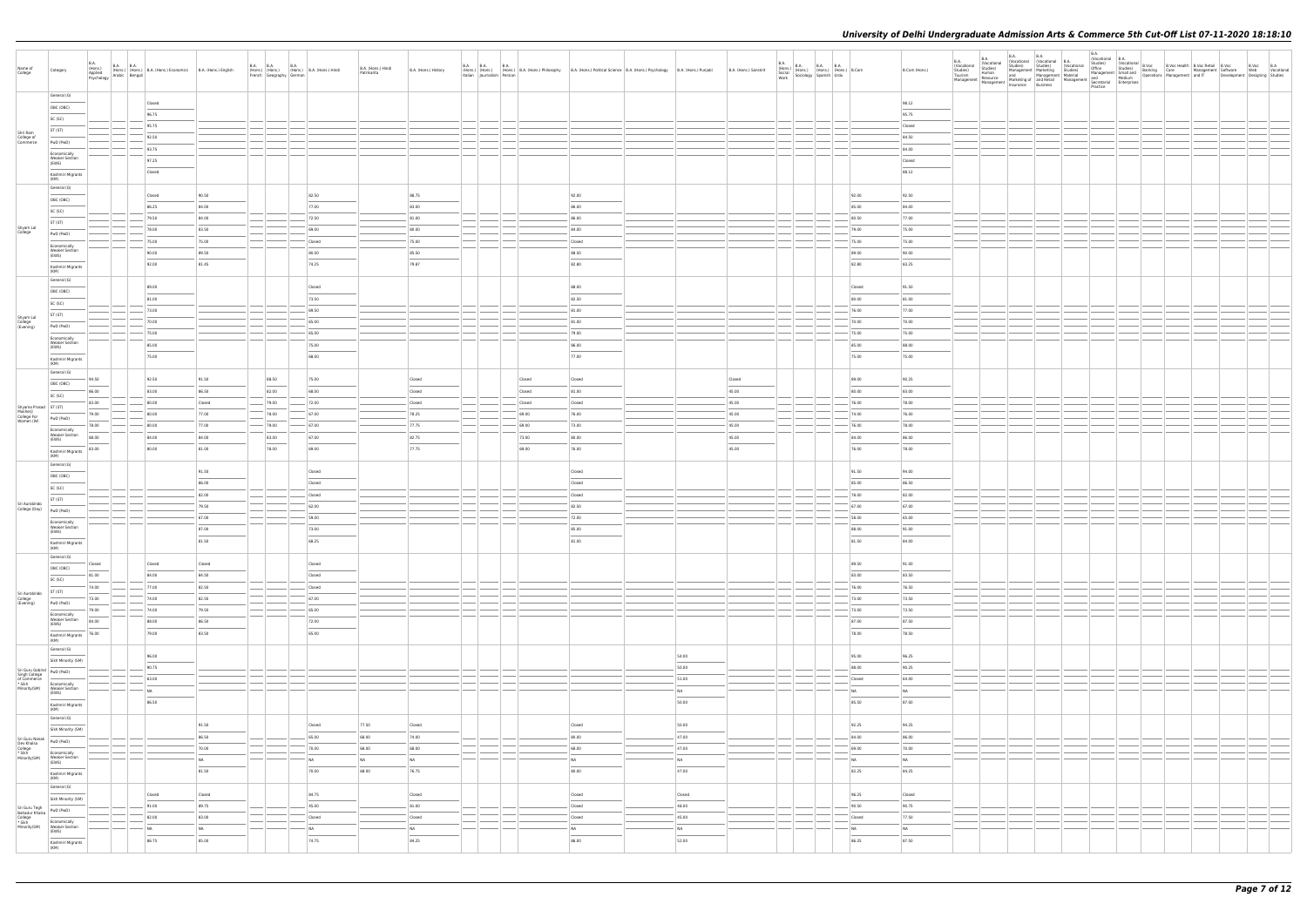| Name of<br>College                                                                                                                                                                                                                                        | Category                                                                                                                                                                                                                                                                                                                                                                                                                                                                                                | <b>B.A.</b>     | B.A.<br>(Hons.) B.A. (Hons.) (Hons.) B.A. (Hons.) Economics B.A. (Hons.) English Psychology Arabic Bengali |                 | $\begin{tabular}{ l l } \hline B.A. & B.A. & B.A. & B.A. & B.A. & (Hons.) & Hindi \\ (Hons.) & (Hons.) & (Hons.) & B.A. & (Hons.) & Hindi \\ French & Geography & German & \\\hline \end{tabular}$ |                     | B.A. (Hons.) Hindi<br>Patrikarita | B.A. (Hons.) History |  |                  | B.A. B.A.<br>(Hons.) (Hons.) (Hons.) B.A. (Hons.) Philosophy B.A. (Hons.) Political Science B.A. (Hons.) Psychology B.A. (Hons.) Punjabi<br>  Italian   Journalism   Persian |                | B.A. (Hons.) Sanskrit | B.A. (Hons.) B.A. B.A. B.A. (Hons.) B.Com<br>Social (Hons.) (Hons.) (Hons.) B.Com<br>Work Sociology Spanish Urdu |                     | B.Com (Hons.)   |  | Insurance Business | Practice | $\begin{tabular}{l c c c c c c c c} \hline \multicolumn{3}{c}{BA} & \multicolumn{3}{c}{BA} & \multicolumn{3}{c}{BA} & \multicolumn{3}{c}{BA} & \multicolumn{3}{c}{BA} & \multicolumn{3}{c}{BA} & \multicolumn{3}{c}{BA} & \multicolumn{3}{c}{BA} & \multicolumn{3}{c}{BA} & \multicolumn{3}{c}{NA} & \multicolumn{3}{c}{NA} & \multicolumn{3}{c}{NA} & \multicolumn{3}{c}{Nocaitional} & \multicolumn{3}{c}{BA} & \multicolumn{3}{c}{Nocaional} & \multicolumn{3}{c}{$ |  | B.Voc B.A<br>Web Vocational<br>Development Designing Studies |
|-----------------------------------------------------------------------------------------------------------------------------------------------------------------------------------------------------------------------------------------------------------|---------------------------------------------------------------------------------------------------------------------------------------------------------------------------------------------------------------------------------------------------------------------------------------------------------------------------------------------------------------------------------------------------------------------------------------------------------------------------------------------------------|-----------------|------------------------------------------------------------------------------------------------------------|-----------------|----------------------------------------------------------------------------------------------------------------------------------------------------------------------------------------------------|---------------------|-----------------------------------|----------------------|--|------------------|------------------------------------------------------------------------------------------------------------------------------------------------------------------------------|----------------|-----------------------|------------------------------------------------------------------------------------------------------------------|---------------------|-----------------|--|--------------------|----------|------------------------------------------------------------------------------------------------------------------------------------------------------------------------------------------------------------------------------------------------------------------------------------------------------------------------------------------------------------------------------------------------------------------------------------------------------------------------|--|--------------------------------------------------------------|
|                                                                                                                                                                                                                                                           | General (G)<br>OBC (OBC)<br>SC (SC)                                                                                                                                                                                                                                                                                                                                                                                                                                                                     |                 | Closed<br>96.75                                                                                            |                 |                                                                                                                                                                                                    |                     |                                   |                      |  |                  |                                                                                                                                                                              |                |                       |                                                                                                                  |                     | 98.12<br>95.75  |  |                    |          |                                                                                                                                                                                                                                                                                                                                                                                                                                                                        |  |                                                              |
| Shri Ram<br>College of<br>Commerce                                                                                                                                                                                                                        | ST (ST)                                                                                                                                                                                                                                                                                                                                                                                                                                                                                                 |                 | 95.75<br>92.50                                                                                             |                 |                                                                                                                                                                                                    |                     |                                   |                      |  |                  |                                                                                                                                                                              |                |                       |                                                                                                                  |                     | Closed<br>84.50 |  |                    |          |                                                                                                                                                                                                                                                                                                                                                                                                                                                                        |  |                                                              |
|                                                                                                                                                                                                                                                           | PwD (PwD)<br>Economically                                                                                                                                                                                                                                                                                                                                                                                                                                                                               |                 | 93.75                                                                                                      |                 |                                                                                                                                                                                                    |                     |                                   |                      |  |                  |                                                                                                                                                                              |                |                       |                                                                                                                  |                     | 84.00           |  |                    |          |                                                                                                                                                                                                                                                                                                                                                                                                                                                                        |  |                                                              |
|                                                                                                                                                                                                                                                           | <b>Weaker Section</b><br>(EWS)<br>Kashmiri Migrants<br>(KM)                                                                                                                                                                                                                                                                                                                                                                                                                                             |                 | 97.25<br>Closed                                                                                            |                 |                                                                                                                                                                                                    |                     |                                   |                      |  |                  |                                                                                                                                                                              |                |                       |                                                                                                                  |                     | Closed<br>88.12 |  |                    |          |                                                                                                                                                                                                                                                                                                                                                                                                                                                                        |  |                                                              |
|                                                                                                                                                                                                                                                           | General (G)<br>OBC (OBC)                                                                                                                                                                                                                                                                                                                                                                                                                                                                                |                 | Closed                                                                                                     | 90.50           |                                                                                                                                                                                                    | 82.50               |                                   | 88.75                |  |                  | 92.00                                                                                                                                                                        |                |                       |                                                                                                                  | 92.00               | 92.50           |  |                    |          |                                                                                                                                                                                                                                                                                                                                                                                                                                                                        |  |                                                              |
|                                                                                                                                                                                                                                                           | SC (SC)                                                                                                                                                                                                                                                                                                                                                                                                                                                                                                 |                 | 86.25                                                                                                      | 84.00           |                                                                                                                                                                                                    | 77.00               |                                   | 83.00                |  |                  | 86.00                                                                                                                                                                        |                |                       |                                                                                                                  | 85.00               | 84.00           |  |                    |          |                                                                                                                                                                                                                                                                                                                                                                                                                                                                        |  |                                                              |
| Shyam Lal<br>College                                                                                                                                                                                                                                      | ST (ST)                                                                                                                                                                                                                                                                                                                                                                                                                                                                                                 |                 | 79.50<br>78.00                                                                                             | 84.00<br>83.50  |                                                                                                                                                                                                    | 72.50<br>69.00      |                                   | 81.00<br>80.00       |  |                  | 86.00<br>84.00                                                                                                                                                               |                |                       |                                                                                                                  | 80.50<br>79.00      | 77.00<br>75.00  |  |                    |          |                                                                                                                                                                                                                                                                                                                                                                                                                                                                        |  |                                                              |
|                                                                                                                                                                                                                                                           | PwD (PwD)<br>Economically                                                                                                                                                                                                                                                                                                                                                                                                                                                                               |                 | 75.00                                                                                                      | 75.00           |                                                                                                                                                                                                    | Closed              |                                   | 75.00                |  |                  | Closed                                                                                                                                                                       |                |                       |                                                                                                                  | 75.00               | 75.00           |  |                    |          |                                                                                                                                                                                                                                                                                                                                                                                                                                                                        |  |                                                              |
|                                                                                                                                                                                                                                                           | <b>Weaker Section</b><br>(EWS)                                                                                                                                                                                                                                                                                                                                                                                                                                                                          |                 | 90.00                                                                                                      | 89.50           |                                                                                                                                                                                                    | 80.00               |                                   | 85.50                |  |                  | 88.50                                                                                                                                                                        |                |                       |                                                                                                                  | 89.00               | 90.00           |  |                    |          |                                                                                                                                                                                                                                                                                                                                                                                                                                                                        |  |                                                              |
|                                                                                                                                                                                                                                                           | Kashmiri Migrants<br>(KM)                                                                                                                                                                                                                                                                                                                                                                                                                                                                               |                 | 92.00                                                                                                      | 81.45           |                                                                                                                                                                                                    | 74.25               |                                   | 79.87                |  |                  | 82.80                                                                                                                                                                        |                |                       |                                                                                                                  | 82.80               | 83.25           |  |                    |          |                                                                                                                                                                                                                                                                                                                                                                                                                                                                        |  |                                                              |
|                                                                                                                                                                                                                                                           | General (G)<br>OBC (OBC)                                                                                                                                                                                                                                                                                                                                                                                                                                                                                |                 | 89.00                                                                                                      |                 |                                                                                                                                                                                                    | Closed              |                                   |                      |  |                  | 88.00                                                                                                                                                                        |                |                       |                                                                                                                  | Closed              | 91.50           |  |                    |          |                                                                                                                                                                                                                                                                                                                                                                                                                                                                        |  |                                                              |
|                                                                                                                                                                                                                                                           | SC (SC)                                                                                                                                                                                                                                                                                                                                                                                                                                                                                                 |                 | 81.00<br>73.00                                                                                             |                 |                                                                                                                                                                                                    | 73.50<br>69.50      |                                   |                      |  |                  | 82.50<br>81.00                                                                                                                                                               |                |                       |                                                                                                                  | 80.00<br>76.00      | 81.00<br>77.00  |  |                    |          |                                                                                                                                                                                                                                                                                                                                                                                                                                                                        |  |                                                              |
| Shyam Lal<br>College<br>(Evening)                                                                                                                                                                                                                         | ST (ST)                                                                                                                                                                                                                                                                                                                                                                                                                                                                                                 |                 | 70.00                                                                                                      |                 |                                                                                                                                                                                                    | 65.00               |                                   |                      |  |                  | 81.00                                                                                                                                                                        |                |                       |                                                                                                                  | 70.00               | 70.00           |  |                    |          |                                                                                                                                                                                                                                                                                                                                                                                                                                                                        |  |                                                              |
|                                                                                                                                                                                                                                                           | PwD (PwD)<br>Economically                                                                                                                                                                                                                                                                                                                                                                                                                                                                               |                 | 75.00                                                                                                      |                 |                                                                                                                                                                                                    | 65.00               |                                   |                      |  |                  | 79.00                                                                                                                                                                        |                |                       |                                                                                                                  | 75.00               | 75.00           |  |                    |          |                                                                                                                                                                                                                                                                                                                                                                                                                                                                        |  |                                                              |
|                                                                                                                                                                                                                                                           | <b>Weaker Section</b><br>(EWS)                                                                                                                                                                                                                                                                                                                                                                                                                                                                          |                 | 85.00<br>75.00                                                                                             |                 |                                                                                                                                                                                                    | 75.00<br>68.00      |                                   |                      |  |                  | 86.00<br>77.00                                                                                                                                                               |                |                       |                                                                                                                  | 85.00<br>75.00      | 88.00<br>75.00  |  |                    |          |                                                                                                                                                                                                                                                                                                                                                                                                                                                                        |  |                                                              |
|                                                                                                                                                                                                                                                           | Kashmiri Migrants<br>(KM)<br>General (G)                                                                                                                                                                                                                                                                                                                                                                                                                                                                |                 |                                                                                                            |                 |                                                                                                                                                                                                    |                     |                                   |                      |  |                  |                                                                                                                                                                              |                |                       |                                                                                                                  |                     |                 |  |                    |          |                                                                                                                                                                                                                                                                                                                                                                                                                                                                        |  |                                                              |
|                                                                                                                                                                                                                                                           | OBC (OBC)                                                                                                                                                                                                                                                                                                                                                                                                                                                                                               | 94.50           | 92.50                                                                                                      | 91.50           | 88.50                                                                                                                                                                                              | 75.00               |                                   | Closed               |  | Closed           | Closed                                                                                                                                                                       |                | Closed                |                                                                                                                  | 89.00               | 90.25           |  |                    |          |                                                                                                                                                                                                                                                                                                                                                                                                                                                                        |  |                                                              |
|                                                                                                                                                                                                                                                           | SC (SC)                                                                                                                                                                                                                                                                                                                                                                                                                                                                                                 | 86.00<br>83.00  | 83.00<br>80.00                                                                                             | 86.50<br>Closed | 82.00<br>79.00                                                                                                                                                                                     | 68.00<br>72.00      |                                   | Closed<br>Closed     |  | Closed<br>Closed | 81.00<br>Closed                                                                                                                                                              |                | 45.00<br>45.00        |                                                                                                                  | 80.00<br>76.00      | 83.00<br>78.00  |  |                    |          |                                                                                                                                                                                                                                                                                                                                                                                                                                                                        |  |                                                              |
| Shyama Prasad<br>Mukherji<br>College For<br>Women (W)<br>PwD (PwL                                                                                                                                                                                         |                                                                                                                                                                                                                                                                                                                                                                                                                                                                                                         | 79.00           | 80.00                                                                                                      | 77.00           | 78.00                                                                                                                                                                                              | 67.00               |                                   | 78.25                |  | 69.00            | 76.00                                                                                                                                                                        |                | 45.00                 |                                                                                                                  | 74.00               | 76.00           |  |                    |          |                                                                                                                                                                                                                                                                                                                                                                                                                                                                        |  |                                                              |
|                                                                                                                                                                                                                                                           | PwD (PwD)<br>Economically                                                                                                                                                                                                                                                                                                                                                                                                                                                                               | 78.00           | 80.00                                                                                                      | 77.00           | 79.00                                                                                                                                                                                              | 67.00               |                                   | 77.75                |  | 69.00            | 73.00                                                                                                                                                                        |                | 45.00                 |                                                                                                                  | 76.00               | 78.00           |  |                    |          |                                                                                                                                                                                                                                                                                                                                                                                                                                                                        |  |                                                              |
|                                                                                                                                                                                                                                                           | <b>Weaker Section</b><br>(EWS)                                                                                                                                                                                                                                                                                                                                                                                                                                                                          | 88.00           | 84.00                                                                                                      | 84.00           | 83.00                                                                                                                                                                                              | 67.00               |                                   | 82.75                |  | 73.00            | 80.00                                                                                                                                                                        |                | 45.00                 |                                                                                                                  | 84.00               | 86.00           |  |                    |          |                                                                                                                                                                                                                                                                                                                                                                                                                                                                        |  |                                                              |
|                                                                                                                                                                                                                                                           | Kashmiri Migrants<br>(KM)                                                                                                                                                                                                                                                                                                                                                                                                                                                                               | 83.00           | 80.00                                                                                                      | 81.00           | 78.00                                                                                                                                                                                              | 69.00               |                                   | 77.75                |  | 69.00            | 76.00                                                                                                                                                                        |                | 45.00                 |                                                                                                                  | 76.00               | 78.00           |  |                    |          |                                                                                                                                                                                                                                                                                                                                                                                                                                                                        |  |                                                              |
|                                                                                                                                                                                                                                                           | General (G)<br>OBC (OBC)                                                                                                                                                                                                                                                                                                                                                                                                                                                                                |                 |                                                                                                            | 91.50           |                                                                                                                                                                                                    | Closed              |                                   |                      |  |                  | Closed                                                                                                                                                                       |                |                       |                                                                                                                  | 91.50               | 94.00           |  |                    |          |                                                                                                                                                                                                                                                                                                                                                                                                                                                                        |  |                                                              |
|                                                                                                                                                                                                                                                           | SC (SC)                                                                                                                                                                                                                                                                                                                                                                                                                                                                                                 |                 |                                                                                                            | 86.00<br>82.00  |                                                                                                                                                                                                    | Closed<br>Closed    |                                   |                      |  |                  | Closed<br>Closed                                                                                                                                                             |                |                       |                                                                                                                  | 85.00<br>78.00      | 86.50<br>82.00  |  |                    |          |                                                                                                                                                                                                                                                                                                                                                                                                                                                                        |  |                                                              |
| Sri Aurobindo<br>College (Day)                                                                                                                                                                                                                            | ST (ST)<br>PwD (PwD)                                                                                                                                                                                                                                                                                                                                                                                                                                                                                    |                 |                                                                                                            | 79.50           |                                                                                                                                                                                                    | 62.00               |                                   |                      |  |                  | 82.50                                                                                                                                                                        |                |                       |                                                                                                                  | 67.00               | 67.00           |  |                    |          |                                                                                                                                                                                                                                                                                                                                                                                                                                                                        |  |                                                              |
|                                                                                                                                                                                                                                                           | Economically<br><b>Weaker Section</b>                                                                                                                                                                                                                                                                                                                                                                                                                                                                   |                 |                                                                                                            | 67.00<br>87.00  |                                                                                                                                                                                                    | 59.00<br>73.00      |                                   |                      |  |                  | 72.00<br>85.00                                                                                                                                                               |                |                       |                                                                                                                  | 58.00<br>88.00      | 65.00           |  |                    |          |                                                                                                                                                                                                                                                                                                                                                                                                                                                                        |  |                                                              |
|                                                                                                                                                                                                                                                           | (EWS)<br>Kashmiri Migrants<br>(KM)                                                                                                                                                                                                                                                                                                                                                                                                                                                                      |                 |                                                                                                            | 81.50           |                                                                                                                                                                                                    | 68.25               |                                   |                      |  |                  | 81.00                                                                                                                                                                        |                |                       |                                                                                                                  | 81.50               | 91.00<br>84.00  |  |                    |          |                                                                                                                                                                                                                                                                                                                                                                                                                                                                        |  |                                                              |
|                                                                                                                                                                                                                                                           | General (G)                                                                                                                                                                                                                                                                                                                                                                                                                                                                                             |                 | Closed                                                                                                     | Closed          |                                                                                                                                                                                                    |                     |                                   |                      |  |                  |                                                                                                                                                                              |                |                       |                                                                                                                  | 89.50               | 91.00           |  |                    |          |                                                                                                                                                                                                                                                                                                                                                                                                                                                                        |  |                                                              |
|                                                                                                                                                                                                                                                           | OBC (OBC)<br>$\frac{1}{2}$                                                                                                                                                                                                                                                                                                                                                                                                                                                                              | Closed<br>81.00 | 84.00                                                                                                      | 84.50           |                                                                                                                                                                                                    | Closed<br>Closed    |                                   |                      |  |                  |                                                                                                                                                                              |                |                       |                                                                                                                  | 83.00               | 83.50           |  |                    |          |                                                                                                                                                                                                                                                                                                                                                                                                                                                                        |  |                                                              |
|                                                                                                                                                                                                                                                           | SC (SC)<br>ST (ST)                                                                                                                                                                                                                                                                                                                                                                                                                                                                                      | 74.00           | 77.00                                                                                                      | 82.50           |                                                                                                                                                                                                    | Closed              |                                   |                      |  |                  |                                                                                                                                                                              |                |                       |                                                                                                                  | 76.00               | 76.50           |  |                    |          |                                                                                                                                                                                                                                                                                                                                                                                                                                                                        |  |                                                              |
| Sri Aurobindo<br>College<br>(Evening)                                                                                                                                                                                                                     | <b>Contract Contract Contract Contract Contract Contract Contract Contract Contract Contract Contract Contract Contract Contract Contract Contract Contract Contract Contract Contract Contract Contract Contract Contract Contr</b><br>PwD (PwD)                                                                                                                                                                                                                                                       | 73.00           | 74.00                                                                                                      | 82.50           |                                                                                                                                                                                                    | 67.00               |                                   |                      |  |                  |                                                                                                                                                                              |                |                       |                                                                                                                  | 73.00               | 73.50           |  |                    |          |                                                                                                                                                                                                                                                                                                                                                                                                                                                                        |  |                                                              |
|                                                                                                                                                                                                                                                           | Economically<br><b>Weaker Section</b><br>(EWS)                                                                                                                                                                                                                                                                                                                                                                                                                                                          | 79.00<br>84.00  | 74.00<br>88.00                                                                                             | 79.50<br>86.50  |                                                                                                                                                                                                    | 65.00<br>72.00      |                                   |                      |  |                  |                                                                                                                                                                              |                |                       |                                                                                                                  | 73.00<br>87.00      | 73.50<br>87.50  |  |                    |          |                                                                                                                                                                                                                                                                                                                                                                                                                                                                        |  |                                                              |
|                                                                                                                                                                                                                                                           | $\frac{1}{2} \left( \frac{1}{2} \right) \left( \frac{1}{2} \right) \left( \frac{1}{2} \right) \left( \frac{1}{2} \right) \left( \frac{1}{2} \right) \left( \frac{1}{2} \right) \left( \frac{1}{2} \right) \left( \frac{1}{2} \right) \left( \frac{1}{2} \right) \left( \frac{1}{2} \right) \left( \frac{1}{2} \right) \left( \frac{1}{2} \right) \left( \frac{1}{2} \right) \left( \frac{1}{2} \right) \left( \frac{1}{2} \right) \left( \frac{1}{2} \right) \left( \frac$<br>Kashmiri Migrants<br>(KM) | 76.00           | 79.00                                                                                                      | 83.50           |                                                                                                                                                                                                    | 65.00               |                                   |                      |  |                  |                                                                                                                                                                              |                |                       |                                                                                                                  | 78.00               | 78.50           |  |                    |          |                                                                                                                                                                                                                                                                                                                                                                                                                                                                        |  |                                                              |
|                                                                                                                                                                                                                                                           | General (G)                                                                                                                                                                                                                                                                                                                                                                                                                                                                                             |                 | 96.00                                                                                                      |                 |                                                                                                                                                                                                    |                     |                                   |                      |  |                  |                                                                                                                                                                              | 54.00          |                       |                                                                                                                  | 95.00               | 96.25           |  |                    |          |                                                                                                                                                                                                                                                                                                                                                                                                                                                                        |  |                                                              |
|                                                                                                                                                                                                                                                           | Sikh Minority (SM)                                                                                                                                                                                                                                                                                                                                                                                                                                                                                      |                 | 90.75                                                                                                      |                 |                                                                                                                                                                                                    |                     |                                   |                      |  |                  |                                                                                                                                                                              | 50.00          |                       |                                                                                                                  | 88.00               | 90.25           |  |                    |          |                                                                                                                                                                                                                                                                                                                                                                                                                                                                        |  |                                                              |
| Sri Guru Gobind<br>Singh College<br>of Commerce<br>* Sikh<br>Minority(SM)<br>Weaker Section<br>Weaker Section<br>Weaker Section<br>Weaker Section<br>Weaker Section<br>Weaker Section<br>Weaker Section<br>Weaker Section<br>Weaker Section<br>Weaker Sec | Economically                                                                                                                                                                                                                                                                                                                                                                                                                                                                                            |                 | 63.00                                                                                                      |                 |                                                                                                                                                                                                    |                     |                                   |                      |  |                  |                                                                                                                                                                              | 51.00          |                       |                                                                                                                  | Closed              | 64.00           |  |                    |          |                                                                                                                                                                                                                                                                                                                                                                                                                                                                        |  |                                                              |
|                                                                                                                                                                                                                                                           | Weaker Section<br>(EWS)                                                                                                                                                                                                                                                                                                                                                                                                                                                                                 |                 | NA                                                                                                         |                 |                                                                                                                                                                                                    |                     |                                   |                      |  |                  |                                                                                                                                                                              | NA             |                       |                                                                                                                  | <b>NA</b>           | N <sub>A</sub>  |  |                    |          |                                                                                                                                                                                                                                                                                                                                                                                                                                                                        |  |                                                              |
|                                                                                                                                                                                                                                                           | Kashmiri Migrants<br>(KM)<br>General (G)                                                                                                                                                                                                                                                                                                                                                                                                                                                                |                 | 86.50                                                                                                      |                 |                                                                                                                                                                                                    |                     |                                   |                      |  |                  |                                                                                                                                                                              | 50.00          |                       |                                                                                                                  | 85.50               | 87.00           |  |                    |          |                                                                                                                                                                                                                                                                                                                                                                                                                                                                        |  |                                                              |
|                                                                                                                                                                                                                                                           | Sikh Minority (SM)                                                                                                                                                                                                                                                                                                                                                                                                                                                                                      |                 |                                                                                                            | 91.50           |                                                                                                                                                                                                    | Closed              | 77.50                             | Closed               |  |                  | Closed                                                                                                                                                                       | 50.00          |                       |                                                                                                                  | 92.25               | 94.25           |  |                    |          |                                                                                                                                                                                                                                                                                                                                                                                                                                                                        |  |                                                              |
| Sri Guru Nanak<br>Dev Khalsa<br>College<br>* Sikh<br>Minority(SM)<br>Weaker Section<br>Weaker Section<br>Weaker Section<br>CINC                                                                                                                           |                                                                                                                                                                                                                                                                                                                                                                                                                                                                                                         |                 |                                                                                                            | 86.50<br>70.00  |                                                                                                                                                                                                    | 65.00<br>70.00      | 68.00<br>68.00                    | 74.00<br>68.00       |  |                  | 80.00<br>68.00                                                                                                                                                               | 47.00<br>47.00 |                       |                                                                                                                  | 84.00<br>69.00      | 86.00<br>70.00  |  |                    |          |                                                                                                                                                                                                                                                                                                                                                                                                                                                                        |  |                                                              |
|                                                                                                                                                                                                                                                           | Economically<br><b>Weaker Section</b><br>(EWS)                                                                                                                                                                                                                                                                                                                                                                                                                                                          |                 |                                                                                                            | NA              |                                                                                                                                                                                                    | <b>NA</b>           | NA                                | <b>NA</b>            |  |                  | NA                                                                                                                                                                           | NA             |                       |                                                                                                                  | <b>NA</b>           | N <sub>A</sub>  |  |                    |          |                                                                                                                                                                                                                                                                                                                                                                                                                                                                        |  |                                                              |
|                                                                                                                                                                                                                                                           | $\begin{array}{ccc} \hline \end{array}$<br>Kashmiri Migrants<br>(KM)                                                                                                                                                                                                                                                                                                                                                                                                                                    |                 |                                                                                                            | 81.50           |                                                                                                                                                                                                    | 70.00               | 68.00                             | 76.75                |  |                  | 80.00                                                                                                                                                                        | 47.00          |                       |                                                                                                                  | 82.25               | 84.25           |  |                    |          |                                                                                                                                                                                                                                                                                                                                                                                                                                                                        |  |                                                              |
|                                                                                                                                                                                                                                                           | General (G)<br>Sikh Minority (SM)                                                                                                                                                                                                                                                                                                                                                                                                                                                                       |                 | Closed                                                                                                     | Closed          |                                                                                                                                                                                                    | 84.75               |                                   | Closed               |  |                  | Closed                                                                                                                                                                       | Closed         |                       |                                                                                                                  | 96.25               | Closed          |  |                    |          |                                                                                                                                                                                                                                                                                                                                                                                                                                                                        |  |                                                              |
|                                                                                                                                                                                                                                                           | PwD (PwD)                                                                                                                                                                                                                                                                                                                                                                                                                                                                                               |                 | 91.00                                                                                                      | 89.75           |                                                                                                                                                                                                    | 45.00               |                                   | 81.00                |  |                  | Closed                                                                                                                                                                       | 48.00          |                       |                                                                                                                  | 90.50               | 90.75           |  |                    |          |                                                                                                                                                                                                                                                                                                                                                                                                                                                                        |  |                                                              |
| Sri Guru Tegh<br>Bahadur Khalsa<br>College<br>* Sikh<br>Minority(SM)                                                                                                                                                                                      | Economically<br><b>Weaker Section</b>                                                                                                                                                                                                                                                                                                                                                                                                                                                                   |                 | 82.00<br>N <sub>A</sub>                                                                                    | 83.00<br>NA     |                                                                                                                                                                                                    | Closed<br><b>NA</b> |                                   | Closed<br>NA         |  |                  | Closed<br>NA                                                                                                                                                                 | 45.00<br>NA    |                       |                                                                                                                  | Closed<br><b>NA</b> | 77.50<br>NA     |  |                    |          |                                                                                                                                                                                                                                                                                                                                                                                                                                                                        |  |                                                              |
|                                                                                                                                                                                                                                                           | (EWS)<br>Kashmiri Migrants<br>(KM)                                                                                                                                                                                                                                                                                                                                                                                                                                                                      |                 | 86.75                                                                                                      | 85.00           |                                                                                                                                                                                                    | 74.75               |                                   | 84.25                |  |                  | 86.00                                                                                                                                                                        | 52.00          |                       |                                                                                                                  | 86.25               | 87.50           |  |                    |          |                                                                                                                                                                                                                                                                                                                                                                                                                                                                        |  |                                                              |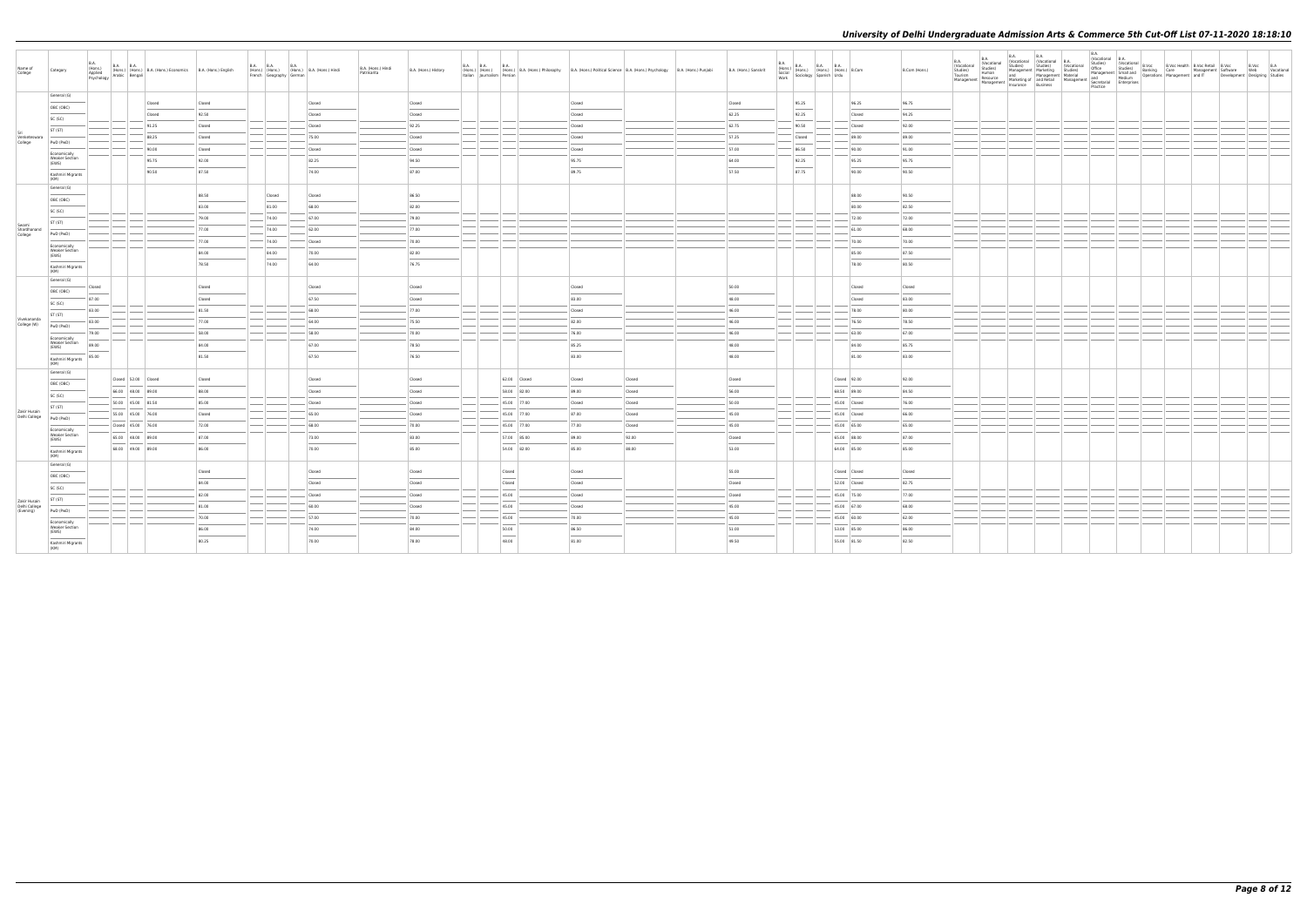| Name of<br>College            | Category                                                                                                                                                                                                                                                                                                                                                                                                                                                                                        | <b>B.A.</b><br>B.A. (Hons.) B.A. B.A. (Hons.) B.A. (Hons.) Economics B.A. (Hons.) English Asychology Arabic Bengali |        |                | B.A. B.A. B.A. B.A. (Hons.) B.A. (Hons.) Hindi<br>French Geography German |        | B.A. (Hons.) Hindi<br>Patrikarita | B.A. (Hons.) History | Italian Journalism Persian |              | B.A. B.A. B.A. B.A. Hons.) B.A. (Hons.) Philosophy B.A. (Hons.) Political Science B.A. (Hons.) Psychology B.A. (Hons.) Punjabi |        | B.A. (Hons.) Sanskrit | $\begin{array}{ll} \text{B.A.} \\ \text{(Hons.)} \\ \text{Social} \\ \text{Social} \\ \text{Work} \end{array} \hspace{1mm} \begin{array}{ll} \text{B.A.} \\ \text{(Hons.)} \\ \text{(Hons.)} \\ \text{(Hons.)} \end{array} \hspace{1mm} \begin{array}{ll} \text{B.A.} \\ \text{H.} \\ \text{(Hons.)} \\ \text{Urdu} \end{array} \hspace{1mm} \begin{array}{ll} \text{B.A.} \\ \text{B.} \\ \text{I.} \\ \text{I.} \end{array}$ |               | B.Com (Hons.) | B.A.<br>(Vocational<br>Studies)<br>Tourism<br>Management   Management | <b>B.A.</b><br>(Vocational<br>Studies)<br>Human<br>Resource |  | B.A.<br>Practice |  |  | B.Voc B.A<br>Web Vocational<br>Development Designing Studies |  |
|-------------------------------|-------------------------------------------------------------------------------------------------------------------------------------------------------------------------------------------------------------------------------------------------------------------------------------------------------------------------------------------------------------------------------------------------------------------------------------------------------------------------------------------------|---------------------------------------------------------------------------------------------------------------------|--------|----------------|---------------------------------------------------------------------------|--------|-----------------------------------|----------------------|----------------------------|--------------|--------------------------------------------------------------------------------------------------------------------------------|--------|-----------------------|--------------------------------------------------------------------------------------------------------------------------------------------------------------------------------------------------------------------------------------------------------------------------------------------------------------------------------------------------------------------------------------------------------------------------------|---------------|---------------|-----------------------------------------------------------------------|-------------------------------------------------------------|--|------------------|--|--|--------------------------------------------------------------|--|
|                               | General (G)                                                                                                                                                                                                                                                                                                                                                                                                                                                                                     |                                                                                                                     | Closed | Closed         |                                                                           | Closed |                                   | Closed               |                            |              | Closed                                                                                                                         |        | Closed                | 95.25                                                                                                                                                                                                                                                                                                                                                                                                                          | 96.25         | 96.75         |                                                                       |                                                             |  |                  |  |  |                                                              |  |
|                               | OBC (OBC)                                                                                                                                                                                                                                                                                                                                                                                                                                                                                       |                                                                                                                     | Closed | 92.50          |                                                                           | Closed |                                   | Closed               |                            |              | Closed                                                                                                                         |        | 62.25                 | 92.25                                                                                                                                                                                                                                                                                                                                                                                                                          | Closed        | 94.25         |                                                                       |                                                             |  |                  |  |  |                                                              |  |
|                               | SC (SC)                                                                                                                                                                                                                                                                                                                                                                                                                                                                                         |                                                                                                                     | 91.25  | Closed         |                                                                           | Closed |                                   | 92.25                |                            |              | Closed                                                                                                                         |        | 62.75                 | 90.50                                                                                                                                                                                                                                                                                                                                                                                                                          | Closed        | 92.00         |                                                                       |                                                             |  |                  |  |  |                                                              |  |
| Venketeswara                  | ST (ST)                                                                                                                                                                                                                                                                                                                                                                                                                                                                                         |                                                                                                                     | 88.25  | Closed         |                                                                           | 75.00  |                                   | Closed               |                            |              | Closed                                                                                                                         |        | 57.25                 | Closed                                                                                                                                                                                                                                                                                                                                                                                                                         | 89.00         | 89.00         |                                                                       |                                                             |  |                  |  |  |                                                              |  |
| College                       | PwD (PwD)                                                                                                                                                                                                                                                                                                                                                                                                                                                                                       |                                                                                                                     | 90.00  | Closed         |                                                                           | Closed |                                   | Closed               |                            |              | Closed                                                                                                                         |        | 57.00                 | 86.50                                                                                                                                                                                                                                                                                                                                                                                                                          | 90.00         | 91.00         |                                                                       |                                                             |  |                  |  |  |                                                              |  |
|                               | Economically<br><b>Weaker Section</b>                                                                                                                                                                                                                                                                                                                                                                                                                                                           |                                                                                                                     | 95.75  | 92.00          |                                                                           | 82.25  |                                   | 94.50                |                            |              | 95.75                                                                                                                          |        | 64.00                 | 92.25                                                                                                                                                                                                                                                                                                                                                                                                                          | 95.25         | 95.75         |                                                                       |                                                             |  |                  |  |  |                                                              |  |
|                               | (EWS)                                                                                                                                                                                                                                                                                                                                                                                                                                                                                           |                                                                                                                     | 90.50  | 87.50          |                                                                           | 74.00  |                                   | 87.00                |                            |              | 89.75                                                                                                                          |        | 57.50                 | 87.75                                                                                                                                                                                                                                                                                                                                                                                                                          | 90.00         | 90.50         |                                                                       |                                                             |  |                  |  |  |                                                              |  |
|                               | Kashmiri Migrants<br>(KM)                                                                                                                                                                                                                                                                                                                                                                                                                                                                       |                                                                                                                     |        |                |                                                                           |        |                                   |                      |                            |              |                                                                                                                                |        |                       |                                                                                                                                                                                                                                                                                                                                                                                                                                |               |               |                                                                       |                                                             |  |                  |  |  |                                                              |  |
|                               | General (G)                                                                                                                                                                                                                                                                                                                                                                                                                                                                                     |                                                                                                                     |        |                |                                                                           |        |                                   |                      |                            |              |                                                                                                                                |        |                       |                                                                                                                                                                                                                                                                                                                                                                                                                                | 88.00         |               |                                                                       |                                                             |  |                  |  |  |                                                              |  |
|                               | OBC (OBC)                                                                                                                                                                                                                                                                                                                                                                                                                                                                                       |                                                                                                                     |        | 88.50          | Closed<br>81.00                                                           | Closed |                                   | 86.50<br>82.00       |                            |              |                                                                                                                                |        |                       |                                                                                                                                                                                                                                                                                                                                                                                                                                |               | 90.50         |                                                                       |                                                             |  |                  |  |  |                                                              |  |
|                               | SC (SC)                                                                                                                                                                                                                                                                                                                                                                                                                                                                                         |                                                                                                                     |        | 83.00<br>79.00 |                                                                           | 68.00  |                                   | 79.00                |                            |              |                                                                                                                                |        |                       |                                                                                                                                                                                                                                                                                                                                                                                                                                | 80.00         | 82.50         |                                                                       |                                                             |  |                  |  |  |                                                              |  |
| Swami                         | ST (ST)                                                                                                                                                                                                                                                                                                                                                                                                                                                                                         |                                                                                                                     |        |                | 74.00                                                                     | 67.00  |                                   |                      |                            |              |                                                                                                                                |        |                       |                                                                                                                                                                                                                                                                                                                                                                                                                                | 72.00         | 72.00         |                                                                       |                                                             |  |                  |  |  |                                                              |  |
| Shardhanand<br>College        | PwD (PwD)                                                                                                                                                                                                                                                                                                                                                                                                                                                                                       |                                                                                                                     |        | 77.00          | 74.00                                                                     | 62.00  |                                   | 77.00                |                            |              |                                                                                                                                |        |                       |                                                                                                                                                                                                                                                                                                                                                                                                                                | 61.00         | 68.00         |                                                                       |                                                             |  |                  |  |  |                                                              |  |
|                               | Fconomically<br><b>Weaker Section</b>                                                                                                                                                                                                                                                                                                                                                                                                                                                           |                                                                                                                     |        | 77.00          | $- 74.00$                                                                 | Closed |                                   | 70.00                |                            |              |                                                                                                                                |        |                       |                                                                                                                                                                                                                                                                                                                                                                                                                                | 70.00         | 70.00         |                                                                       |                                                             |  |                  |  |  |                                                              |  |
|                               | (EWS)<br>$\frac{1}{2} \left( \frac{1}{2} \right) \left( \frac{1}{2} \right) \left( \frac{1}{2} \right) \left( \frac{1}{2} \right) \left( \frac{1}{2} \right) \left( \frac{1}{2} \right) \left( \frac{1}{2} \right) \left( \frac{1}{2} \right) \left( \frac{1}{2} \right) \left( \frac{1}{2} \right) \left( \frac{1}{2} \right) \left( \frac{1}{2} \right) \left( \frac{1}{2} \right) \left( \frac{1}{2} \right) \left( \frac{1}{2} \right) \left( \frac{1}{2} \right) \left( \frac$             |                                                                                                                     |        | 84.00          | 84.00                                                                     | 70.00  |                                   | 82.00                |                            |              |                                                                                                                                |        |                       |                                                                                                                                                                                                                                                                                                                                                                                                                                | 85.00         | 87.50         |                                                                       |                                                             |  |                  |  |  |                                                              |  |
|                               | Kashmiri Migrants<br>(KM)                                                                                                                                                                                                                                                                                                                                                                                                                                                                       |                                                                                                                     |        | 78.50          | 74.00                                                                     | 64.00  |                                   | 76.75                |                            |              |                                                                                                                                |        |                       |                                                                                                                                                                                                                                                                                                                                                                                                                                | 78.00         | 80.50         |                                                                       |                                                             |  |                  |  |  |                                                              |  |
|                               | General (G)                                                                                                                                                                                                                                                                                                                                                                                                                                                                                     |                                                                                                                     |        |                |                                                                           |        |                                   |                      |                            |              |                                                                                                                                |        |                       |                                                                                                                                                                                                                                                                                                                                                                                                                                |               |               |                                                                       |                                                             |  |                  |  |  |                                                              |  |
|                               | OBC (OBC)                                                                                                                                                                                                                                                                                                                                                                                                                                                                                       | Closed                                                                                                              |        | Closed         |                                                                           | Closed |                                   | Closed               |                            |              | Closed                                                                                                                         |        | 50.00                 |                                                                                                                                                                                                                                                                                                                                                                                                                                | Closed        | Closed        |                                                                       |                                                             |  |                  |  |  |                                                              |  |
|                               | SC (SC)                                                                                                                                                                                                                                                                                                                                                                                                                                                                                         | 87.00                                                                                                               |        | Closed         |                                                                           | 67.50  |                                   | Closed               |                            |              | 83.00                                                                                                                          |        | 48.00                 |                                                                                                                                                                                                                                                                                                                                                                                                                                | Closed        | 83.00         |                                                                       |                                                             |  |                  |  |  |                                                              |  |
|                               | ST (ST)                                                                                                                                                                                                                                                                                                                                                                                                                                                                                         | 83.00                                                                                                               |        | 81.50          |                                                                           | 68.00  |                                   | 77.00                |                            |              | Closed                                                                                                                         |        | 46.00                 |                                                                                                                                                                                                                                                                                                                                                                                                                                | 78.00         | 80.00         |                                                                       |                                                             |  |                  |  |  |                                                              |  |
| Vivekananda<br>College (W)    | PwD (PwD)                                                                                                                                                                                                                                                                                                                                                                                                                                                                                       | 83.00                                                                                                               |        | 77.00          |                                                                           | 64.00  |                                   | 75.50                |                            |              | 82.00                                                                                                                          |        | 46.00                 |                                                                                                                                                                                                                                                                                                                                                                                                                                | 76.50         | 78.50         |                                                                       |                                                             |  |                  |  |  |                                                              |  |
|                               | Economically                                                                                                                                                                                                                                                                                                                                                                                                                                                                                    | 79.00                                                                                                               |        | 58.00          |                                                                           | 58.00  |                                   | 70.00                |                            |              | 76.00                                                                                                                          |        | 46.00                 |                                                                                                                                                                                                                                                                                                                                                                                                                                | 63.00         | 67.00         |                                                                       |                                                             |  |                  |  |  |                                                              |  |
|                               | <b>Weaker Section</b><br>(EWS)                                                                                                                                                                                                                                                                                                                                                                                                                                                                  | 89.00                                                                                                               |        | 84.00          |                                                                           | 67.00  |                                   | 78.50                |                            |              | 85.25                                                                                                                          |        | 48.00                 |                                                                                                                                                                                                                                                                                                                                                                                                                                | 84.00         | 85.75         |                                                                       |                                                             |  |                  |  |  |                                                              |  |
|                               | $\frac{1}{2} \left( \frac{1}{2} \right) \left( \frac{1}{2} \right) \left( \frac{1}{2} \right) \left( \frac{1}{2} \right) \left( \frac{1}{2} \right) \left( \frac{1}{2} \right) \left( \frac{1}{2} \right) \left( \frac{1}{2} \right) \left( \frac{1}{2} \right) \left( \frac{1}{2} \right) \left( \frac{1}{2} \right) \left( \frac{1}{2} \right) \left( \frac{1}{2} \right) \left( \frac{1}{2} \right) \left( \frac{1}{2} \right) \left( \frac{1}{2} \right) \left( \frac$<br>Kashmiri Migrants | 85.00                                                                                                               |        | 81.50          |                                                                           | 67.50  |                                   | 76.50                |                            |              | 83.00                                                                                                                          |        | 48.00                 |                                                                                                                                                                                                                                                                                                                                                                                                                                | 81.00         | 83.00         |                                                                       |                                                             |  |                  |  |  |                                                              |  |
|                               | (KM)<br>General (G)                                                                                                                                                                                                                                                                                                                                                                                                                                                                             |                                                                                                                     |        |                |                                                                           |        |                                   |                      |                            |              |                                                                                                                                |        |                       |                                                                                                                                                                                                                                                                                                                                                                                                                                |               |               |                                                                       |                                                             |  |                  |  |  |                                                              |  |
|                               | OBC (OBC)                                                                                                                                                                                                                                                                                                                                                                                                                                                                                       | Closed 52.00 Closed                                                                                                 |        | Closed         |                                                                           | Closed |                                   | Closed               |                            | 62.00 Closed | Closed                                                                                                                         | Closed | Closed                |                                                                                                                                                                                                                                                                                                                                                                                                                                | Closed 92.00  | 92.00         |                                                                       |                                                             |  |                  |  |  |                                                              |  |
|                               | SC (SC)                                                                                                                                                                                                                                                                                                                                                                                                                                                                                         | 66.00 48.00 89.00                                                                                                   |        | 88.00          |                                                                           | Closed |                                   | Closed               |                            | 58.00 82.00  | 89.00                                                                                                                          | Closed | 56.00                 |                                                                                                                                                                                                                                                                                                                                                                                                                                | 68.50 89.00   | 84.50         |                                                                       |                                                             |  |                  |  |  |                                                              |  |
|                               | ST (ST)                                                                                                                                                                                                                                                                                                                                                                                                                                                                                         | 50.00 45.00 81.50                                                                                                   |        | 85.00          |                                                                           | Closed |                                   | Closed               |                            | 45.00 77.00  | Closed                                                                                                                         | Closed | 50.00                 |                                                                                                                                                                                                                                                                                                                                                                                                                                | 45.00 Closed  | 76.00         |                                                                       |                                                             |  |                  |  |  |                                                              |  |
| Zakir Husain<br>Delhi College | PwD (PwD)                                                                                                                                                                                                                                                                                                                                                                                                                                                                                       | 55.00 45.00 76.00                                                                                                   |        | Closed         |                                                                           | 65.00  |                                   | Closed               |                            | 45.00 77.00  | 87.00                                                                                                                          | Closed | 45.00                 |                                                                                                                                                                                                                                                                                                                                                                                                                                | 45.00 Closed  | 66.00         |                                                                       |                                                             |  |                  |  |  |                                                              |  |
|                               | Economically                                                                                                                                                                                                                                                                                                                                                                                                                                                                                    | Closed 45.00 76.00                                                                                                  |        | 72.00          |                                                                           | 68.00  |                                   | 70.00                |                            | 45.00 77.00  | 77.00                                                                                                                          | Closed | 45.00                 |                                                                                                                                                                                                                                                                                                                                                                                                                                | 45.00 65.00   | 65.00         |                                                                       |                                                             |  |                  |  |  |                                                              |  |
|                               | <b>Weaker Section</b><br>(EWS)                                                                                                                                                                                                                                                                                                                                                                                                                                                                  | 65.00 48.00 89.00                                                                                                   |        | 87.00          |                                                                           | 73.00  |                                   | 83.00                |                            | 57.00 85.00  | 89.00                                                                                                                          | 92.00  | Closed                |                                                                                                                                                                                                                                                                                                                                                                                                                                | 65.00 88.00   | 87.00         |                                                                       |                                                             |  |                  |  |  |                                                              |  |
|                               | Kashmiri Migrants                                                                                                                                                                                                                                                                                                                                                                                                                                                                               | 68.00 49.00 89.00                                                                                                   |        | 86.00          |                                                                           | 70.00  |                                   | 85.00                |                            | 54.00 82.00  | 85.00                                                                                                                          | 88.00  | 53.00                 |                                                                                                                                                                                                                                                                                                                                                                                                                                | 64.00 85.00   | 85.00         |                                                                       |                                                             |  |                  |  |  |                                                              |  |
|                               | (KM)                                                                                                                                                                                                                                                                                                                                                                                                                                                                                            |                                                                                                                     |        |                |                                                                           |        |                                   |                      |                            |              |                                                                                                                                |        |                       |                                                                                                                                                                                                                                                                                                                                                                                                                                |               |               |                                                                       |                                                             |  |                  |  |  |                                                              |  |
|                               | General (G)                                                                                                                                                                                                                                                                                                                                                                                                                                                                                     |                                                                                                                     |        | Closed         |                                                                           | Closed |                                   | Closed               | Closed                     |              | Closed                                                                                                                         |        | 55.00                 |                                                                                                                                                                                                                                                                                                                                                                                                                                | Closed Closed | Closed        |                                                                       |                                                             |  |                  |  |  |                                                              |  |
|                               | OBC (OBC)                                                                                                                                                                                                                                                                                                                                                                                                                                                                                       |                                                                                                                     |        | 84.00          |                                                                           | Closed |                                   | Closed               | Closed                     |              | Closed                                                                                                                         |        | Closed                |                                                                                                                                                                                                                                                                                                                                                                                                                                | 52.00 Closed  | 82.75         |                                                                       |                                                             |  |                  |  |  |                                                              |  |
|                               | SC (SC)                                                                                                                                                                                                                                                                                                                                                                                                                                                                                         |                                                                                                                     |        | 82.00          |                                                                           | Closed |                                   | Closed               | 45.00                      |              | Closed                                                                                                                         |        | Closed                |                                                                                                                                                                                                                                                                                                                                                                                                                                | 45.00 75.00   | 77.00         |                                                                       |                                                             |  |                  |  |  |                                                              |  |
| Zakir Husain<br>Delhi College | ST (ST)                                                                                                                                                                                                                                                                                                                                                                                                                                                                                         |                                                                                                                     |        | 81.00          |                                                                           | 60.00  |                                   | Closed               | 45.00                      |              | Closed                                                                                                                         |        | 45.00                 |                                                                                                                                                                                                                                                                                                                                                                                                                                | 45.00 67.00   | 68.00         |                                                                       |                                                             |  |                  |  |  |                                                              |  |
| (Evening)                     | PwD (PwD)                                                                                                                                                                                                                                                                                                                                                                                                                                                                                       |                                                                                                                     |        | 70.00          |                                                                           | 57.00  |                                   | 70.00                | 45.00                      |              | 70.00                                                                                                                          |        | 45.00                 |                                                                                                                                                                                                                                                                                                                                                                                                                                | 45.00 60.00   | 62.00         |                                                                       |                                                             |  |                  |  |  |                                                              |  |
|                               | Economically<br><b>Weaker Section</b>                                                                                                                                                                                                                                                                                                                                                                                                                                                           |                                                                                                                     |        | 86.00          |                                                                           | 74.00  |                                   | 84.00                | 50.00                      |              | 86.50                                                                                                                          |        | 51.00                 |                                                                                                                                                                                                                                                                                                                                                                                                                                | 53.00 85.00   | 86.00         |                                                                       |                                                             |  |                  |  |  |                                                              |  |
|                               | (EWS)                                                                                                                                                                                                                                                                                                                                                                                                                                                                                           |                                                                                                                     |        | 80.25          |                                                                           | 70.00  |                                   | 78.00                | 48.00                      |              | 81.00                                                                                                                          |        | 49.50                 |                                                                                                                                                                                                                                                                                                                                                                                                                                | 55.00 81.50   | 82.50         |                                                                       |                                                             |  |                  |  |  |                                                              |  |
|                               | Kashmiri Migrants<br>(KM)                                                                                                                                                                                                                                                                                                                                                                                                                                                                       |                                                                                                                     |        |                |                                                                           |        |                                   |                      |                            |              |                                                                                                                                |        |                       |                                                                                                                                                                                                                                                                                                                                                                                                                                |               |               |                                                                       |                                                             |  |                  |  |  |                                                              |  |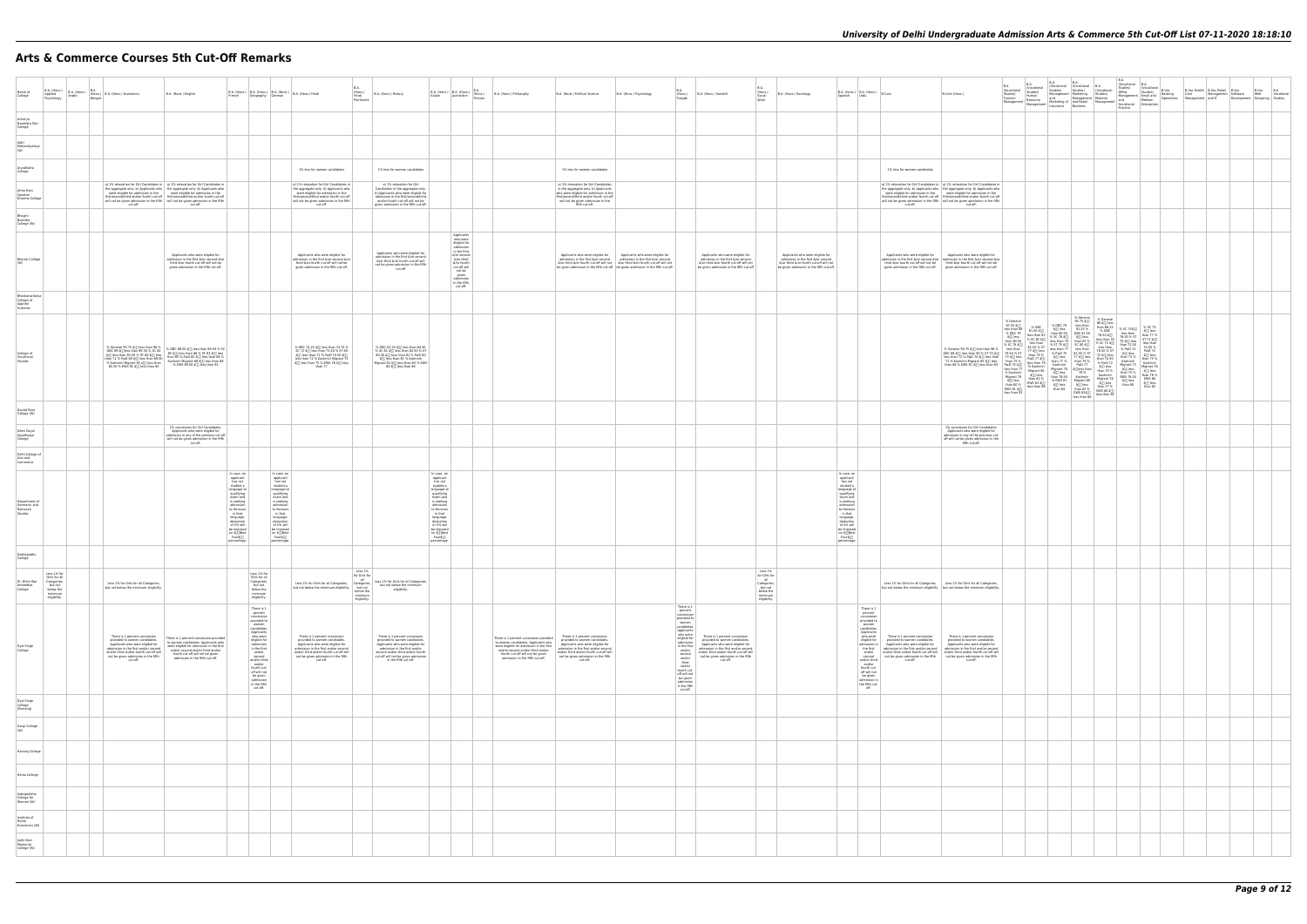# **Arts & Commerce Courses 5th Cut-Off Remarks**

| Name of<br>College                                         |                                                                                                | B.A. (Hons.) B.A. (Hons.) B.A. (Hons.) B.A. (Hons.) Economics<br>Psychology Arabic Bengali                                                                                                                                               | B.A. (Hons.) English                                                                                                                                                                                                                                                                                                                                                                                  | $\bigg\  \text{ B.A. (Hons.)} \bigg\  \text{ B.A. (Hons.)} \bigg\  \text{ B.A. (Hons.)} \bigg\  \text{ B.A. (Hons.) Findi.}$<br>French Geography German                                                                                                                                                                                                                                                                                                                                                                     |                                                                                                                                                                                                                                          | B.A.<br>(Hons.)<br>Hindi<br>Patrikarita         | B.A. (Hons.) History                                                                                                                                                                                                                     | B.A. (Hons.) B.A. (Hons.) B.A. (Hons.)<br>Italian Journalism Persian                                                                                                                                                                                           |                                                                                                                                                                                                                                                                                                                                                | B.A. (Hons.) Philosophy                                                                                                                              | B.A. (Hons.) Political Science                                                                                                                                                                                                                                                                                                                                                                                     | B.A. (Hons.) Psychology                                                                                                                                                                                                                                                                                                                                                                                                                                       | B.A.<br>(Hons.)<br>Puniabi                                                                                                                                                                                                                                                                                                            | B.A. (Hons.) Sanskrit                                                                                                                                                                                                                    | BA<br>(Hons.)<br>Social<br>B.A. (Hons.) Sociology<br>Worl                                                                                                     | $B.A.$ (Hons.) $B.A.$ (Hons.) $B.Com$<br>Spanish Urdu                                                                                                                                                                                                                | B.Com (Hons.)                                                                                                                                                                                                                                                                                                                                                                                                                                                                             |  |  |  |  |  |
|------------------------------------------------------------|------------------------------------------------------------------------------------------------|------------------------------------------------------------------------------------------------------------------------------------------------------------------------------------------------------------------------------------------|-------------------------------------------------------------------------------------------------------------------------------------------------------------------------------------------------------------------------------------------------------------------------------------------------------------------------------------------------------------------------------------------------------|-----------------------------------------------------------------------------------------------------------------------------------------------------------------------------------------------------------------------------------------------------------------------------------------------------------------------------------------------------------------------------------------------------------------------------------------------------------------------------------------------------------------------------|------------------------------------------------------------------------------------------------------------------------------------------------------------------------------------------------------------------------------------------|-------------------------------------------------|------------------------------------------------------------------------------------------------------------------------------------------------------------------------------------------------------------------------------------------|----------------------------------------------------------------------------------------------------------------------------------------------------------------------------------------------------------------------------------------------------------------|------------------------------------------------------------------------------------------------------------------------------------------------------------------------------------------------------------------------------------------------------------------------------------------------------------------------------------------------|------------------------------------------------------------------------------------------------------------------------------------------------------|--------------------------------------------------------------------------------------------------------------------------------------------------------------------------------------------------------------------------------------------------------------------------------------------------------------------------------------------------------------------------------------------------------------------|---------------------------------------------------------------------------------------------------------------------------------------------------------------------------------------------------------------------------------------------------------------------------------------------------------------------------------------------------------------------------------------------------------------------------------------------------------------|---------------------------------------------------------------------------------------------------------------------------------------------------------------------------------------------------------------------------------------------------------------------------------------------------------------------------------------|------------------------------------------------------------------------------------------------------------------------------------------------------------------------------------------------------------------------------------------|---------------------------------------------------------------------------------------------------------------------------------------------------------------|----------------------------------------------------------------------------------------------------------------------------------------------------------------------------------------------------------------------------------------------------------------------|-------------------------------------------------------------------------------------------------------------------------------------------------------------------------------------------------------------------------------------------------------------------------------------------------------------------------------------------------------------------------------------------------------------------------------------------------------------------------------------------|--|--|--|--|--|
| Acharya<br>Narendra Dev<br>College                         |                                                                                                |                                                                                                                                                                                                                                          |                                                                                                                                                                                                                                                                                                                                                                                                       |                                                                                                                                                                                                                                                                                                                                                                                                                                                                                                                             |                                                                                                                                                                                                                                          |                                                 |                                                                                                                                                                                                                                          |                                                                                                                                                                                                                                                                |                                                                                                                                                                                                                                                                                                                                                |                                                                                                                                                      |                                                                                                                                                                                                                                                                                                                                                                                                                    |                                                                                                                                                                                                                                                                                                                                                                                                                                                               |                                                                                                                                                                                                                                                                                                                                       |                                                                                                                                                                                                                                          |                                                                                                                                                               |                                                                                                                                                                                                                                                                      |                                                                                                                                                                                                                                                                                                                                                                                                                                                                                           |  |  |  |  |  |
| Aditi<br>Mahavidyalaya<br>(W)                              |                                                                                                |                                                                                                                                                                                                                                          |                                                                                                                                                                                                                                                                                                                                                                                                       |                                                                                                                                                                                                                                                                                                                                                                                                                                                                                                                             |                                                                                                                                                                                                                                          |                                                 |                                                                                                                                                                                                                                          |                                                                                                                                                                                                                                                                |                                                                                                                                                                                                                                                                                                                                                |                                                                                                                                                      |                                                                                                                                                                                                                                                                                                                                                                                                                    |                                                                                                                                                                                                                                                                                                                                                                                                                                                               |                                                                                                                                                                                                                                                                                                                                       |                                                                                                                                                                                                                                          |                                                                                                                                                               |                                                                                                                                                                                                                                                                      |                                                                                                                                                                                                                                                                                                                                                                                                                                                                                           |  |  |  |  |  |
| Aryabhatta<br>College                                      |                                                                                                |                                                                                                                                                                                                                                          |                                                                                                                                                                                                                                                                                                                                                                                                       |                                                                                                                                                                                                                                                                                                                                                                                                                                                                                                                             | 1% less for women candidates                                                                                                                                                                                                             |                                                 | 1% less for women candidates                                                                                                                                                                                                             |                                                                                                                                                                                                                                                                |                                                                                                                                                                                                                                                                                                                                                |                                                                                                                                                      | 1% less for women candidates                                                                                                                                                                                                                                                                                                                                                                                       |                                                                                                                                                                                                                                                                                                                                                                                                                                                               |                                                                                                                                                                                                                                                                                                                                       |                                                                                                                                                                                                                                          |                                                                                                                                                               |                                                                                                                                                                                                                                                                      | 1% less for women candidates                                                                                                                                                                                                                                                                                                                                                                                                                                                              |  |  |  |  |  |
| Atma Ram<br>Sanatan<br>Dharma College                      |                                                                                                |                                                                                                                                                                                                                                          | a) 1% relaxation for Girl Candidates in   a) 1% relaxation for Girl Candidates in<br>the aggregate only. b) Applicants who the aggregate only. b) Applicants who were eligible for admission in the first/second/third and/or fourth cut-off first/second/third and/or fourth cut-off<br>will not be given admission in the fifth<br>will not be given admission in the fifth<br>cut-off.<br>Cut-off. |                                                                                                                                                                                                                                                                                                                                                                                                                                                                                                                             | a) 1% relaxation for Girl Candidates in<br>the aggregate only. b) Applicants who<br>were eligible for admission in the<br>first/second/third and/or fourth cut-off<br>will not be given admission in the fifth<br>cut-off.               |                                                 | a) 1% relaxation for Girl<br>Candidates in the aggregate only.<br>b) Applicants who were eligible for<br>admission in the first/second/third<br>and/or fourth cut-off will not be<br>given admission in the fifth cut-off.               |                                                                                                                                                                                                                                                                |                                                                                                                                                                                                                                                                                                                                                |                                                                                                                                                      | a) 1% relaxation for Girl Candidates<br>in the aggregate only. b) Applicants<br>who were eligible for admission in the<br>first/second/third and/or fourth cut-off<br>will not be given admission in the<br>fifth cut-off.                                                                                                                                                                                         |                                                                                                                                                                                                                                                                                                                                                                                                                                                               |                                                                                                                                                                                                                                                                                                                                       |                                                                                                                                                                                                                                          |                                                                                                                                                               |                                                                                                                                                                                                                                                                      | a) 1% relaxation for Girl Candidates in   a) 1% relaxation for Girl Candidates in<br>the aggregate only. b) Applicants who the aggregate only. b) Applicants who were eligible for admission in the were eligible for admission in the first/second/third and/or fourth cut-off first/second/third and/or fourth cu<br>will not be given admission in the fifth<br>will not be given admission in the fifth<br>cut-off.                                                                   |  |  |  |  |  |
| Bhagini<br>Nivedita<br>College (W)                         |                                                                                                |                                                                                                                                                                                                                                          |                                                                                                                                                                                                                                                                                                                                                                                                       |                                                                                                                                                                                                                                                                                                                                                                                                                                                                                                                             |                                                                                                                                                                                                                                          |                                                 |                                                                                                                                                                                                                                          |                                                                                                                                                                                                                                                                |                                                                                                                                                                                                                                                                                                                                                |                                                                                                                                                      |                                                                                                                                                                                                                                                                                                                                                                                                                    |                                                                                                                                                                                                                                                                                                                                                                                                                                                               |                                                                                                                                                                                                                                                                                                                                       |                                                                                                                                                                                                                                          |                                                                                                                                                               |                                                                                                                                                                                                                                                                      |                                                                                                                                                                                                                                                                                                                                                                                                                                                                                           |  |  |  |  |  |
| Bharati College                                            |                                                                                                |                                                                                                                                                                                                                                          | Applicants who were eligible for<br>admission in the first &/or second &/or<br>third &/or fourth cut-off will not be<br>given admission in the fifth cut-off.                                                                                                                                                                                                                                         |                                                                                                                                                                                                                                                                                                                                                                                                                                                                                                                             | Applicants who were eligible for<br>admission in the first $\delta_i$ /or second $\delta_i$ /or<br>third &/or fourth cut-off will not be<br>given admission in the fifth cut-off.                                                        |                                                 | Applicants who were eligible for<br>admission in the first &/or second<br>$\frac{6}{r}$ or third $\frac{6}{r}$ fourth cut-off will<br>not be given admission in the fifth<br>cut-off                                                     |                                                                                                                                                                                                                                                                | Applicants<br>who were<br>eligible for<br>admission<br>$\frac{1}{6}$ in the first<br>$\frac{1}{6}$ (or second<br>$\frac{1}{6}$ (or third<br>$\frac{1}{6}$ (or fourth<br>$\frac{1}{6}$ or fourth<br>$\frac{1}{6}$ or $\frac{1}{6}$ or $\frac{1}{6}$<br>$\frac{1}{6}$ or $\frac{1}{6}$<br>$\frac{1}{6}$<br>admission<br>in the fifth<br>cut-off. |                                                                                                                                                      |                                                                                                                                                                                                                                                                                                                                                                                                                    | Applicants who were eligible for $\overline{ap}$ Applicants who were eligible for admission in the first $\overline{s}/or$ second admission in the first $\overline{s}/or$ second<br>$\frac{1}{2}$ G/or third $\frac{1}{2}$ or third $\frac{1}{2}$ or third $\frac{1}{2}$ or third $\frac{1}{2}$ or third $\frac{1}{2}$ or third $\frac{1}{2}$ or third $\frac{1}{2}$ or third $\frac{1}{2}$ or third $\frac{1}{2}$ or third $\frac{1}{2}$ or fourth cut-off. |                                                                                                                                                                                                                                                                                                                                       | Applicants who were eligible for<br>admission in the first &/or second<br>&/or third &/or fourth cut-off will not<br>be given admission in the fifth cut-off                                                                             | Applicants who were eligible for<br>admission in the first &/or second<br>&/or third &/or fourth cut-off will not<br>be given admission in the fifth cut-off. |                                                                                                                                                                                                                                                                      | Applicants who were eligible for Applicants who were eligible for admission in the first &/or second &/or admission in the first &/or second &/or<br>third &/or fourth cut-off will not be<br>given admission in the fifth cut-off.<br>given admission in the fifth cut-off.<br>given admission in the fifth cut-off.                                                                                                                                                                     |  |  |  |  |  |
| Bhaskaracharya<br>College of<br>Applied<br>Sciences        |                                                                                                |                                                                                                                                                                                                                                          |                                                                                                                                                                                                                                                                                                                                                                                                       |                                                                                                                                                                                                                                                                                                                                                                                                                                                                                                                             |                                                                                                                                                                                                                                          |                                                 |                                                                                                                                                                                                                                          |                                                                                                                                                                                                                                                                |                                                                                                                                                                                                                                                                                                                                                |                                                                                                                                                      |                                                                                                                                                                                                                                                                                                                                                                                                                    |                                                                                                                                                                                                                                                                                                                                                                                                                                                               |                                                                                                                                                                                                                                                                                                                                       |                                                                                                                                                                                                                                          |                                                                                                                                                               |                                                                                                                                                                                                                                                                      |                                                                                                                                                                                                                                                                                                                                                                                                                                                                                           |  |  |  |  |  |
| College of<br>Vocational<br>Studies                        |                                                                                                |                                                                                                                                                                                                                                          | % General 95.75 Å(I) less than 95.5 Å<br>(DEC 83 AT) less than 95.50 Å(I) less than 89.50 % SC<br>(DEC 83 AT) less than 83.50 % ST 63 $\%$ Less (B 8 % III) less than 85.50 Å(II) less than 85<br>(Main 71 % PwD 69 AT) less than 6                                                                                                                                                                   |                                                                                                                                                                                                                                                                                                                                                                                                                                                                                                                             | % OBC 74.25 â[j] less than 74.75 %<br>SC 72 â[j] less than 73.50 % ST 69<br>agg less than 71 % PwD 70.50 agg<br>less than 72 % Kashmiri Migrant 73<br>agg less than 75 % EWS 76 agg less<br>than 77                                      |                                                 | % OBC 83.25 â[j] less than 84.50<br>% SC 81 â[j] less than 82.50 % ST<br>80.50 â<br>80.50 â<br>80 am 81 % PwD 80 am 81 % Kashmiri<br>Migrant 82 å[] less than 83 % EWS<br>84 â <sub>00</sub> less than 86                                |                                                                                                                                                                                                                                                                |                                                                                                                                                                                                                                                                                                                                                |                                                                                                                                                      |                                                                                                                                                                                                                                                                                                                                                                                                                    |                                                                                                                                                                                                                                                                                                                                                                                                                                                               |                                                                                                                                                                                                                                                                                                                                       |                                                                                                                                                                                                                                          |                                                                                                                                                               |                                                                                                                                                                                                                                                                      |                                                                                                                                                                                                                                                                                                                                                                                                                                                                                           |  |  |  |  |  |
| Daulat Ram<br>College (W)                                  |                                                                                                |                                                                                                                                                                                                                                          |                                                                                                                                                                                                                                                                                                                                                                                                       |                                                                                                                                                                                                                                                                                                                                                                                                                                                                                                                             |                                                                                                                                                                                                                                          |                                                 |                                                                                                                                                                                                                                          |                                                                                                                                                                                                                                                                |                                                                                                                                                                                                                                                                                                                                                |                                                                                                                                                      |                                                                                                                                                                                                                                                                                                                                                                                                                    |                                                                                                                                                                                                                                                                                                                                                                                                                                                               |                                                                                                                                                                                                                                                                                                                                       |                                                                                                                                                                                                                                          |                                                                                                                                                               |                                                                                                                                                                                                                                                                      |                                                                                                                                                                                                                                                                                                                                                                                                                                                                                           |  |  |  |  |  |
| Deen Dayal<br>Upadhyaya<br>College                         |                                                                                                |                                                                                                                                                                                                                                          | 1% concession for Girl Candidates<br>Applicants who were eligible for<br>admission in any of the previous cut-off<br>will not be given admission in the fifth<br>cut-off.                                                                                                                                                                                                                             |                                                                                                                                                                                                                                                                                                                                                                                                                                                                                                                             |                                                                                                                                                                                                                                          |                                                 |                                                                                                                                                                                                                                          |                                                                                                                                                                                                                                                                |                                                                                                                                                                                                                                                                                                                                                |                                                                                                                                                      |                                                                                                                                                                                                                                                                                                                                                                                                                    |                                                                                                                                                                                                                                                                                                                                                                                                                                                               |                                                                                                                                                                                                                                                                                                                                       |                                                                                                                                                                                                                                          |                                                                                                                                                               |                                                                                                                                                                                                                                                                      | 1% concession for Girl Candidates<br>Applicants who were eligible for<br>admission in any of the previous cut-<br>off will not be given admission in the<br>fifth cut-off.                                                                                                                                                                                                                                                                                                                |  |  |  |  |  |
| Delhi College of<br>Arts and<br>Commerce                   |                                                                                                |                                                                                                                                                                                                                                          |                                                                                                                                                                                                                                                                                                                                                                                                       |                                                                                                                                                                                                                                                                                                                                                                                                                                                                                                                             |                                                                                                                                                                                                                                          |                                                 |                                                                                                                                                                                                                                          |                                                                                                                                                                                                                                                                |                                                                                                                                                                                                                                                                                                                                                |                                                                                                                                                      |                                                                                                                                                                                                                                                                                                                                                                                                                    |                                                                                                                                                                                                                                                                                                                                                                                                                                                               |                                                                                                                                                                                                                                                                                                                                       |                                                                                                                                                                                                                                          |                                                                                                                                                               |                                                                                                                                                                                                                                                                      |                                                                                                                                                                                                                                                                                                                                                                                                                                                                                           |  |  |  |  |  |
| Department of<br>Germanic and<br>Romance<br>Studies        |                                                                                                |                                                                                                                                                                                                                                          |                                                                                                                                                                                                                                                                                                                                                                                                       | In case, an<br>In case, an<br>applicant<br>has not<br>studied a<br>applicant<br>has not<br>studied a<br>language at<br>qualifying<br>exam and<br>succession<br>anguage at<br>qualifying<br>exam and<br>is seeking<br>admission<br>to Homours<br>deduction<br>of 5% will<br>be imposed<br>is seeking<br>admission<br>to Honours<br>in that<br>language,<br>deduction<br>of 5% will<br>be imposed<br>on â <sub>l</sub><br>Fourâ <sub>u</sub><br>be imposed<br>on $\frac{\text{a}}{\text{Foura}}$<br>percentage<br>percentage. |                                                                                                                                                                                                                                          |                                                 |                                                                                                                                                                                                                                          | In case, an<br>applicant<br>has not<br>studied a<br>language at<br>qualifying<br>exam and<br>is seeking<br>admission<br>to Honours<br>in that<br>language,<br>deduction<br>of 5% will<br>be imposed<br>on â <sub>0</sub><br>Foura <sup>00</sup><br>percentage. |                                                                                                                                                                                                                                                                                                                                                |                                                                                                                                                      |                                                                                                                                                                                                                                                                                                                                                                                                                    |                                                                                                                                                                                                                                                                                                                                                                                                                                                               |                                                                                                                                                                                                                                                                                                                                       |                                                                                                                                                                                                                                          |                                                                                                                                                               | In case, an<br>applicant<br>has not<br>studied a<br>suured<br>anguage at<br>qualifying<br>exam and<br>is seeking<br>admission<br>to Honours<br>deduction<br>of 5% will<br>to impose<br>be imposed<br>on å⊡Best<br>Fourå⊡<br>percentage.                              |                                                                                                                                                                                                                                                                                                                                                                                                                                                                                           |  |  |  |  |  |
| Deshbandhu<br>College                                      |                                                                                                |                                                                                                                                                                                                                                          |                                                                                                                                                                                                                                                                                                                                                                                                       |                                                                                                                                                                                                                                                                                                                                                                                                                                                                                                                             |                                                                                                                                                                                                                                          |                                                 |                                                                                                                                                                                                                                          |                                                                                                                                                                                                                                                                |                                                                                                                                                                                                                                                                                                                                                |                                                                                                                                                      |                                                                                                                                                                                                                                                                                                                                                                                                                    |                                                                                                                                                                                                                                                                                                                                                                                                                                                               |                                                                                                                                                                                                                                                                                                                                       |                                                                                                                                                                                                                                          |                                                                                                                                                               |                                                                                                                                                                                                                                                                      |                                                                                                                                                                                                                                                                                                                                                                                                                                                                                           |  |  |  |  |  |
| Dr. Bhim Rao<br>Ambedkar<br>College                        | Less 1% for<br>Girls for all<br>Categories,<br>but not<br>below the<br>minimum<br>eligibility. | Less 1% for Girls for all Categories.<br>but not below the minimum eligibility.                                                                                                                                                          |                                                                                                                                                                                                                                                                                                                                                                                                       | Less 1% for<br>Girls for all<br>Categories,<br>but not<br>below the<br>minimum<br>eligibility.                                                                                                                                                                                                                                                                                                                                                                                                                              | Less 1% for Girls for<br>Less 1% for Girls for all Categories, Less 1% for Girls for all Categories, Less 1% for Girls for all Categories, Less 1% for Girls for all Categories, Less 1% for the minimum<br>but not below the minimu     | Less 1%<br>below the<br>minimum<br>eligibility. | eligibility.                                                                                                                                                                                                                             |                                                                                                                                                                                                                                                                |                                                                                                                                                                                                                                                                                                                                                |                                                                                                                                                      |                                                                                                                                                                                                                                                                                                                                                                                                                    |                                                                                                                                                                                                                                                                                                                                                                                                                                                               |                                                                                                                                                                                                                                                                                                                                       |                                                                                                                                                                                                                                          | $\begin{array}{r}\text{Less 1\%} \\ \text{for Girls for} \\ \text{all} \end{array}$<br>Categories,<br>but not<br>below the<br>minimum<br>eligibility.         |                                                                                                                                                                                                                                                                      | Less 1% for Girls for all Categories, Less 1% for Girls for all Categories,<br>but not below the minimum eligibility.   but not below the minimum eligibility.                                                                                                                                                                                                                                                                                                                            |  |  |  |  |  |
| Dyal Singh<br>College                                      |                                                                                                | There is 1 percent concession<br>provided to women candidates.<br>Applicants who were eligible for<br>admission in the first and/or second<br>and/or third and/or fourth cut-off will<br>not be given admission in the fifth<br>cut-off. | There is 1 percent concession provided<br>to women candidates. Applicants who<br>were eligible for admission in the first<br>and/or second and/or third and/or<br>fourth cut-off will not be given<br>admission in the fifth cut-off.                                                                                                                                                                 | $\begin{array}{c} \text{There is 1} \\ \text{percent} \\ \text{concession} \\ \text{provided to} \end{array}$<br>women<br>candidates.<br>Applicants<br>who were<br>eligible for<br>eligible for<br>in the first<br>and/or<br>second<br>and/or<br>third<br>and/or<br>fourth cut-<br>off will not<br>be given<br>$int$ in the fifth cut-off.                                                                                                                                                                                  | There is 1 percent concession<br>provided to women candidates.<br>Applicants who were eligible for<br>admission in the first and/or second<br>and/or third and/or fourth cut-off will<br>not be given admission in the fifth<br>cut-off. |                                                 | There is 1 percent concession<br>provided to women candidates.<br>Applicants who were eligible for<br>admission in the first and/or<br>second and/or third and/or fourth<br>cut-off will not be given admission<br>in the fifth cut-off. |                                                                                                                                                                                                                                                                |                                                                                                                                                                                                                                                                                                                                                | There is 1 percent concession provided<br>to women candidates. Applicants who<br>fourth cut-off will not be given<br>admission in the fifth cut-off. | There is 1 percent concession<br>provided to women candidates.<br>Applicants who were eligible for<br>Applicants who were eligible for admission in the first<br>admission and/or admission and/or and/or and/or second and/or third and/or<br>and/or third and/or third and/or the first and/or fourth cut-off will<br>and/or third and/or fourth cut-off will<br>not be given admission in the fifth<br>cut-off. |                                                                                                                                                                                                                                                                                                                                                                                                                                                               | $\begin{tabular}{ c c } \hline There is 1percent\\ \hline \end{tabular}$<br>concession<br>provided to<br>women<br>candidates.<br>Applicants<br>who were<br>eligible for<br>admission<br>admission<br>in the first<br>and/or<br>and/or<br>third<br>and/or<br>full not<br>full not<br>be given<br>admission<br>in the fifth<br>cut-off. | There is 1 percent concession<br>provided to women candidates.<br>Applicants who were eligible for<br>admission in the first and/or second<br>and/or third and/or fourth cut-off will<br>not be given admission in the fifth<br>cut-off. |                                                                                                                                                               | There is 1<br>percent<br>concession<br>provided to<br>women<br>candidates.<br>Applicants<br>who were<br>eligible for<br>the first<br>and/or<br>second<br>and/or third<br>and/or<br>fourth cut-<br>off will not<br>be given<br>admission in<br>the fifth cut-<br>off. | There is 1 percent concession<br>provided to women candidates.<br>There is 1 percent concession<br>provided to women candidates<br>admission in Applicants who were eligible for<br>Applicants who were eligible for<br>admission in the first and/or second<br>and/or third and/or fourth cut-off will<br>and/or third and/or fourth cut-off will<br>and/or third and/or fourth cut-off will<br>not be given admission in the fifth<br>cut-off. The motion of the state off.<br>Cut-off. |  |  |  |  |  |
| Dyal Singh<br>College<br>(Evening)<br>Gargi College<br>(W) |                                                                                                |                                                                                                                                                                                                                                          |                                                                                                                                                                                                                                                                                                                                                                                                       |                                                                                                                                                                                                                                                                                                                                                                                                                                                                                                                             |                                                                                                                                                                                                                                          |                                                 |                                                                                                                                                                                                                                          |                                                                                                                                                                                                                                                                |                                                                                                                                                                                                                                                                                                                                                |                                                                                                                                                      |                                                                                                                                                                                                                                                                                                                                                                                                                    |                                                                                                                                                                                                                                                                                                                                                                                                                                                               |                                                                                                                                                                                                                                                                                                                                       |                                                                                                                                                                                                                                          |                                                                                                                                                               |                                                                                                                                                                                                                                                                      |                                                                                                                                                                                                                                                                                                                                                                                                                                                                                           |  |  |  |  |  |
| Hansraj College                                            |                                                                                                |                                                                                                                                                                                                                                          |                                                                                                                                                                                                                                                                                                                                                                                                       |                                                                                                                                                                                                                                                                                                                                                                                                                                                                                                                             |                                                                                                                                                                                                                                          |                                                 |                                                                                                                                                                                                                                          |                                                                                                                                                                                                                                                                |                                                                                                                                                                                                                                                                                                                                                |                                                                                                                                                      |                                                                                                                                                                                                                                                                                                                                                                                                                    |                                                                                                                                                                                                                                                                                                                                                                                                                                                               |                                                                                                                                                                                                                                                                                                                                       |                                                                                                                                                                                                                                          |                                                                                                                                                               |                                                                                                                                                                                                                                                                      |                                                                                                                                                                                                                                                                                                                                                                                                                                                                                           |  |  |  |  |  |
| Hindu College                                              |                                                                                                |                                                                                                                                                                                                                                          |                                                                                                                                                                                                                                                                                                                                                                                                       |                                                                                                                                                                                                                                                                                                                                                                                                                                                                                                                             |                                                                                                                                                                                                                                          |                                                 |                                                                                                                                                                                                                                          |                                                                                                                                                                                                                                                                |                                                                                                                                                                                                                                                                                                                                                |                                                                                                                                                      |                                                                                                                                                                                                                                                                                                                                                                                                                    |                                                                                                                                                                                                                                                                                                                                                                                                                                                               |                                                                                                                                                                                                                                                                                                                                       |                                                                                                                                                                                                                                          |                                                                                                                                                               |                                                                                                                                                                                                                                                                      |                                                                                                                                                                                                                                                                                                                                                                                                                                                                                           |  |  |  |  |  |
| Indraprastha<br>College for<br>Women (W)                   |                                                                                                |                                                                                                                                                                                                                                          |                                                                                                                                                                                                                                                                                                                                                                                                       |                                                                                                                                                                                                                                                                                                                                                                                                                                                                                                                             |                                                                                                                                                                                                                                          |                                                 |                                                                                                                                                                                                                                          |                                                                                                                                                                                                                                                                |                                                                                                                                                                                                                                                                                                                                                |                                                                                                                                                      |                                                                                                                                                                                                                                                                                                                                                                                                                    |                                                                                                                                                                                                                                                                                                                                                                                                                                                               |                                                                                                                                                                                                                                                                                                                                       |                                                                                                                                                                                                                                          |                                                                                                                                                               |                                                                                                                                                                                                                                                                      |                                                                                                                                                                                                                                                                                                                                                                                                                                                                                           |  |  |  |  |  |
| Institute of<br>Home<br>Economics (W)                      |                                                                                                |                                                                                                                                                                                                                                          |                                                                                                                                                                                                                                                                                                                                                                                                       |                                                                                                                                                                                                                                                                                                                                                                                                                                                                                                                             |                                                                                                                                                                                                                                          |                                                 |                                                                                                                                                                                                                                          |                                                                                                                                                                                                                                                                |                                                                                                                                                                                                                                                                                                                                                |                                                                                                                                                      |                                                                                                                                                                                                                                                                                                                                                                                                                    |                                                                                                                                                                                                                                                                                                                                                                                                                                                               |                                                                                                                                                                                                                                                                                                                                       |                                                                                                                                                                                                                                          |                                                                                                                                                               |                                                                                                                                                                                                                                                                      |                                                                                                                                                                                                                                                                                                                                                                                                                                                                                           |  |  |  |  |  |
| Janki Devi<br>Memorial<br>College (W)                      |                                                                                                |                                                                                                                                                                                                                                          |                                                                                                                                                                                                                                                                                                                                                                                                       |                                                                                                                                                                                                                                                                                                                                                                                                                                                                                                                             |                                                                                                                                                                                                                                          |                                                 |                                                                                                                                                                                                                                          |                                                                                                                                                                                                                                                                |                                                                                                                                                                                                                                                                                                                                                |                                                                                                                                                      |                                                                                                                                                                                                                                                                                                                                                                                                                    |                                                                                                                                                                                                                                                                                                                                                                                                                                                               |                                                                                                                                                                                                                                                                                                                                       |                                                                                                                                                                                                                                          |                                                                                                                                                               |                                                                                                                                                                                                                                                                      |                                                                                                                                                                                                                                                                                                                                                                                                                                                                                           |  |  |  |  |  |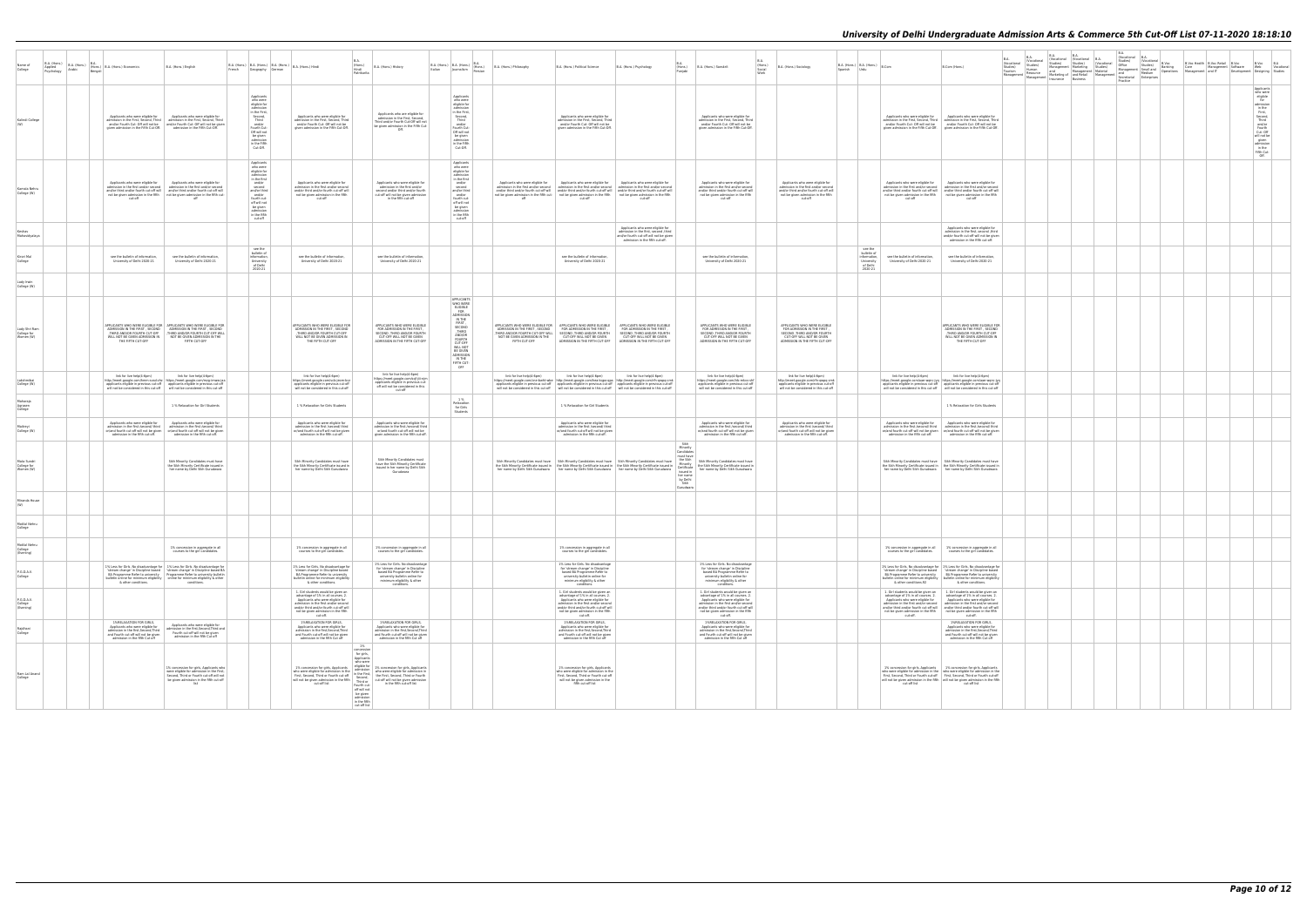| Name of<br>College                        | B.A. (Hons.)<br>Applied<br>Psychology | B.A. (Hons.)<br>Arabic<br>Bengali | (Hons.) B.A. (Hons.) Economics                                                                                                                                                    | B.A. (Hons.) English<br>French                                                                                                                                                                                                                                                                                                                                                          | $\begin{array}{ l c c c c c } \hline \text{B.A. (Hons.)} & \text{B.A. (Hons.)} & \text{B.A. (Hons.)} & \text{Hindi} \\\hline \end{array}$<br>Geography German                                        | B.A.<br>(Hons.)<br>Hindi<br>Patrikarita                                                                                                                                                                                                                                                                                                                                                                                                                                       | B.A. (Hons.) History                                                                                                                                                                   | B.A. (Hons.) B.A. (Hons.)<br>(Hons.)<br>Italian<br>Journalism                                                                                                                                                  | B.A. (Hons.) Philosophy                         | B.A. (Hons.) Political Science                                                                                                                                                                                                                                                                                                                                              | B.A. (Hons.) Psychology                                                                                                                                  | <b>BA</b><br>R A<br>B.A. (Hons.) Sanskrif<br>Social<br>Puniab<br>Work                                                                                                                                                                              | B.A. (Hons.) Sociology                                                                                                                                                | $\mid$ B.A. (Hons.) $\Big \bigoplus_{i=1}^n A_i$ (Hons.) $\Big \bigoplus_{B, \text{Com}}$<br>Spanish Urdu |                                                                                                                             | B.Com (Hons.)                                                                                                                                                                                                                                                                                                                                  | B.A.<br>(Vocational<br>Studies)<br>Tourism<br>Management | B.A. B.A. B.A. ISB.<br>(Vocational Worational Pocational B.A. ISB.<br>Studies) Studies) Studies (Vocational Studies)<br>Studies Management Marketing Studies) Management<br>Human Management Material Management<br>Resource and Managem<br>and Management Management Small and Banking<br>Management Management Small and Banking<br>Management Scare Management Medium Medium Derations<br>Insurance Business Management Scaretarial Enterprises<br>Resource<br>Management   insurance   Business |  | B.A.<br>(Vocational B.A.<br>(Vocational B.Voc | B.Voc Health B.Voc Retail B.Voc<br>Care Management Software<br>Management and IT Developmer | B.Voc B.A<br>Web<br>Vocational<br>Development Designing Studies                                                                                                                             |
|-------------------------------------------|---------------------------------------|-----------------------------------|-----------------------------------------------------------------------------------------------------------------------------------------------------------------------------------|-----------------------------------------------------------------------------------------------------------------------------------------------------------------------------------------------------------------------------------------------------------------------------------------------------------------------------------------------------------------------------------------|------------------------------------------------------------------------------------------------------------------------------------------------------------------------------------------------------|-------------------------------------------------------------------------------------------------------------------------------------------------------------------------------------------------------------------------------------------------------------------------------------------------------------------------------------------------------------------------------------------------------------------------------------------------------------------------------|----------------------------------------------------------------------------------------------------------------------------------------------------------------------------------------|----------------------------------------------------------------------------------------------------------------------------------------------------------------------------------------------------------------|-------------------------------------------------|-----------------------------------------------------------------------------------------------------------------------------------------------------------------------------------------------------------------------------------------------------------------------------------------------------------------------------------------------------------------------------|----------------------------------------------------------------------------------------------------------------------------------------------------------|----------------------------------------------------------------------------------------------------------------------------------------------------------------------------------------------------------------------------------------------------|-----------------------------------------------------------------------------------------------------------------------------------------------------------------------|-----------------------------------------------------------------------------------------------------------|-----------------------------------------------------------------------------------------------------------------------------|------------------------------------------------------------------------------------------------------------------------------------------------------------------------------------------------------------------------------------------------------------------------------------------------------------------------------------------------|----------------------------------------------------------|-----------------------------------------------------------------------------------------------------------------------------------------------------------------------------------------------------------------------------------------------------------------------------------------------------------------------------------------------------------------------------------------------------------------------------------------------------------------------------------------------------|--|-----------------------------------------------|---------------------------------------------------------------------------------------------|---------------------------------------------------------------------------------------------------------------------------------------------------------------------------------------------|
| Kalindi College                           |                                       |                                   | Applicants who were eligible for<br>given admission in the Fifth Cut-Off.                                                                                                         | Applicants who were eligible for<br>admission in the First, Second, Third   admission in the First, Second, Third<br>and/or Fourth Cut- Off will not be and/or Fourth Cut- Off will not be given<br>admission in the Fifth Cut-Off.                                                                                                                                                     | Applicants<br>who were<br>eligible for<br>admission<br>in the First,<br>Second,<br>Third<br>and/or<br>Fourth Cut-<br>Off will not<br>be given<br>admission<br>in the Fifth<br>Cut-Off.               | Applicants who were eligible for<br>admission in the First, Second, Third<br>and/or Fourth Cut- Off will not be<br>given admission in the Fifth Cut-Off.                                                                                                                                                                                                                                                                                                                      | Applicants who are eligible for<br>admission in the First, Second,<br>Third and/or Fourth Cut-Off will not<br>be given admission in the Fifth Cut-<br>Off.                             | Applicants<br>who were<br>eligible for<br>admission<br>in the First,<br>Second,<br>Third<br>and/or<br>Fourth Cut-<br>Off will not<br>be given<br>admission<br>in the Fifth<br>Cut-Off.                         |                                                 | Applicants who were eligible for<br>admission in the First, Second, Third<br>and/or Fourth Cut- Off will not be<br>given admission in the Fifth Cut-Of                                                                                                                                                                                                                      |                                                                                                                                                          | Applicants who were eligible for<br>admission in the First, Second, Third<br>and/or Fourth Cut- Off will not be<br>given admission in the Fifth Cut-Off                                                                                            |                                                                                                                                                                       |                                                                                                           | Applicants who were eligible for<br>and/or Fourth Cut- Off will not be                                                      | Applicants who were eligible for<br>admission in the First. Second. Third   admission in the First. Second. Third<br>and/or Fourth Cut- Off will not be<br>given admission in the Fifth Cut-Off. given admission in the Fifth Cut-Off                                                                                                          |                                                          |                                                                                                                                                                                                                                                                                                                                                                                                                                                                                                     |  |                                               |                                                                                             | Applicants<br>who were<br>eligible<br>for<br>admission<br>in the<br>First,<br>Second,<br>Third<br>and/or<br>Fourth<br>Cut- Off<br>will not be<br>given<br>admission<br>in the<br>Fifth Cut- |
| Kamala Neh<br>College (W)                 |                                       |                                   | Applicants who were eligible for<br>cut-off                                                                                                                                       | Applicants who were eligible for<br>admission in the first and/or second<br>and/or third and/or second<br>and/or third and/or fourth cut-off will<br>and/or third and/or fourth cut-off will<br>not be given admission in the fifth not be given admission in the fifth cut-<br>off                                                                                                     | Applicants<br>who were<br>eligible for<br>admission<br>in the first<br>and/or<br>second<br>and/or third<br>and/or<br>fourth cut-<br>off will not<br>be given<br>admission<br>in the fifth<br>cut-off | Applicants who were eligible for<br>admission in the first and/or second<br>and/or third and/or fourth cut-off will<br>not be given admission in the fifth<br>cut-off                                                                                                                                                                                                                                                                                                         | Applicants who were eligible for<br>admission in the first and/or<br>second and/or third and/or fourth<br>cut-off will not be given admission<br>in the fifth cut-off                  | Applicants<br>who were<br>eligible for<br>admission<br>in the first<br>and/or<br>second<br>and/or third<br>and/or<br>fourth cut-<br>off will not<br>be given<br>admission<br>in the fifth<br>cut-off           | Applicants who were eligible for<br>off         | Applicants who were eligible for<br>admission in the first and/or second<br>and/or third and/or second<br>and/or third and/or fourth cut-off will<br>and/or third and/or fourth cut-off will<br>not be given admission in the fifth cut- not be given admission in the fifth not be given admission in the fifth<br>cut-off                                                 | Applicants who were eligible for<br>cut-off                                                                                                              | Applicants who were eligible for<br>admission in the first and/or second<br>and/or third and/or fourth cut-off will<br>not be given admission in the fifth<br>cut-off                                                                              | Applicants who were eligible for<br>admission in the first and/or second<br>and/or third and/or fourth cut-off will<br>not be given admission in the fifth<br>cut-off |                                                                                                           | Applicants who were eligible for<br>cut-off                                                                                 | Applicants who were eligible for<br>admission in the first and/or second<br>and/or third and/or fourth cut-off will<br>and/or third and/or fourth cut-off will<br>and/or third and/or fourth cut-off will<br>not be given admission in the fifth not be given admission in the fifth<br>cut-off                                                |                                                          |                                                                                                                                                                                                                                                                                                                                                                                                                                                                                                     |  |                                               |                                                                                             |                                                                                                                                                                                             |
| Mahavidvalava                             |                                       |                                   |                                                                                                                                                                                   |                                                                                                                                                                                                                                                                                                                                                                                         |                                                                                                                                                                                                      |                                                                                                                                                                                                                                                                                                                                                                                                                                                                               |                                                                                                                                                                                        |                                                                                                                                                                                                                |                                                 |                                                                                                                                                                                                                                                                                                                                                                             | Applicants who were eligible for<br>admission in the first, second , third<br>and/or fourth cut-off will not be given<br>admission in the fifth cut-off. |                                                                                                                                                                                                                                                    |                                                                                                                                                                       |                                                                                                           |                                                                                                                             | Applicants who were eligible for<br>admission in the first, second , third<br>and/or fourth cut-off will not be given<br>admission in the fifth cut-off.                                                                                                                                                                                       |                                                          |                                                                                                                                                                                                                                                                                                                                                                                                                                                                                                     |  |                                               |                                                                                             |                                                                                                                                                                                             |
| Kirori Mal<br>College                     |                                       |                                   | see the bulletin of information.<br>University of Delhi 2020-21                                                                                                                   | see the bulletin of information<br>University of Delhi 2020-21                                                                                                                                                                                                                                                                                                                          | see the<br>bulletin of<br>information<br>University<br>of Delhi<br>2020-21                                                                                                                           | see the bulletin of information<br>University of Delhi 2020-21                                                                                                                                                                                                                                                                                                                                                                                                                | see the bulletin of information<br>University of Delhi 2020-21                                                                                                                         |                                                                                                                                                                                                                |                                                 | see the bulletin of information<br>University of Delhi 2020-21                                                                                                                                                                                                                                                                                                              |                                                                                                                                                          | see the bulletin of information<br>University of Delhi 2020-21                                                                                                                                                                                     |                                                                                                                                                                       | see the<br>bulletin of<br>information.<br>University<br>of Delh<br>2020-21                                | see the bulletin of information<br>University of Delhi 2020-21                                                              | see the bulletin of information<br>University of Delhi 2020-21                                                                                                                                                                                                                                                                                 |                                                          |                                                                                                                                                                                                                                                                                                                                                                                                                                                                                                     |  |                                               |                                                                                             |                                                                                                                                                                                             |
| Lady Irwi<br>College (W)                  |                                       |                                   |                                                                                                                                                                                   |                                                                                                                                                                                                                                                                                                                                                                                         |                                                                                                                                                                                                      |                                                                                                                                                                                                                                                                                                                                                                                                                                                                               |                                                                                                                                                                                        |                                                                                                                                                                                                                |                                                 |                                                                                                                                                                                                                                                                                                                                                                             |                                                                                                                                                          |                                                                                                                                                                                                                                                    |                                                                                                                                                                       |                                                                                                           |                                                                                                                             |                                                                                                                                                                                                                                                                                                                                                |                                                          |                                                                                                                                                                                                                                                                                                                                                                                                                                                                                                     |  |                                               |                                                                                             |                                                                                                                                                                                             |
| Lady Shri Rar<br>College for<br>Women (W) |                                       |                                   | WILL NOT BE GIVEN ADMISSION IN<br>THE FIFTH CUT-OFF                                                                                                                               | APPLICANTS WHO WERE ELIGIBLE FOR APPLICANTS WHO WERE ELIGIBLE FOR ADMISSION IN THE FIRST, SECOND<br>THIRD AND/OR FOURTH CUT-OFF THIRD AND/OR FOURTH CUT-OFF WILL<br>NOT BE GIVEN ADMISSION IN THE<br>FIFTH CUT-OFF                                                                                                                                                                      |                                                                                                                                                                                                      | APPLICANTS WHO WERE ELIGIBLE FOR<br>ADMISSION IN THE FIRST, SECOND<br>THIRD AND/OR EQURTH CUT, OFF<br>WILL NOT BE GIVEN ADMISSION IN<br>THE FIFTH CUT-OFF                                                                                                                                                                                                                                                                                                                     | <b>APPLICANTS WHO WERE ELIGIBLE</b><br>FOR ADMISSION IN THE FIRST<br>SECOND .THIRD AND/OR FOURTH<br><b>CUT-OFF WILL NOT BE GIVEN</b><br>ADMISSION IN THE FIFTH CUT-OFF                 | APPLICANTS<br>WHO WERE<br>ELIGIBLE<br><b>FOR</b><br>ADMISSION<br>IN THE<br>FIRST,<br>SECOND<br>THIRD<br>AND/OR<br>FOURTH<br><b>CUT-OFF</b><br>WILL NOT<br>BE GIVEN<br>ADMISSION<br>IN THE<br>FIFTH CUT-<br>OFF | ADMISSION IN THE FIRST. SECOND<br>FIFTH CUT-OFF | APPLICANTS WHO WERE ELIGIBLE FOR APPLICANTS WHO WERE ELIGIBLE<br>FOR ADMISSION IN THE FIRST,<br>THIRD AND/OR FOURTH CUT-OFF WILL SECOND THIRD AND/OR FOURTH CUT-OFF WILL SECOND THIRD AND/OR FOURTH<br>ADMISSION IN THE FIFTH CUT-OFF                                                                                                                                       | APPLICANTS WHO WERE ELIGIBLE<br>FOR ADMISSION IN THE FIRST<br>SECOND ,THIRD AND/OR FOURTH<br>CUT-OFF WILL NOT BE GIVEN<br>ADMISSION IN THE FIFTH CUT-OFF | APPLICANTS WHO WERE ELIGIBLE<br>FOR ADMISSION IN THE FIRST<br>SECOND ,THIRD AND/OR FOURTH<br>CUT-OFF WILL NOT BE GIVEN<br>ADMISSION IN THE FIFTH CUT-OF                                                                                            | APPLICANTS WHO WERE ELIGIBLE<br>FOR ADMISSION IN THE FIRST<br>SECOND ,THIRD AND/OR FOURTH<br>CUT-OFF WILL NOT BE GIVEN<br>ADMISSION IN THE FIFTH CUT-OFF              |                                                                                                           |                                                                                                                             | APPLICANTS WHO WERE ELIGIBLE FOR<br>ADMISSION IN THE FIRST, SECOND<br>THIRD AND/OR FOURTH CUT-OF<br>WILL NOT BE GIVEN ADMISSION IN<br>THE FIFTH CUT-OFF                                                                                                                                                                                        |                                                          |                                                                                                                                                                                                                                                                                                                                                                                                                                                                                                     |  |                                               |                                                                                             |                                                                                                                                                                                             |
| Lakshmiba<br>College (W)                  |                                       |                                   | link for live help(4-6pm)                                                                                                                                                         | link for live help(4-6pm)<br>http://meet.google.com/hmm-sxsd-zhz https://meet.google.com/mzg-imww-jaa<br>applicants eligible in previous cut-off applicants eligible in previous cut-off will not be considered in this cut-off will not be considered in this cut-off                                                                                                                  |                                                                                                                                                                                                      | link for live help(4-6pm)<br>https://meet.google.com/vcb-jeom-bcz<br>applicants eligible in previous cut-off<br>will not be considered in this cut-off                                                                                                                                                                                                                                                                                                                        | link for live help(4-6pm)<br>ttps://meet.google.com/sqf-jiii-njm<br>applicants eligible in previous cut-<br>off will not be considered in this<br>cut-off                              |                                                                                                                                                                                                                | link for live help(4-6pm)                       | link for live help(4-6pm)<br>https://meet.google.com/cne-bwht-wbe http://meet.google.com/hea-kgpo-gpa http://meet.google.com/rfn-gwpg-cmk<br>applicants eligible in previous cut-off applicants eligible in previous cut-off applicants eligible in previous cut-off will not be considered in this cut-off will not be considered in this cut-off will not be considered i | link for live help(4-6pm)                                                                                                                                | link for live help(4-6pm)<br>https://meet.google.com/trb-mkw-sh<br>applicants eligible in previous cut-off<br>will not be considered in this cut-off                                                                                               | link for live help(4-6pm)<br>http://meet.google.com/rfn-gwpg-cm<br>applicants eligible in previous cut-off<br>will not be considered in this cut-off                  |                                                                                                           | link for live help(4-6pm)                                                                                                   | link for live help(4-6pm)<br>https://meet.google.com/aae-wqnc-jyq https://meet.google.com/aae-wqnc-jyq<br>applicants eligible in previous cut-off applicants eligible in previous cut-off will not be considered in this cut-off will not be considered in this cut-off                                                                        |                                                          |                                                                                                                                                                                                                                                                                                                                                                                                                                                                                                     |  |                                               |                                                                                             |                                                                                                                                                                                             |
| Maharaja<br>Agraser<br>College            |                                       |                                   |                                                                                                                                                                                   | 1 % Relaxation for Girl Students                                                                                                                                                                                                                                                                                                                                                        |                                                                                                                                                                                                      | 1 % Relaxation for Girls Students                                                                                                                                                                                                                                                                                                                                                                                                                                             |                                                                                                                                                                                        | 1 %<br>Relaxation<br>for Girls<br>Students                                                                                                                                                                     |                                                 | 1 % Relaxation for Girl Students                                                                                                                                                                                                                                                                                                                                            |                                                                                                                                                          |                                                                                                                                                                                                                                                    |                                                                                                                                                                       |                                                                                                           |                                                                                                                             | 1 % Relaxation for Girls Students                                                                                                                                                                                                                                                                                                              |                                                          |                                                                                                                                                                                                                                                                                                                                                                                                                                                                                                     |  |                                               |                                                                                             |                                                                                                                                                                                             |
| Maitrevi<br>College (W)                   |                                       |                                   | Applicants who were eligible fo<br>admission in the first /second/ third<br>or/and fourth cut-off will not be given<br>admission in the fifth cut-off.                            | Applicants who were eligible for<br>admission in the first /second/ third<br>or/and fourth cut-off will not be given<br>admission in the fifth cut-off.                                                                                                                                                                                                                                 |                                                                                                                                                                                                      | Applicants who were eligible for<br>admission in the first /second/ third<br>or/and fourth cut-off will not be given<br>admission in the fifth cut-off.                                                                                                                                                                                                                                                                                                                       | Applicants who were eligible for<br>admission in the first /second/ third<br>or/and fourth cut-off will not be<br>given admission in the fifth cut-off.                                |                                                                                                                                                                                                                |                                                 | Applicants who were eligible for<br>admission in the first /second/ third<br>or/and fourth cut-off will not be given<br>admission in the fifth cut-off                                                                                                                                                                                                                      |                                                                                                                                                          | Applicants who were eligible for<br>admission in the first /second/ third<br>or/and fourth cut-off will not be given<br>admission in the fifth cut-off                                                                                             | Applicants who were eligible for<br>admission in the first /second/ third<br>or/and fourth cut-off will not be given<br>admission in the fifth cut-off                |                                                                                                           | Applicants who were eligible for<br>admission in the fifth cut-off.                                                         | Applicants who were eligible for<br>admission in the first /second/ third   admission in the first /second/ third<br>or/and fourth cut-off will not be given   or/and fourth cut-off will not be given<br>admission in the fifth cut-off.                                                                                                      |                                                          |                                                                                                                                                                                                                                                                                                                                                                                                                                                                                                     |  |                                               |                                                                                             |                                                                                                                                                                                             |
| Mata Sundr<br>College for<br>Women (W)    |                                       |                                   |                                                                                                                                                                                   | Sikh Minority Candidates must have<br>the Sikh Minority Certificate issued in<br>her name by Delhi Sikh Gurudwara                                                                                                                                                                                                                                                                       |                                                                                                                                                                                                      | Sikh Minority Candidates must have<br>the Sikh Minority Certificate issued in<br>her name by Delhi Sikh Gurudwara                                                                                                                                                                                                                                                                                                                                                             | Sikh Minority Candidates must<br>have the Sikh Minority Certificate<br>issued in her name by Delhi Sikh                                                                                |                                                                                                                                                                                                                |                                                 | Sikh Minority Candidates must have Sikh Minority Candidates must have Sikh Minority Candidates must have the Sikh<br>The Sikh Minority Certificate issued in the Sikh Minority Certificate issued in the Sikh Minority Certificat<br>her name by Delhi Sikh Gurudwara   her name by Delhi Sikh Gurudwara   her name by Delhi Sikh Gurudwara                                 |                                                                                                                                                          | Sikh<br>Minority<br>Candidate<br>must have<br>Sikh Minority Candidates must have<br>the Sikh Minority Certificate issued in<br>her name by Delhi Sikh Gurudwara<br>issued in<br>her name<br>by Delhi<br>Sikh<br>Gurudwara                          |                                                                                                                                                                       |                                                                                                           |                                                                                                                             | Sikh Minority Candidates must have Sikh Minority Candidates must have the Sikh Minority Certificate issued in<br>her name by Delhi Sikh Gurudwara   her name by Delhi Sikh Gurudwara                                                                                                                                                           |                                                          |                                                                                                                                                                                                                                                                                                                                                                                                                                                                                                     |  |                                               |                                                                                             |                                                                                                                                                                                             |
| Miranda House                             |                                       |                                   |                                                                                                                                                                                   |                                                                                                                                                                                                                                                                                                                                                                                         |                                                                                                                                                                                                      |                                                                                                                                                                                                                                                                                                                                                                                                                                                                               |                                                                                                                                                                                        |                                                                                                                                                                                                                |                                                 |                                                                                                                                                                                                                                                                                                                                                                             |                                                                                                                                                          |                                                                                                                                                                                                                                                    |                                                                                                                                                                       |                                                                                                           |                                                                                                                             |                                                                                                                                                                                                                                                                                                                                                |                                                          |                                                                                                                                                                                                                                                                                                                                                                                                                                                                                                     |  |                                               |                                                                                             |                                                                                                                                                                                             |
| Motilal Nehn<br>College                   |                                       |                                   |                                                                                                                                                                                   |                                                                                                                                                                                                                                                                                                                                                                                         |                                                                                                                                                                                                      |                                                                                                                                                                                                                                                                                                                                                                                                                                                                               |                                                                                                                                                                                        |                                                                                                                                                                                                                |                                                 |                                                                                                                                                                                                                                                                                                                                                                             |                                                                                                                                                          |                                                                                                                                                                                                                                                    |                                                                                                                                                                       |                                                                                                           |                                                                                                                             |                                                                                                                                                                                                                                                                                                                                                |                                                          |                                                                                                                                                                                                                                                                                                                                                                                                                                                                                                     |  |                                               |                                                                                             |                                                                                                                                                                                             |
| Motilal Nehru<br>College<br>(Evening)     |                                       |                                   |                                                                                                                                                                                   | 1% concession in aggregate in all<br>courses to the girl candidates.                                                                                                                                                                                                                                                                                                                    |                                                                                                                                                                                                      | 1% concession in aggregate in all<br>courses to the girl candidates.                                                                                                                                                                                                                                                                                                                                                                                                          | 1% concession in aggregate in all<br>courses to the girl candidates.                                                                                                                   |                                                                                                                                                                                                                |                                                 | 1% concession in aggregate in all<br>courses to the girl candidates.                                                                                                                                                                                                                                                                                                        |                                                                                                                                                          |                                                                                                                                                                                                                                                    |                                                                                                                                                                       |                                                                                                           | courses to the girl candidates.                                                                                             | 1% concession in aggregate in all 1% concession in aggregate in all<br>courses to the girl candidates.                                                                                                                                                                                                                                         |                                                          |                                                                                                                                                                                                                                                                                                                                                                                                                                                                                                     |  |                                               |                                                                                             |                                                                                                                                                                                             |
| P.G.D.A.V.<br>College                     |                                       |                                   |                                                                                                                                                                                   | 1% Less for Girls. No disadvantage for 1% Less for Girls. No disadvantage for<br>stream change' in Discipline based   'stream change' in Discipline based BA<br>BA Programme Refer to university  Programme Refer to university bulletin<br>bulletin online for minimum eligibility<br>$\overline{a}$ online for minimum eligibility<br>$\overline{b}$ other conditions.<br>conditions. |                                                                                                                                                                                                      | 1% Less for Girls. No disadvantage for<br>stream change' in Discipline based<br>BA Programme Refer to university<br>bulletin online for minimum eligibility<br>& other conditions.                                                                                                                                                                                                                                                                                            | 1% Less for Girls. No disadvantage<br>for 'stream change' in Discipline<br>based BA Programme Refer to<br>university bulletin online for<br>minimum eligibility & other<br>conditions. |                                                                                                                                                                                                                |                                                 | 1% Less for Girls. No disadvantage<br>for 'stream change' in Discipline<br>based BA Programme Refer to<br>university bulletin online for<br>minimum eligibility & other<br>conditions.                                                                                                                                                                                      |                                                                                                                                                          | 1% Less for Girls. No disadvantage<br>for 'stream change' in Discipline<br>based BA Programme Refer to<br>university bulletin online for<br>minimum eligibility & other<br>conditions.                                                             |                                                                                                                                                                       |                                                                                                           | bulletin online for minimum eligibility<br>& other conditions.92                                                            | 1% Less for Girls. No disadvantage for 1% Less for Girls. No disadvantage for<br>Stream change in Discipline based<br>BA Programme Refer to university<br>BA Programme Refer to university<br>BA Programme Refer to university<br>bulletin online for minimum eligibility<br>& other conditions.                                               |                                                          |                                                                                                                                                                                                                                                                                                                                                                                                                                                                                                     |  |                                               |                                                                                             |                                                                                                                                                                                             |
| P.G.D.A.V.<br>College<br>(Evening)        |                                       |                                   |                                                                                                                                                                                   |                                                                                                                                                                                                                                                                                                                                                                                         |                                                                                                                                                                                                      | 1. Girl students would be given an<br>advantage of 1% in all courses. 2.<br>Annlicants who were eligible for<br>admission in the first and/or second<br>and/or third and/or fourth cut-off will<br>not be given admission in the fifth<br>cut-off.                                                                                                                                                                                                                            |                                                                                                                                                                                        |                                                                                                                                                                                                                |                                                 | 1. Girl students would be given an<br>advantage of 1% in all courses. 2.<br>Annlicants who were eligible for<br>admission in the first and/or second<br>and/or third and/or fourth cut-off will<br>not be given admission in the fifth<br>cut-off.                                                                                                                          |                                                                                                                                                          | 1. Girl students would be given an<br>advantage of 1% in all courses. 2.<br>Applicants who were eligible for<br>admission in the first and/or second<br>and/or third and/or fourth cut-off will<br>not be given admission in the fifth<br>cut-off. |                                                                                                                                                                       |                                                                                                           | Annlicants who were eligible for<br>admission in the first and/or second<br>not be given admission in the fifth<br>cut-off. | 1. Girl students would be given an<br>advantage of 1% in all courses. 2. advantage of 1% in all courses. 2.<br>Annlicants who were eligible for<br>admission in the first and/or second<br>and/or third and/or fourth cut-off will   and/or third and/or fourth cut-off will<br>not be given admission in the fifth<br>cut-off.                |                                                          |                                                                                                                                                                                                                                                                                                                                                                                                                                                                                                     |  |                                               |                                                                                             |                                                                                                                                                                                             |
| Rajdhani<br>College                       |                                       |                                   | <b>1%RELAXATION FOR GIRLS</b><br>Applicants who were eligible fo<br>admission in the first Second Third<br>and Fourth cut-off will not be given<br>admission in the fifth Cut off | Applicants who were eligible for<br>admission in the first.Second.Third and<br>Fourth cut-off will not be given<br>admission in the fifth Cut off                                                                                                                                                                                                                                       |                                                                                                                                                                                                      | 1%RELAXATION FOR GIRLS,<br>Applicants who were eligible for<br>admission in the first Second Third<br>and Fourth cut-off will not be given<br>admission in the fifth Cut off                                                                                                                                                                                                                                                                                                  | 15 RELAXATION FOR GIRLS<br>Applicants who were eligible for<br>admission in the first. Second. Third<br>and Fourth cut-off will not be given<br>admission in the fifth Cut off         |                                                                                                                                                                                                                |                                                 | 1%RELAXATION FOR GIRLS,<br>Applicants who were eligible for<br>admission in the first. Second. Third<br>and Fourth cut-off will not be given<br>admission in the fifth Cut off                                                                                                                                                                                              |                                                                                                                                                          | 1%RELAXATION FOR GIRLS<br>Applicants who were eligible for<br>admission in the first.Second.Third<br>and Fourth cut-off will not be given<br>admission in the fifth Cut off                                                                        |                                                                                                                                                                       |                                                                                                           |                                                                                                                             | 1%RELAXATION FOR GIRLS<br>Applicants who were eligible for<br>admission in the first Second Third<br>and Fourth cut-off will not be given<br>admission in the fifth Cut off                                                                                                                                                                    |                                                          |                                                                                                                                                                                                                                                                                                                                                                                                                                                                                                     |  |                                               |                                                                                             |                                                                                                                                                                                             |
| Ram Lal Anand<br>College                  |                                       |                                   |                                                                                                                                                                                   | 1% concession for girls, Applicants who<br>were eligible for admission in the First,<br>Second, Third or Fourth cut-off will not<br>be given admission in the fifth cut-off<br>list                                                                                                                                                                                                     |                                                                                                                                                                                                      | 1%<br>concession<br>for girls,<br>Applicants<br>who were<br>eligible for<br>1% concession for girls, Applicants<br>admission<br>who were eligible for admission in the admission who were eligible for admission in First, Second, Third or Function of the first, Second, Third or Function will not be given admission in the fifth $\frac{1}{\sqrt{1}}$ in the fir<br>cut-off list<br>Fourth cut-<br>off will not<br>be given<br>admission<br>in the fifth<br>cut-off list | 1% concession for girls, Applicants<br>in the fifth cut-off list                                                                                                                       |                                                                                                                                                                                                                |                                                 | 1% concession for girls, Applicants<br>who were eligible for admission in the<br>First, Second, Third or Fourth cut-off<br>will not be given admission in the<br>fifth cut-off list                                                                                                                                                                                         |                                                                                                                                                          |                                                                                                                                                                                                                                                    |                                                                                                                                                                       |                                                                                                           | cut-off list                                                                                                                | 1% concession for girls, Applicants 1% concession for girls, Applicants<br>who were eligible for admission in the who were eligible for admission in the<br>First, Second, Third or Fourth cut-off First, Second, Third or Fourth cut-off<br>will not be given admission in the fifth will not be given admission in the fifth<br>cut-off list |                                                          |                                                                                                                                                                                                                                                                                                                                                                                                                                                                                                     |  |                                               |                                                                                             |                                                                                                                                                                                             |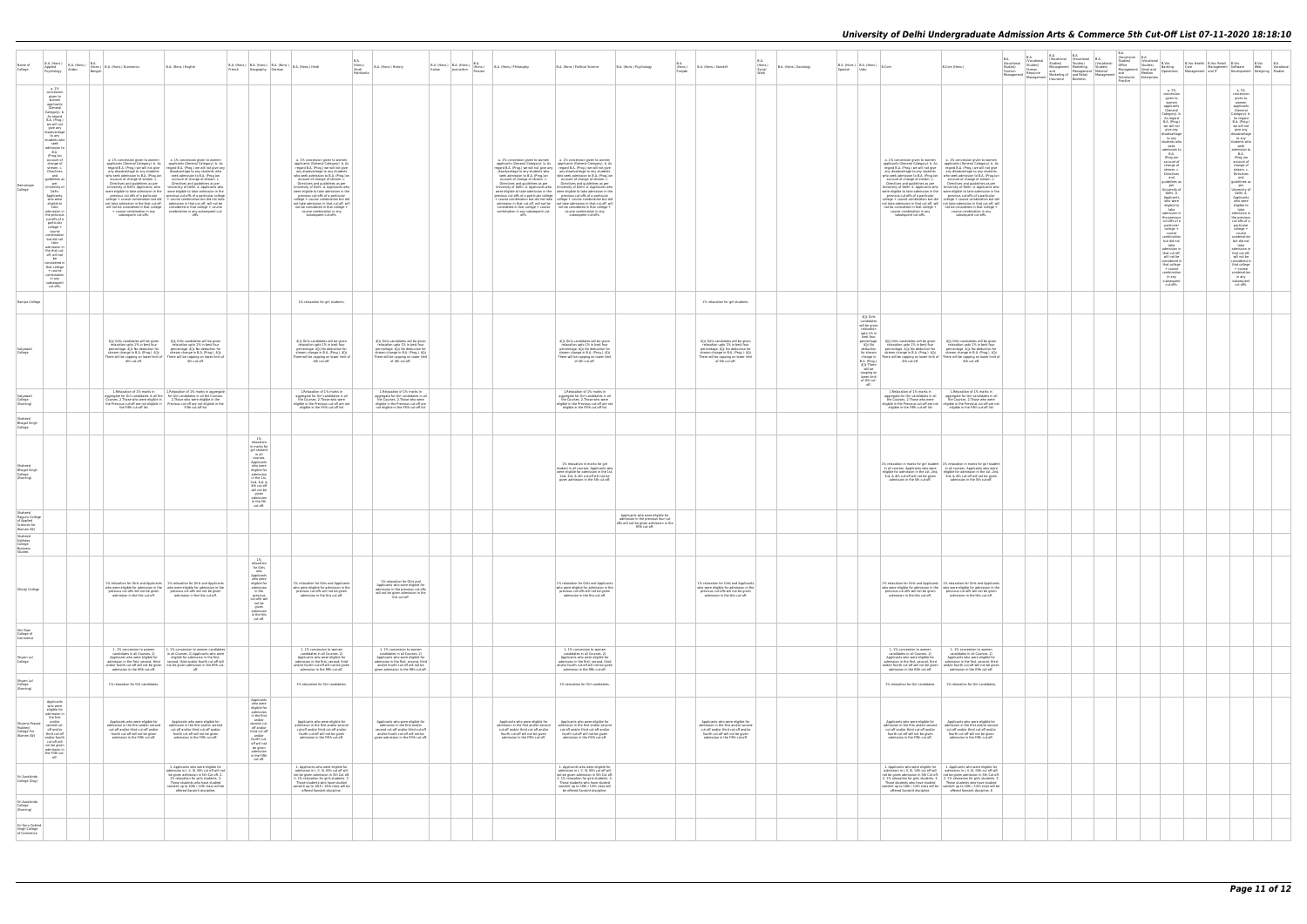| Name of<br>College                                                    | Applied<br>Psychology<br>Arabic                                                                                                                                                                                                                                                                                                                                                                                                                                                                                                                                                                                                                                                                                                         | $\begin{array}{ l c c c c } \hline \text{B.A. (Hons.)} & \text{B.A. (Hons.)} & \text{B.A.} \\ \text{Anrlied} & & & \\ \hline \end{array} \begin{array}{ l c c c c } \hline \text{B.A.} & & & \\ \hline \text{Hons.} & \text{B.A. (Hons.) Economics} & & \\ \hline \end{array}$<br>Bengali                                                                                                                                                                                                                                                                                                     | B.A. (Hons.) English                                                                                                                                                                                                                                                                                                                                                                                                                                                                                                                                                                                                                                                                                                                                                                                                                                                                                                  | $\boxed{\mathsf{B.A.}\;(\mathsf{Hons.})\; \left \; \mathsf{B.A.}\;(\mathsf{Hons.})\; \left \; \mathsf{B.A.}\;(\mathsf{Hons.})\; \left \; \mathsf{B.A.}\;(\mathsf{Hons.})\; \mathsf{Hindi}\right.\right.}\\$<br>Geography German                                                                                  |                                                                                                                                                                                                                                                                                                                                                                                                                                                                                                                                                                             | B.A.<br>(Hons.)<br>Hindi<br>Patrikarita | B.A. (Hons.) History                                                                                                                                                                                                 |  | B.A. (Hons.) B.A. (Hons.) 8.A. (Hons.) B.A. (Hons.) Philosophy Italian Journalism Persian B.A. (Hons.) Philosophy                                                                      | B.A. (Hons.) Political Science                                                                                                                                                                                                                                                                                                                                                                                                                                                                                                                                                                                                                                                                                                                                                                                                                                                                                                                                                                                                                                                  | B.A. (Hons.) Psychology                                                                         | <b>BA</b><br>(Hons.)<br>Punjabi | B.A. (Hons.) Sanskrit                                                                                                                                                                                       | <b>B.A</b><br>(Hons.)<br>B.A. (Hons.) Sociology<br>Social<br><b>Work</b> | $B.A.$ (Hons.) $B.A.$ (Hons.) $B.Com$<br>Spanish                                                                                                                                             | B.Com (Hons.)                                                                                                                                                                                                                                                                                                                                                                                                                                                                                                                                                                                                                                                                                                                                                                                                                                                                                                                                                                                                                                 |  |  | Practice |                                                                                                                                                                                                                                                                                                                                                                                                                                                                                                                                                                                                                                                                                                                                                                                                                              | B.Voc Health B.Voc Retail B.Voc B.Voc B.A<br>Software Web Vocational<br>Development Designing Studies                                                                                                                                                                                                                                                                                                                                                                                                                                                                                                                                                                                                                                                                                      |  |
|-----------------------------------------------------------------------|-----------------------------------------------------------------------------------------------------------------------------------------------------------------------------------------------------------------------------------------------------------------------------------------------------------------------------------------------------------------------------------------------------------------------------------------------------------------------------------------------------------------------------------------------------------------------------------------------------------------------------------------------------------------------------------------------------------------------------------------|-----------------------------------------------------------------------------------------------------------------------------------------------------------------------------------------------------------------------------------------------------------------------------------------------------------------------------------------------------------------------------------------------------------------------------------------------------------------------------------------------------------------------------------------------------------------------------------------------|-----------------------------------------------------------------------------------------------------------------------------------------------------------------------------------------------------------------------------------------------------------------------------------------------------------------------------------------------------------------------------------------------------------------------------------------------------------------------------------------------------------------------------------------------------------------------------------------------------------------------------------------------------------------------------------------------------------------------------------------------------------------------------------------------------------------------------------------------------------------------------------------------------------------------|------------------------------------------------------------------------------------------------------------------------------------------------------------------------------------------------------------------------------------------------------------------------------------------------------------------|-----------------------------------------------------------------------------------------------------------------------------------------------------------------------------------------------------------------------------------------------------------------------------------------------------------------------------------------------------------------------------------------------------------------------------------------------------------------------------------------------------------------------------------------------------------------------------|-----------------------------------------|----------------------------------------------------------------------------------------------------------------------------------------------------------------------------------------------------------------------|--|----------------------------------------------------------------------------------------------------------------------------------------------------------------------------------------|---------------------------------------------------------------------------------------------------------------------------------------------------------------------------------------------------------------------------------------------------------------------------------------------------------------------------------------------------------------------------------------------------------------------------------------------------------------------------------------------------------------------------------------------------------------------------------------------------------------------------------------------------------------------------------------------------------------------------------------------------------------------------------------------------------------------------------------------------------------------------------------------------------------------------------------------------------------------------------------------------------------------------------------------------------------------------------|-------------------------------------------------------------------------------------------------|---------------------------------|-------------------------------------------------------------------------------------------------------------------------------------------------------------------------------------------------------------|--------------------------------------------------------------------------|----------------------------------------------------------------------------------------------------------------------------------------------------------------------------------------------|-----------------------------------------------------------------------------------------------------------------------------------------------------------------------------------------------------------------------------------------------------------------------------------------------------------------------------------------------------------------------------------------------------------------------------------------------------------------------------------------------------------------------------------------------------------------------------------------------------------------------------------------------------------------------------------------------------------------------------------------------------------------------------------------------------------------------------------------------------------------------------------------------------------------------------------------------------------------------------------------------------------------------------------------------|--|--|----------|------------------------------------------------------------------------------------------------------------------------------------------------------------------------------------------------------------------------------------------------------------------------------------------------------------------------------------------------------------------------------------------------------------------------------------------------------------------------------------------------------------------------------------------------------------------------------------------------------------------------------------------------------------------------------------------------------------------------------------------------------------------------------------------------------------------------------|--------------------------------------------------------------------------------------------------------------------------------------------------------------------------------------------------------------------------------------------------------------------------------------------------------------------------------------------------------------------------------------------------------------------------------------------------------------------------------------------------------------------------------------------------------------------------------------------------------------------------------------------------------------------------------------------------------------------------------------------------------------------------------------------|--|
| Ramanujar<br>College                                                  | a. 1%<br>concession<br>given to<br>women<br>applicants<br>(General<br>Category). b.<br>As regard<br>B.A. (Prog.)<br>we will not<br>give any<br>disadvantage<br>to any<br>students who<br>seek<br>admission to<br>B.A.<br>(Prog.)on<br>account of<br>change of<br>stream. c.<br>Directives<br>and<br>guidelines as<br>per<br>University of<br>Delhi.<br>Applicants,<br>who were<br>eligible to<br>take<br>admission in<br>the previous<br>cut-offs of a<br>particular<br>college +<br>course<br>combination<br>but did not<br>take<br>admission in<br>the that cut-<br>off, will not<br>be<br>$\begin{array}{c} \text{considered in} \\ \text{that college} \end{array}$<br>+ course<br>combination<br>in any<br>subsequent<br>cut-offs. | any disadvantage to any students<br>who seek admission to B.A. (Prog.)on seek admission to B.A. (Prog.)on account of change of stream. c. account of change of stream. c.<br>subsequent cut-offs.                                                                                                                                                                                                                                                                                                                                                                                             | a. 1% concession given to women a. 1% concession given to women<br>applicants (General Category). b. As applicants (General Category). b. As regard B.A. (Prog.) we will not give<br>disadvantage to any students who<br>Directives and guidelines as per Directives and guidelines as per University of Delhi. Applicants, who University of Delhi. d. Applicants who<br>were eligible to take admission in the were eligible to take admission in the<br>$\begin{tabular}{ll} \hline \textbf{previous cut-offs of a particular} & \textbf{previous cut-offs of a particular college} \\ \hline \textbf{edge} + \textbf{course combination but did not take} \end{tabular}$<br>not take admission in the that cut-off admission in that cut-off will not be<br>will not be considered in that college considered in that college + course<br>+ course combination in any combination in any subsequent cut-<br>offs. |                                                                                                                                                                                                                                                                                                                  | a. 1% concession given to women<br>applicants (General Category). b. As<br>regard B.A. (Prog.) we will not give<br>any disadvantage to any students<br>who seek admission to B.A. (Prog.)on<br>account of change of stream. c.<br>Directives and guidelines as per<br>University of Delhi. d. Applicants who<br>were eligible to take admission in the<br>previous cut-offs of a particular<br>college + course combination but did<br>not take admission in that cut-off, will<br>not be considered in that college +<br>course combination in any<br>subsequent cut-offs. |                                         |                                                                                                                                                                                                                      |  | offs.                                                                                                                                                                                  | a. 1% concession given to women a. 1% concession given to women<br>applicants (General Category). b. As applicants (General Category). b. As regard B.A. (Prog.) we will not give any regard B.A. (Prog.) we will not give<br>disadvantage to any students who   any disadvantage to any students<br>who seek admission to B.A. (Prog.)on<br>account of change of stream. c.<br>Directives and guidelines as per<br>Directives and guidelines as per<br>Directives and guidelines as per<br>University of Delhi. d. Applicants who University of Delhi. d. Applicants who<br>were eligible to take admission in the were eligible to take admission in the<br>previous cut-offs of a particular college previous cut-offs of a particular<br>+ course combination but did not take college + course combination but did<br>admission in that cut-off, will not be not take admission in that cut-off, will<br>$considered in that college + course$ not be considered in that college +<br>combination in any subsequent cut- course combination in any<br>subsequent cut-offs. |                                                                                                 |                                 |                                                                                                                                                                                                             |                                                                          |                                                                                                                                                                                              | a. 1% concession given to women a. 1% concession given to women<br>applicants (General Category). b. As applicants (General Category). b. As regard B.A. (Prog.) we will not give<br>any disadvantage to any students any disadvantage to any students<br>who seek admission to B.A. (Prog.)on who seek admission to B.A. (Prog.)on account of change of stream. c.<br>Directives and guidelines as per Directives and guidelines as per University of Delhi. d. Applicants who University of Delhi. d. Applicants who<br>were eligible to take admission in the vere eligible to take admission in the<br>Previous cut-offs of a particular college + course combination but did<br>college + course combination but did<br>college + course combination but did<br>not take admission in that cut-off will not take admission in that cut-off will<br>not be considered in that college $+$ not be considered in that college $+$<br>course combination in any<br>course combination in any<br>subsequent cut-offs.<br>subsequent cut-offs. |  |  |          | a. 1%<br>concession<br>given to<br>women<br>applicants<br>(General<br>Category). b.<br>As regard<br>B.A. (Prog.)<br>we will not<br>give any<br>disadvantage<br>to any<br>students who<br>seek<br>admission to<br>B.A.<br>(Prog.)on<br>account of<br>change of<br>stream. c.<br>$\begin{tabular}{c} Directives \\ and \end{tabular}$<br>guidelines as<br>per<br>University of<br>Delhi, d.<br>Applicants<br>who were<br>eligible to<br>take<br>admission in<br>the previous<br>cut-offs of a<br>particular<br>$\begin{array}{c} \text{college } + \\ \text{course} \\ \text{combination} \end{array}$<br>$% \left\vert \left( \delta \right) \right\vert$ but did not take<br>admission in<br>that cut-off,<br>will not be<br>considered in<br>that college<br>$+ course$<br>combination<br>in any<br>subsequent<br>cut-offs. | a. 1%<br>concession<br>given to<br>women<br>applicants<br>(General<br>Category). b.<br>As regard<br>B.A. (Prog.)<br>we will not<br>give any<br>disadvantage<br>the any<br>tudents who<br>seek<br>admission to<br>B.A.<br>B.A.<br>(Prog.)on<br>account of<br>change of<br>stream.c.<br>Nicostium<br>$Directives$ and<br>guidelines as<br>per<br>University of<br>Delhi. d.<br>Applicants<br>who were<br>eligible to<br>take<br>admission in<br>the previous<br>cut-offs of a<br>particular<br>college +<br>course<br>combination<br>$\begin{tabular}{ c } \hline but did not take adimension in \end{tabular}$<br>that cut-off,<br>will not be<br>considered in<br>that college<br>+ course<br>$\begin{array}{c} \text{combination}\\ \text{in any} \end{array}$<br>subsequent<br>cut-offs. |  |
| Ramjas College                                                        |                                                                                                                                                                                                                                                                                                                                                                                                                                                                                                                                                                                                                                                                                                                                         |                                                                                                                                                                                                                                                                                                                                                                                                                                                                                                                                                                                               |                                                                                                                                                                                                                                                                                                                                                                                                                                                                                                                                                                                                                                                                                                                                                                                                                                                                                                                       |                                                                                                                                                                                                                                                                                                                  | 1% relaxation for girl students.                                                                                                                                                                                                                                                                                                                                                                                                                                                                                                                                            |                                         |                                                                                                                                                                                                                      |  |                                                                                                                                                                                        |                                                                                                                                                                                                                                                                                                                                                                                                                                                                                                                                                                                                                                                                                                                                                                                                                                                                                                                                                                                                                                                                                 |                                                                                                 |                                 | 1% relaxation for girl students.                                                                                                                                                                            |                                                                          |                                                                                                                                                                                              |                                                                                                                                                                                                                                                                                                                                                                                                                                                                                                                                                                                                                                                                                                                                                                                                                                                                                                                                                                                                                                               |  |  |          |                                                                                                                                                                                                                                                                                                                                                                                                                                                                                                                                                                                                                                                                                                                                                                                                                              |                                                                                                                                                                                                                                                                                                                                                                                                                                                                                                                                                                                                                                                                                                                                                                                            |  |
| Satyawati<br>College                                                  |                                                                                                                                                                                                                                                                                                                                                                                                                                                                                                                                                                                                                                                                                                                                         | å[]¢ Girls candidates will be given<br>relaxation upto 1% in best four<br>percentage. and No deduction for<br>$\begin{tabular}{l c c c} \hline stream change in BA. (Prog.). \&\hline \end{tabular} \begin{tabular}{l c c c} \hline stream change in BA. (Prog.). \&\hline \end{tabular} \begin{tabular}{l c c c c} \hline \end{tabular} \end{tabular} \begin{tabular}{l c c c c} \hline \end{tabular} \begin{tabular}{l c c c c} \hline \end{tabular} \end{tabular} \begin{tabular}{l c c c c} \hline \end{tabular} \hline \end{tabular} \begin{tabular}{l c c c c} \hline \end{tabular} \h$ | â门¢ Girls candidates will be given<br>relaxation unto 1% in hest four<br>percentage. and No deduction for<br>stream change in B.A. (Prog.). â[]¢<br>There will be capping on lower limit of<br>4th cut-off.                                                                                                                                                                                                                                                                                                                                                                                                                                                                                                                                                                                                                                                                                                           |                                                                                                                                                                                                                                                                                                                  | ân¢ Girls candidates will be given<br>relaxation upto 1% in best four<br>percentage. and No deduction for<br>stream change in B.A. (Prog.). â[]¢<br>There will be capping on lower limit of<br>4th cut-off.                                                                                                                                                                                                                                                                                                                                                                 |                                         | â[]¢ Girls candidates will be given<br>relaxation upto 1% in best four<br>percentage. and No deduction for<br>stream change in B.A. (Prog.). â[]¢<br>There will be capping on lower limit<br>of 4th cut-off.         |  |                                                                                                                                                                                        | â[]¢ Girls candidates will be given<br>relaxation unto 1% in hest four<br>percentage. a[]¢ No deduction for<br>$\begin{array}{c} \mbox{stream change in B.A. (Prog.). \; \& \;} \\\mbox{There will be capping on lower limit} \\ \mbox{of 4th cut-off.} \end{array}$                                                                                                                                                                                                                                                                                                                                                                                                                                                                                                                                                                                                                                                                                                                                                                                                            |                                                                                                 |                                 | å∏¢ Girls candidates will be given<br>relaxation upto 1% in best four<br>percentage. alle No deduction for<br>stream change in B.A. (Prog.). and<br>There will be capping on lower limit<br>of 4th cut-off. |                                                                          | â <sub>le</sub> Girls<br>candidate:<br>will be given<br>relaxation<br>upto 1% in<br>best four<br>â∏¢ No<br>$a \in \mathbb{R}$<br>will be<br>capping on<br>lower limit<br>of 4th cut-<br>off. | percentage.   å[]¢ Girls candidates will be given<br>âlic Girls candidates will be given<br>relaxation unto 1% in hest four<br>relaxation upto 1% in best four<br>deduction percentage. and No deduction for<br>percentage. a <sup>nd</sup> No deduction for<br>for stream stream change in B.A. (Prog.). â[]¢ stream change in B.A. (Prog.). â[]¢<br>Change in There will be capping on lower limit of There will be capping on lower limit of<br>B.A. (Prog.).                                                                                                                                                                                                                                                                                                                                                                                                                                                                                                                                                                              |  |  |          |                                                                                                                                                                                                                                                                                                                                                                                                                                                                                                                                                                                                                                                                                                                                                                                                                              |                                                                                                                                                                                                                                                                                                                                                                                                                                                                                                                                                                                                                                                                                                                                                                                            |  |
| Satyawati<br>College<br>(Evening)                                     |                                                                                                                                                                                                                                                                                                                                                                                                                                                                                                                                                                                                                                                                                                                                         | 1.Relaxation of 1% marks in<br>Courses. 2. Those who were eligible in                                                                                                                                                                                                                                                                                                                                                                                                                                                                                                                         | 1.Relaxation of 1% marks in aggregate<br>aggregate for Girl candidates in all the for Girl candidates in all the Courses<br>2. Those who were eligible in the<br>the Previous cut-off are not eligible in   Previous cut-off are not eligible in the                                                                                                                                                                                                                                                                                                                                                                                                                                                                                                                                                                                                                                                                  |                                                                                                                                                                                                                                                                                                                  | 1.Relaxation of 1% marks in<br>aggregate for Girl candidates in all<br>the Courses. 2. Those who were<br>eligible in the Previous cut-off are not                                                                                                                                                                                                                                                                                                                                                                                                                           |                                         | 1.Relaxation of 1% marks in<br>aggregate for Girl candidates in all<br>the Courses. 2. Those who were<br>eligible in the Previous cut-off are                                                                        |  |                                                                                                                                                                                        | 1.Relaxation of 1% marks in<br>aggregate for Girl candidates in all<br>the Courses. 2. Those who were<br>eligible in the Previous cut-off are not                                                                                                                                                                                                                                                                                                                                                                                                                                                                                                                                                                                                                                                                                                                                                                                                                                                                                                                               |                                                                                                 |                                 |                                                                                                                                                                                                             |                                                                          |                                                                                                                                                                                              | 1.Relaxation of 1% marks in<br>1.Relaxation of 1% marks in<br>aggregate for Girl candidates in all<br>aggregate for Girl candidates in all<br>the Courses. 2. Those who were<br>the Courses. 2. Those who were<br>eligible in the Previous cut-off are not eligible in the Previous cut-off are not                                                                                                                                                                                                                                                                                                                                                                                                                                                                                                                                                                                                                                                                                                                                           |  |  |          |                                                                                                                                                                                                                                                                                                                                                                                                                                                                                                                                                                                                                                                                                                                                                                                                                              |                                                                                                                                                                                                                                                                                                                                                                                                                                                                                                                                                                                                                                                                                                                                                                                            |  |
| Shaheed<br><b>Bhagat Singh</b><br>College                             |                                                                                                                                                                                                                                                                                                                                                                                                                                                                                                                                                                                                                                                                                                                                         | the Fifth cut-off list                                                                                                                                                                                                                                                                                                                                                                                                                                                                                                                                                                        | Fifth cut-off list                                                                                                                                                                                                                                                                                                                                                                                                                                                                                                                                                                                                                                                                                                                                                                                                                                                                                                    |                                                                                                                                                                                                                                                                                                                  | eligible in the Fifth cut-off list                                                                                                                                                                                                                                                                                                                                                                                                                                                                                                                                          |                                         | not eligible in the Fifth cut-off list                                                                                                                                                                               |  |                                                                                                                                                                                        | eligible in the Fifth cut-off list                                                                                                                                                                                                                                                                                                                                                                                                                                                                                                                                                                                                                                                                                                                                                                                                                                                                                                                                                                                                                                              |                                                                                                 |                                 |                                                                                                                                                                                                             |                                                                          |                                                                                                                                                                                              | eligible in the Fifth cut-off list<br>eligible in the Fifth cut-off list                                                                                                                                                                                                                                                                                                                                                                                                                                                                                                                                                                                                                                                                                                                                                                                                                                                                                                                                                                      |  |  |          |                                                                                                                                                                                                                                                                                                                                                                                                                                                                                                                                                                                                                                                                                                                                                                                                                              |                                                                                                                                                                                                                                                                                                                                                                                                                                                                                                                                                                                                                                                                                                                                                                                            |  |
| Shaheed<br>Bhagat Singh<br>College<br>(Evening)<br>Shaheed            |                                                                                                                                                                                                                                                                                                                                                                                                                                                                                                                                                                                                                                                                                                                                         |                                                                                                                                                                                                                                                                                                                                                                                                                                                                                                                                                                                               |                                                                                                                                                                                                                                                                                                                                                                                                                                                                                                                                                                                                                                                                                                                                                                                                                                                                                                                       | 1%<br>relaxation<br>in marks for<br>$\begin{tabular}{ c c } \hline \textbf{girl student} \\ \hline \textbf{in all} \end{tabular}$<br>courses.<br>Applicants<br>who were<br>eligible for<br>admission<br>in the 1st.<br>2nd, 3rd, &<br>4th cut-off<br>will not be<br>given<br>admission<br>in the 5th<br>cut-off. |                                                                                                                                                                                                                                                                                                                                                                                                                                                                                                                                                                             |                                         |                                                                                                                                                                                                                      |  |                                                                                                                                                                                        | 1% relaxation in marks for girl<br>student in all courses. Applicants who<br>were eligible for admission in the 1st<br>2nd, 3rd, & 4th cut-off will not be<br>given admission in the 5th cut-off.                                                                                                                                                                                                                                                                                                                                                                                                                                                                                                                                                                                                                                                                                                                                                                                                                                                                               | Applicants who were eligible for                                                                |                                 |                                                                                                                                                                                                             |                                                                          |                                                                                                                                                                                              | 1% relaxation in marks for girl student 1% relaxation in marks for girl student<br>in all courses. Applicants who were in all courses. Applicants who were eligible for admission in the 1st, 2nd, $\overline{3}$ eligible for admission in the 1st, 2nd, $\overline{3}$ ed, $\overline{6}$ 4th cut-off will not be given $\overline{3}$<br>admission in the 5th cut-off.<br>admission in the 5th cut-off.                                                                                                                                                                                                                                                                                                                                                                                                                                                                                                                                                                                                                                    |  |  |          |                                                                                                                                                                                                                                                                                                                                                                                                                                                                                                                                                                                                                                                                                                                                                                                                                              |                                                                                                                                                                                                                                                                                                                                                                                                                                                                                                                                                                                                                                                                                                                                                                                            |  |
| Rajguru College<br>of Applied<br>Sciences for<br>Women (W)<br>Shaheed |                                                                                                                                                                                                                                                                                                                                                                                                                                                                                                                                                                                                                                                                                                                                         |                                                                                                                                                                                                                                                                                                                                                                                                                                                                                                                                                                                               |                                                                                                                                                                                                                                                                                                                                                                                                                                                                                                                                                                                                                                                                                                                                                                                                                                                                                                                       |                                                                                                                                                                                                                                                                                                                  |                                                                                                                                                                                                                                                                                                                                                                                                                                                                                                                                                                             |                                         |                                                                                                                                                                                                                      |  |                                                                                                                                                                                        |                                                                                                                                                                                                                                                                                                                                                                                                                                                                                                                                                                                                                                                                                                                                                                                                                                                                                                                                                                                                                                                                                 | admission in the previous four cut<br>offs will not be given admission in the<br>fifth cut-off. |                                 |                                                                                                                                                                                                             |                                                                          |                                                                                                                                                                                              |                                                                                                                                                                                                                                                                                                                                                                                                                                                                                                                                                                                                                                                                                                                                                                                                                                                                                                                                                                                                                                               |  |  |          |                                                                                                                                                                                                                                                                                                                                                                                                                                                                                                                                                                                                                                                                                                                                                                                                                              |                                                                                                                                                                                                                                                                                                                                                                                                                                                                                                                                                                                                                                                                                                                                                                                            |  |
| Sukhdev<br>College<br>Business<br>Studies                             |                                                                                                                                                                                                                                                                                                                                                                                                                                                                                                                                                                                                                                                                                                                                         |                                                                                                                                                                                                                                                                                                                                                                                                                                                                                                                                                                                               |                                                                                                                                                                                                                                                                                                                                                                                                                                                                                                                                                                                                                                                                                                                                                                                                                                                                                                                       |                                                                                                                                                                                                                                                                                                                  |                                                                                                                                                                                                                                                                                                                                                                                                                                                                                                                                                                             |                                         |                                                                                                                                                                                                                      |  |                                                                                                                                                                                        |                                                                                                                                                                                                                                                                                                                                                                                                                                                                                                                                                                                                                                                                                                                                                                                                                                                                                                                                                                                                                                                                                 |                                                                                                 |                                 |                                                                                                                                                                                                             |                                                                          |                                                                                                                                                                                              |                                                                                                                                                                                                                                                                                                                                                                                                                                                                                                                                                                                                                                                                                                                                                                                                                                                                                                                                                                                                                                               |  |  |          |                                                                                                                                                                                                                                                                                                                                                                                                                                                                                                                                                                                                                                                                                                                                                                                                                              |                                                                                                                                                                                                                                                                                                                                                                                                                                                                                                                                                                                                                                                                                                                                                                                            |  |
| Shivaji College                                                       |                                                                                                                                                                                                                                                                                                                                                                                                                                                                                                                                                                                                                                                                                                                                         | previous cut-offs will not be given<br>admission in the this cut-off.                                                                                                                                                                                                                                                                                                                                                                                                                                                                                                                         | 1% relaxation for Girls and Applicants   1% relaxation for Girls and Applicants<br>who were eligible for admission in the $\ $ who were eligible for admission in the<br>previous cut-offs will not be given<br>admission in the this cut-off.                                                                                                                                                                                                                                                                                                                                                                                                                                                                                                                                                                                                                                                                        | relaxation<br>for Girls<br>and<br>Applicants<br>who were<br>eligible for<br>admission<br>in the<br>previous<br>cut-offs will<br>not be<br>given<br>admission<br>in the this<br>cut-off.                                                                                                                          | 1% relaxation for Girls and Applicants<br>who were eligible for admission in the<br>previous cut-offs will not be given<br>admission in the this cut-off.                                                                                                                                                                                                                                                                                                                                                                                                                   |                                         | 1% relaxation for Girls and<br>Applicants who were eligible for<br>admission in the previous cut-offs<br>will not be given admission in the<br>this cut-off.                                                         |  |                                                                                                                                                                                        | 1% relaxation for Girls and Applicants<br>who were eligible for admission in the<br>previous cut-offs will not be given<br>admission in the this cut-off.                                                                                                                                                                                                                                                                                                                                                                                                                                                                                                                                                                                                                                                                                                                                                                                                                                                                                                                       |                                                                                                 |                                 | 1% relaxation for Girls and Applicants<br>who were eligible for admission in the<br>previous cut-offs will not be given<br>admission in the this cut-off.                                                   |                                                                          |                                                                                                                                                                                              | 1% relaxation for Girls and Applicants   1% relaxation for Girls and Applicants<br>who were eligible for admission in the who were eligible for admiss<br>previous cut-offs will not be given previous cut-offs will not be given<br>admission in the this cut-off.<br>admission in the this cut-off.                                                                                                                                                                                                                                                                                                                                                                                                                                                                                                                                                                                                                                                                                                                                         |  |  |          |                                                                                                                                                                                                                                                                                                                                                                                                                                                                                                                                                                                                                                                                                                                                                                                                                              |                                                                                                                                                                                                                                                                                                                                                                                                                                                                                                                                                                                                                                                                                                                                                                                            |  |
| Shri Ram<br>College of<br>Commerce                                    |                                                                                                                                                                                                                                                                                                                                                                                                                                                                                                                                                                                                                                                                                                                                         |                                                                                                                                                                                                                                                                                                                                                                                                                                                                                                                                                                                               |                                                                                                                                                                                                                                                                                                                                                                                                                                                                                                                                                                                                                                                                                                                                                                                                                                                                                                                       |                                                                                                                                                                                                                                                                                                                  |                                                                                                                                                                                                                                                                                                                                                                                                                                                                                                                                                                             |                                         |                                                                                                                                                                                                                      |  |                                                                                                                                                                                        |                                                                                                                                                                                                                                                                                                                                                                                                                                                                                                                                                                                                                                                                                                                                                                                                                                                                                                                                                                                                                                                                                 |                                                                                                 |                                 |                                                                                                                                                                                                             |                                                                          |                                                                                                                                                                                              |                                                                                                                                                                                                                                                                                                                                                                                                                                                                                                                                                                                                                                                                                                                                                                                                                                                                                                                                                                                                                                               |  |  |          |                                                                                                                                                                                                                                                                                                                                                                                                                                                                                                                                                                                                                                                                                                                                                                                                                              |                                                                                                                                                                                                                                                                                                                                                                                                                                                                                                                                                                                                                                                                                                                                                                                            |  |
| Shyam Lal<br>College                                                  |                                                                                                                                                                                                                                                                                                                                                                                                                                                                                                                                                                                                                                                                                                                                         | 1. 1% concession to women<br>candidates in all Courses. 2)<br>Applicants who were eligible for<br>admission in the fifth cut-off.                                                                                                                                                                                                                                                                                                                                                                                                                                                             | 1. 1% concession to women candidates<br>in all Courses. 2) Applicants who were<br>eligible for admission in the first<br>admission in the first, second, third second, third and/or fourth cut-off will<br>and/or fourth cut-off will not be given not be given admission in the fifth cut-                                                                                                                                                                                                                                                                                                                                                                                                                                                                                                                                                                                                                           |                                                                                                                                                                                                                                                                                                                  | 1. 1% concession to women<br>candidates in all Courses. 2)<br>Applicants who were eligible for<br>admission in the first, second, third<br>and/or fourth cut-off will not be given<br>admission in the fifth cut-off.                                                                                                                                                                                                                                                                                                                                                       |                                         | 1.1% concession to women<br>candidates in all Courses. 2)<br>Applicants who were eligible for<br>admission in the first, second, third<br>and/or fourth cut-off will not be<br>given admission in the fifth cut-off. |  |                                                                                                                                                                                        | 1. 1% concession to women<br>candidates in all Courses. 2)<br>Applicants who were eligible for<br>admission in the first, second, third<br>and/or fourth cut-off will not be given<br>admission in the fifth cut-off.                                                                                                                                                                                                                                                                                                                                                                                                                                                                                                                                                                                                                                                                                                                                                                                                                                                           |                                                                                                 |                                 |                                                                                                                                                                                                             |                                                                          |                                                                                                                                                                                              | 1. 1% concession to women<br>candidates in all Courses. 2)<br>1. 1% concession to women<br>candidates in all Courses. 2)<br>Annlicants who were eligible for<br>Annlicants who were eligible for<br>admission in the first, second, third<br>admission in the first, second, third<br>and/or fourth cut-off will not be given   and/or fourth cut-off will not be given<br>admission in the fifth cut-off.<br>admission in the fifth cut-off.                                                                                                                                                                                                                                                                                                                                                                                                                                                                                                                                                                                                 |  |  |          |                                                                                                                                                                                                                                                                                                                                                                                                                                                                                                                                                                                                                                                                                                                                                                                                                              |                                                                                                                                                                                                                                                                                                                                                                                                                                                                                                                                                                                                                                                                                                                                                                                            |  |
| Shyam Lal<br>College<br>(Evening)                                     |                                                                                                                                                                                                                                                                                                                                                                                                                                                                                                                                                                                                                                                                                                                                         | 1% relaxation for Girl candidates.                                                                                                                                                                                                                                                                                                                                                                                                                                                                                                                                                            |                                                                                                                                                                                                                                                                                                                                                                                                                                                                                                                                                                                                                                                                                                                                                                                                                                                                                                                       |                                                                                                                                                                                                                                                                                                                  | 1% relaxation for Girl candidates.                                                                                                                                                                                                                                                                                                                                                                                                                                                                                                                                          |                                         |                                                                                                                                                                                                                      |  |                                                                                                                                                                                        | 1% relaxation for Girl candidates.                                                                                                                                                                                                                                                                                                                                                                                                                                                                                                                                                                                                                                                                                                                                                                                                                                                                                                                                                                                                                                              |                                                                                                 |                                 |                                                                                                                                                                                                             |                                                                          |                                                                                                                                                                                              | 1% relaxation for Girl candidates.   1% relaxation for Girl candidates.                                                                                                                                                                                                                                                                                                                                                                                                                                                                                                                                                                                                                                                                                                                                                                                                                                                                                                                                                                       |  |  |          |                                                                                                                                                                                                                                                                                                                                                                                                                                                                                                                                                                                                                                                                                                                                                                                                                              |                                                                                                                                                                                                                                                                                                                                                                                                                                                                                                                                                                                                                                                                                                                                                                                            |  |
| Shyama Prasad<br>Mukherji<br>College For<br>Women (W)                 | Applicants<br>who were<br>eligible for<br>admission in<br>the first<br>and/or<br>second cut-<br>off and/or<br>third cut-off<br>and/or fourth<br>cut-off will<br>not be given<br>admission in<br>the Fifth cut-<br>off.                                                                                                                                                                                                                                                                                                                                                                                                                                                                                                                  | Applicants who were eligible for<br>admission in the first and/or second<br>cut-off and/or third cut-off and/or<br>fourth cut-off will not be given<br>admission in the Fifth cut-off.                                                                                                                                                                                                                                                                                                                                                                                                        | Applicants who were eligible for<br>admission in the first and/or second<br>cut-off and/or third cut-off and/or<br>fourth cut-off will not be given<br>admission in the Fifth cut-off.                                                                                                                                                                                                                                                                                                                                                                                                                                                                                                                                                                                                                                                                                                                                | Applicants<br>who were<br>eligible for<br>admission<br>in the first<br>and/or<br>second cut-<br>off and/or<br>third cut-off<br>and/or<br>fourth cut-<br>off will not<br>be given<br>admission<br>in the Fifth<br>cut-off.                                                                                        | Applicants who were eligible for<br>admission in the first and/or second<br>cut-off and/or third cut-off and/or<br>fourth cut-off will not be given<br>admission in the Fifth cut-off.                                                                                                                                                                                                                                                                                                                                                                                      |                                         | Applicants who were eligible for<br>admission in the first and/or<br>second cut-off and/or third cut-off<br>and/or fourth cut-off will not be<br>given admission in the Fifth cut-off.                               |  | Applicants who were eligible for<br>admission in the first and/or second<br>cut-off and/or third cut-off and/or<br>fourth cut-off will not be given<br>admission in the Fifth cut-off. | Applicants who were eligible for<br>admission in the first and/or second<br>cut-off and/or third cut-off and/or<br>fourth cut-off will not be given<br>admission in the Fifth cut-off.                                                                                                                                                                                                                                                                                                                                                                                                                                                                                                                                                                                                                                                                                                                                                                                                                                                                                          |                                                                                                 |                                 | Applicants who were eligible for<br>admission in the first and/or second<br>cut-off and/or third cut-off and/or<br>fourth cut-off will not be given<br>admission in the Fifth cut-off.                      |                                                                          |                                                                                                                                                                                              | Applicants who were eligible for<br>Applicants who were eligible for<br>admission in the first and/or second<br>admission in the first and/or second<br>cut-off and/or third cut-off and/or<br>cut-off and/or third cut-off and/or<br>fourth cut-off will not be given<br>fourth cut-off will not be given<br>admission in the Fifth cut-off.<br>admission in the Fifth cut-off.                                                                                                                                                                                                                                                                                                                                                                                                                                                                                                                                                                                                                                                              |  |  |          |                                                                                                                                                                                                                                                                                                                                                                                                                                                                                                                                                                                                                                                                                                                                                                                                                              |                                                                                                                                                                                                                                                                                                                                                                                                                                                                                                                                                                                                                                                                                                                                                                                            |  |
| Sri Aurobind<br>College (Day)                                         |                                                                                                                                                                                                                                                                                                                                                                                                                                                                                                                                                                                                                                                                                                                                         |                                                                                                                                                                                                                                                                                                                                                                                                                                                                                                                                                                                               | 1. Applicants who were eligible for<br>admission in I, II, III, IVth cut off will not<br>be given admission in 5th Cut off. 2.<br>1% relaxation for girls students. 3.<br>Those students who have studied<br>sanskrit up to 10th / 12th class will be<br>offered Sanskrit discipline.                                                                                                                                                                                                                                                                                                                                                                                                                                                                                                                                                                                                                                 |                                                                                                                                                                                                                                                                                                                  | 1. Applicants who were eligible for<br>admission in I, II, III, IVth cut off will<br>not be given admission in 5th Cut off.<br>2. 1% relaxation for girls students. 3.<br>Those students who have studied<br>sanskrit up to 10th / 12th class will be<br>offered Sanskrit discipline.                                                                                                                                                                                                                                                                                       |                                         |                                                                                                                                                                                                                      |  |                                                                                                                                                                                        | 1. Applicants who were eligible for<br>admission in I, II, III, IVth cut off will<br>not be given admission in 5th Cut off.<br>2. 1% relaxation for girls students. 3.<br>Those students who have studied<br>sanskrit up to 10th / 12th class will<br>be offered Sanskrit discipline.                                                                                                                                                                                                                                                                                                                                                                                                                                                                                                                                                                                                                                                                                                                                                                                           |                                                                                                 |                                 |                                                                                                                                                                                                             |                                                                          |                                                                                                                                                                                              | 1. Applicants who were eligible for<br>1. Applicants who were eligible for<br>admission in I, II, III, IVth cut off will<br>admission in I, II, III, IVth cut off will<br>not be given admission in 5th Cut off. not be given admission in 5th Cut off.<br>2. 1% relaxation for girls students. 3. 2. 1% relaxation for girls students. 3.<br>Those students who have studied Those students who have studied<br>sanskrit up to 10th / 12th class will be sanskrit up to 10th / 12th class will be<br>offered Sanskrit discipline.<br>offered Sanskrit discipline, 8                                                                                                                                                                                                                                                                                                                                                                                                                                                                          |  |  |          |                                                                                                                                                                                                                                                                                                                                                                                                                                                                                                                                                                                                                                                                                                                                                                                                                              |                                                                                                                                                                                                                                                                                                                                                                                                                                                                                                                                                                                                                                                                                                                                                                                            |  |
| Sri Aurobindo<br>College<br>(Evening)                                 |                                                                                                                                                                                                                                                                                                                                                                                                                                                                                                                                                                                                                                                                                                                                         |                                                                                                                                                                                                                                                                                                                                                                                                                                                                                                                                                                                               |                                                                                                                                                                                                                                                                                                                                                                                                                                                                                                                                                                                                                                                                                                                                                                                                                                                                                                                       |                                                                                                                                                                                                                                                                                                                  |                                                                                                                                                                                                                                                                                                                                                                                                                                                                                                                                                                             |                                         |                                                                                                                                                                                                                      |  |                                                                                                                                                                                        |                                                                                                                                                                                                                                                                                                                                                                                                                                                                                                                                                                                                                                                                                                                                                                                                                                                                                                                                                                                                                                                                                 |                                                                                                 |                                 |                                                                                                                                                                                                             |                                                                          |                                                                                                                                                                                              |                                                                                                                                                                                                                                                                                                                                                                                                                                                                                                                                                                                                                                                                                                                                                                                                                                                                                                                                                                                                                                               |  |  |          |                                                                                                                                                                                                                                                                                                                                                                                                                                                                                                                                                                                                                                                                                                                                                                                                                              |                                                                                                                                                                                                                                                                                                                                                                                                                                                                                                                                                                                                                                                                                                                                                                                            |  |
| Sri Guru Gobind<br>Singh College<br>of Commerce                       |                                                                                                                                                                                                                                                                                                                                                                                                                                                                                                                                                                                                                                                                                                                                         |                                                                                                                                                                                                                                                                                                                                                                                                                                                                                                                                                                                               |                                                                                                                                                                                                                                                                                                                                                                                                                                                                                                                                                                                                                                                                                                                                                                                                                                                                                                                       |                                                                                                                                                                                                                                                                                                                  |                                                                                                                                                                                                                                                                                                                                                                                                                                                                                                                                                                             |                                         |                                                                                                                                                                                                                      |  |                                                                                                                                                                                        |                                                                                                                                                                                                                                                                                                                                                                                                                                                                                                                                                                                                                                                                                                                                                                                                                                                                                                                                                                                                                                                                                 |                                                                                                 |                                 |                                                                                                                                                                                                             |                                                                          |                                                                                                                                                                                              |                                                                                                                                                                                                                                                                                                                                                                                                                                                                                                                                                                                                                                                                                                                                                                                                                                                                                                                                                                                                                                               |  |  |          |                                                                                                                                                                                                                                                                                                                                                                                                                                                                                                                                                                                                                                                                                                                                                                                                                              |                                                                                                                                                                                                                                                                                                                                                                                                                                                                                                                                                                                                                                                                                                                                                                                            |  |